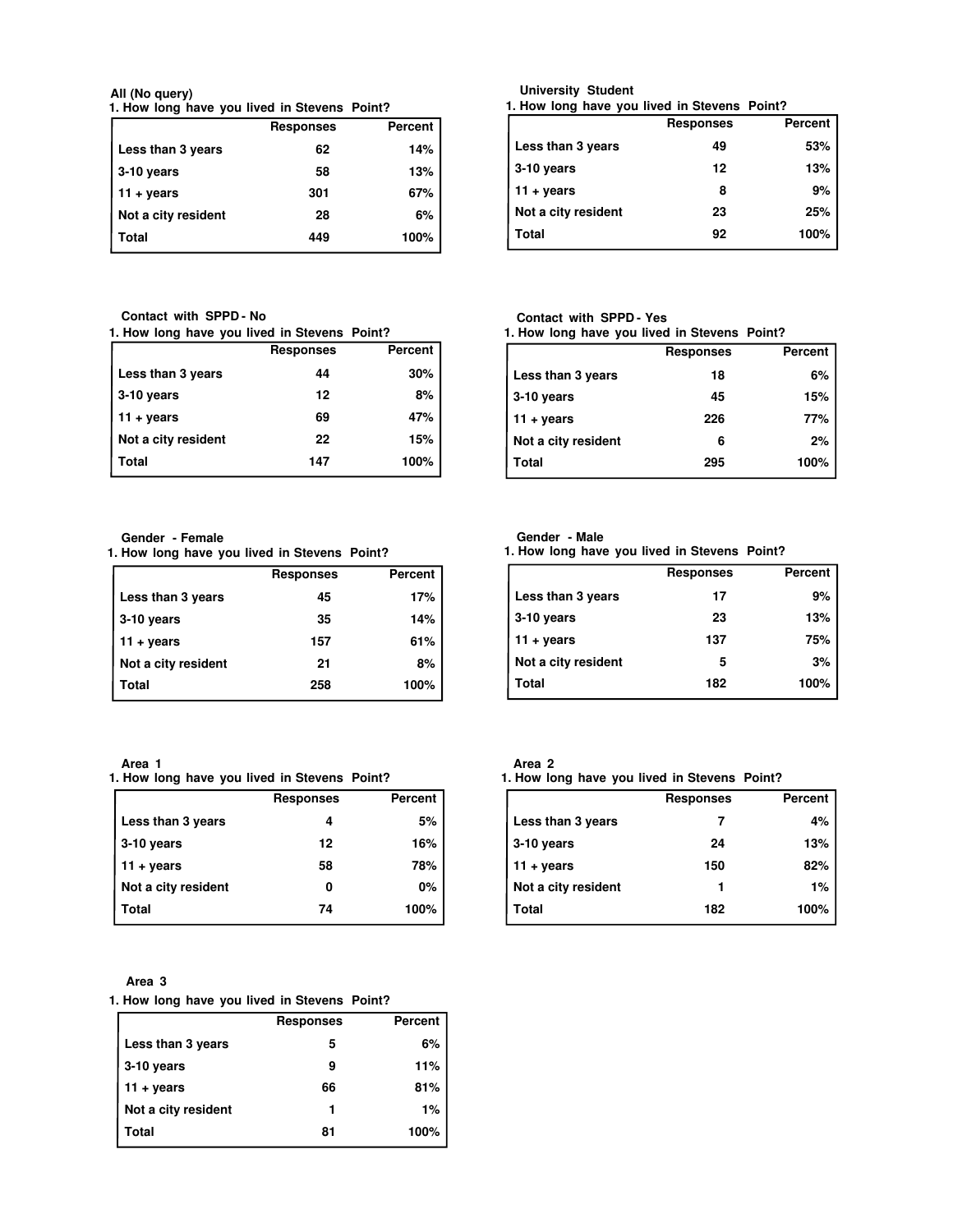**1. How long have you lived in Stevens Point? All (No query)**

|                     | <b>Responses</b> | Percent |
|---------------------|------------------|---------|
| Less than 3 years   | 62               | 14%     |
| 3-10 years          | 58               | 13%     |
| $11 + \text{years}$ | 301              | 67%     |
| Not a city resident | 28               | 6%      |
| Total               | 449              | 100%    |

**Contact with SPPD - No**

| 1. How long have you lived in Stevens Point? |
|----------------------------------------------|
|----------------------------------------------|

|                     | <b>Responses</b> | Percent |
|---------------------|------------------|---------|
| Less than 3 years   | 44               | 30%     |
| 3-10 years          | 12               | 8%      |
| $11 + years$        | 69               | 47%     |
| Not a city resident | 22               | 15%     |
| Total               | 147              | 100%    |

**Gender - Female**

**1. How long have you lived in Stevens Point?**

|                     | <b>Responses</b> | Percent |
|---------------------|------------------|---------|
| Less than 3 years   | 45               | 17%     |
| 3-10 years          | 35               | 14%     |
| $11 + \text{years}$ | 157              | 61%     |
| Not a city resident | 21               | 8%      |
| Total               | 258              | 100%    |

**Area 1**

**1. How long have you lived in Stevens Point?**

|                     | <b>Responses</b> | Percent |
|---------------------|------------------|---------|
| Less than 3 years   |                  | 5%      |
| 3-10 years          | 12               | 16%     |
| $11 + \text{years}$ | 58               | 78%     |
| Not a city resident | 0                | 0%      |
| Total               | 74               | 100%    |

**Area 3**

## **1. How long have you lived in Stevens Point?**

|                     | <b>Responses</b> | <b>Percent</b> |
|---------------------|------------------|----------------|
| Less than 3 years   | 5                | 6%             |
| $3-10$ years        | 9                | 11%            |
| $11 + years$        | 66               | 81%            |
| Not a city resident |                  | 1%             |
| Total               | 81               | 100%           |

| University Student |  |
|--------------------|--|
|--------------------|--|

**1. How long have you lived in Stevens Point?**

|                     | <b>Responses</b> | Percent |
|---------------------|------------------|---------|
| Less than 3 years   | 49               | 53%     |
| $3-10$ years        | 12               | 13%     |
| 11 + years          | 8                | 9%      |
| Not a city resident | 23               | 25%     |
| Total               | 92               | 100%    |

## **Contact with SPPD - Yes**

**1. How long have you lived in Stevens Point?**

|                     | <b>Responses</b> | Percent |
|---------------------|------------------|---------|
| Less than 3 years   | 18               | 6%      |
| 3-10 years          | 45               | 15%     |
| $11 + \text{years}$ | 226              | 77%     |
| Not a city resident | 6                | 2%      |
| Total               | 295              | 100%    |

## **Gender - Male**

**1. How long have you lived in Stevens Point?**

|                     | <b>Responses</b> | Percent |
|---------------------|------------------|---------|
| Less than 3 years   | 17               | 9%      |
| 3-10 years          | 23               | 13%     |
| $11 + years$        | 137              | 75%     |
| Not a city resident | 5                | 3%      |
| Total               | 182              | 100%    |
|                     |                  |         |

| ×<br>۰.<br>. .<br>× |  |
|---------------------|--|
|                     |  |

**1. How long have you lived in Stevens Point?**

|                     | <b>Responses</b> | Percent |
|---------------------|------------------|---------|
| Less than 3 years   |                  | 4%      |
| 3-10 years          | 24               | 13%     |
| $11 + years$        | 150              | 82%     |
| Not a city resident |                  | $1\%$   |
| Total               | 182              | 100%    |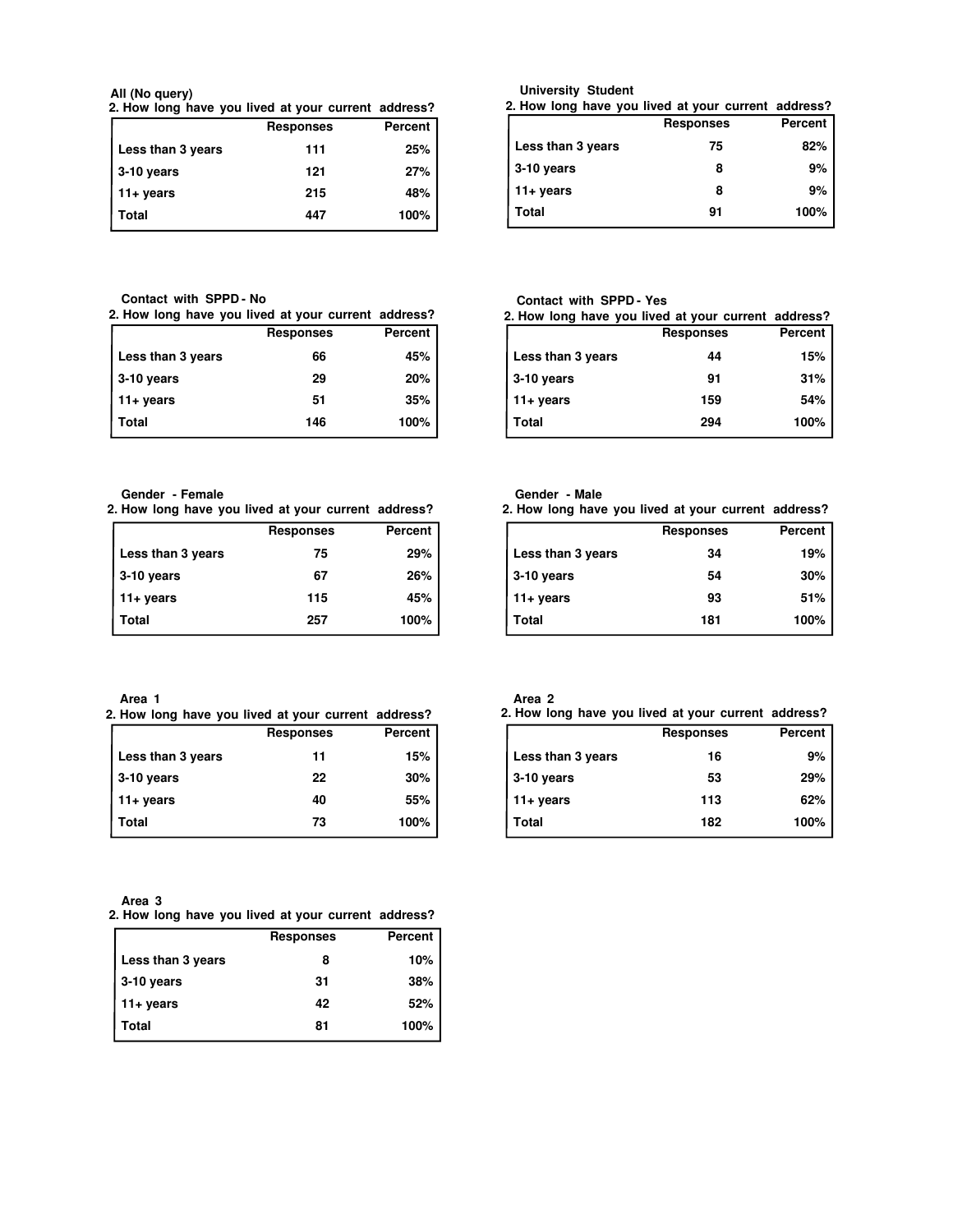**2. How long have you lived at your current address? All (No query)**

|                    | <b>Responses</b> | Percent |
|--------------------|------------------|---------|
| Less than 3 years  | 111              | 25%     |
| $\vert$ 3-10 years | 121              | 27%     |
| $11 + years$       | 215              | 48%     |
| Total              | 447              | 100%    |

**University Student**

| 2. How long have you lived at your current address? |                  |                |
|-----------------------------------------------------|------------------|----------------|
|                                                     | <b>Responses</b> | <b>Percent</b> |
| Less than 3 years                                   | 75               | 82%            |
| 3-10 years                                          | 8                | 9%             |
| 11+ years                                           | 8                | 9%             |
| Total                                               | 91               | 100%           |

**Contact with SPPD - No**

| 2. How long have you lived at your current address? |  |  |  |
|-----------------------------------------------------|--|--|--|
|-----------------------------------------------------|--|--|--|

| <b>Responses</b> | Percent |
|------------------|---------|
| 66               | 45%     |
| 29               | 20%     |
| 51               | 35%     |
| 146              | 100%    |
|                  |         |

Responses Percent Less than 3 years **44** 15% **3-10 years 91 31% 11+ years 159 54% Total 294 100% 2. How long have you lived at your current address? Contact with SPPD - Yes**

**Gender - Female**

|  |  | 2. How long have you lived at your current address? |  |  |
|--|--|-----------------------------------------------------|--|--|

|                     | <b>Responses</b> | Percent |
|---------------------|------------------|---------|
| Less than 3 years   | 75               | 29%     |
| $\vert$ 3-10 years  | 67               | 26%     |
| $11 + \text{years}$ | 115              | 45%     |
| Total               | 257              | 100%    |

| 2. How long have you lived at your current address? |                  |         |  |
|-----------------------------------------------------|------------------|---------|--|
|                                                     | <b>Responses</b> | Percent |  |
| Less than 3 years                                   | 34               | 19%     |  |
| 3-10 years                                          | 54               | 30%     |  |
| $11 + \text{years}$                                 | 93               | 51%     |  |
| Total                                               | 181              | 100%    |  |

**Area 1**

|  |  |  |                  | 2. How long have you lived at your current address? |
|--|--|--|------------------|-----------------------------------------------------|
|  |  |  | <b>Responses</b> | Percent                                             |

| nesponses | reiceill |
|-----------|----------|
| 11        | 15%      |
| 22        | 30%      |
| 40        | 55%      |
| 73        | 100%     |
|           |          |

| Area 3 |  |  |  |                                                     |
|--------|--|--|--|-----------------------------------------------------|
|        |  |  |  | 2. How long have you lived at your current address? |

|                    | <b>Responses</b> | Percent |
|--------------------|------------------|---------|
| Less than 3 years  | 8                | 10%     |
| $\vert$ 3-10 years | 31               | 38%     |
| 11+ years          | 42               | 52%     |
| Total              | 81               | 100%    |

| ١<br>.,<br>۰.<br>$\sim$ |  |
|-------------------------|--|
|                         |  |

I

**Gender - Male**

|                   | 2. How long have you lived at your current address? |         |
|-------------------|-----------------------------------------------------|---------|
|                   | <b>Responses</b>                                    | Percent |
| Less than 3 years | 16                                                  | 9%      |
| 3-10 years        | 53                                                  | 29%     |
| 11+ years         | 113                                                 | 62%     |
| Total             | 182                                                 | 100%    |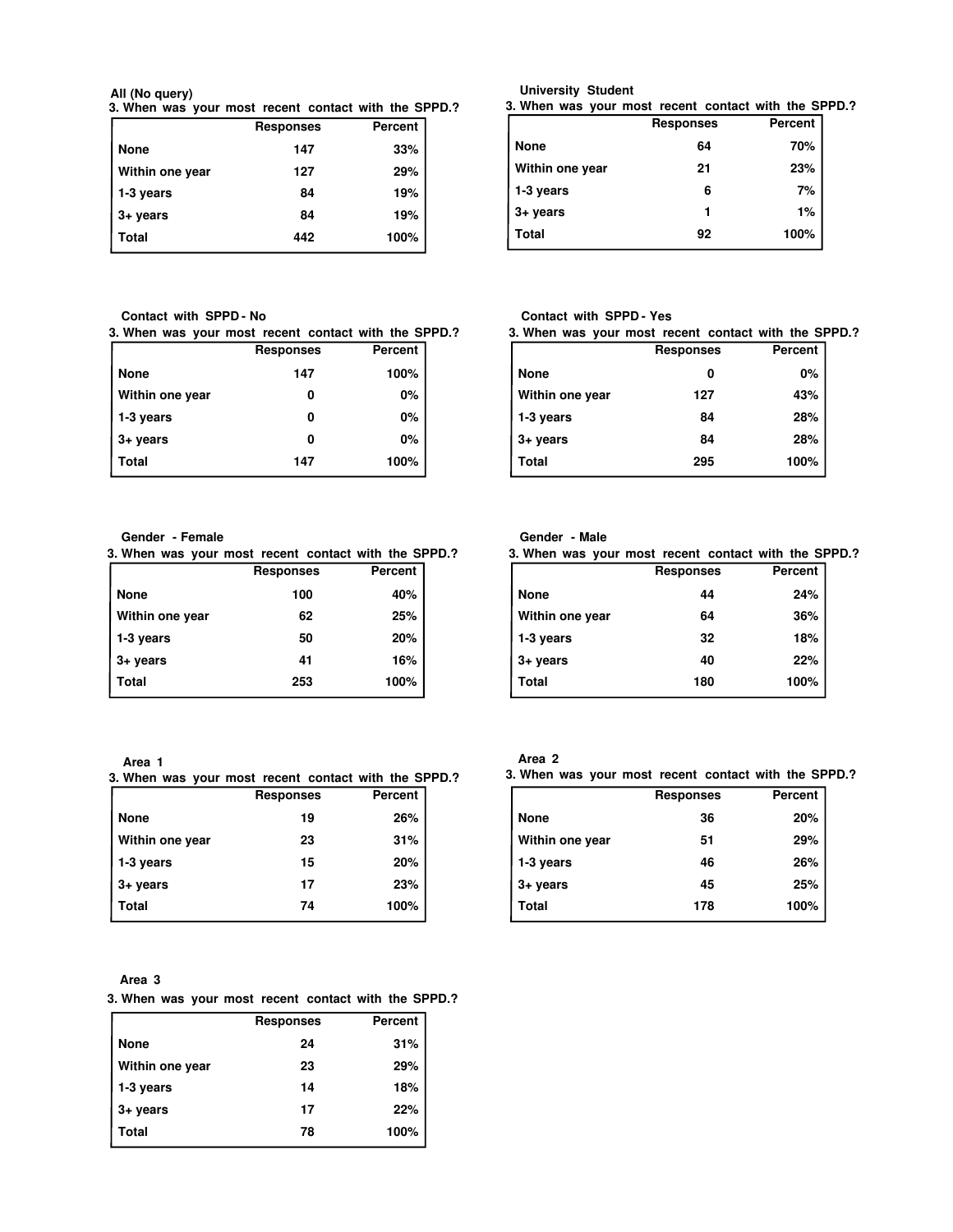**3. When was your most recent contact with the SPPD.? All (No query)**

|                   | <b>Responses</b> | Percent |
|-------------------|------------------|---------|
| <b>None</b>       | 147              | 33%     |
| Within one year   | 127              | 29%     |
| 1-3 years         | 84               | 19%     |
| $3 + \gamma$ ears | 84               | 19%     |
| Total             | 442              | 100%    |

**Contact with SPPD - No**

**3. When was your most recent contact with the SPPD.?**

|                 | <b>Responses</b> | <b>Percent</b> |
|-----------------|------------------|----------------|
| <b>None</b>     | 147              | 100%           |
| Within one year | 0                | 0%             |
| 1-3 years       | o                | 0%             |
| $3 + years$     | o                | 0%             |
| Total           | 147              | 100%           |

#### **Gender - Female**

**3. When was your most recent contact with the SPPD.?**

|                    | <b>Responses</b> | <b>Percent</b> |
|--------------------|------------------|----------------|
| None               | 100              | 40%            |
| Within one year    | 62               | 25%            |
| 1-3 years          | 50               | 20%            |
| $3 + \text{years}$ | 41               | 16%            |
| <b>Total</b>       | 253              | 100%           |
|                    |                  |                |

**Area 1**

**3. When was your most recent contact with the SPPD.?**

|                 | <b>Responses</b> | Percent |
|-----------------|------------------|---------|
| <b>None</b>     | 19               | 26%     |
| Within one year | 23               | 31%     |
| 1-3 years       | 15               | 20%     |
| $3 + years$     | 17               | 23%     |
| Total           | 74               | 100%    |

**Area 3**

## **3. When was your most recent contact with the SPPD.?**

|                 | <b>Responses</b> | Percent |
|-----------------|------------------|---------|
| <b>None</b>     | 24               | 31%     |
| Within one year | 23               | 29%     |
| 1-3 years       | 14               | 18%     |
| 3+ years        | 17               | 22%     |
| Total           | 78               | 100%    |

#### **University Student**

**3. When was your most recent contact with the SPPD.?**

|                 | <b>Responses</b> | Percent |
|-----------------|------------------|---------|
| None            | 64               | 70%     |
| Within one year | 21               | 23%     |
| 1-3 years       | 6                | 7%      |
| 3+ years        |                  | 1%      |
| Total           | 92               | 100%    |

## **Contact with SPPD - Yes**

|                   | 3. When was your most recent contact with the SPPD.? |         |  |
|-------------------|------------------------------------------------------|---------|--|
|                   | <b>Responses</b>                                     | Percent |  |
| <b>None</b>       |                                                      | 0%      |  |
| Within one year   | 127                                                  | 43%     |  |
| 1-3 years         | 84                                                   | 28%     |  |
| $3 + \gamma$ ears | 84                                                   | 28%     |  |
| Total             | 295                                                  | 100%    |  |
|                   |                                                      |         |  |

## **Gender - Male**

| 3. When was your most recent contact with the SPPD.? |                  |         |
|------------------------------------------------------|------------------|---------|
|                                                      | <b>Responses</b> | Percent |
| <b>None</b>                                          | 44               | 24%     |
| Within one year                                      | 64               | 36%     |
| 1-3 years                                            | 32               | 18%     |
| $3 + \gamma$ ears                                    | 40               | 22%     |
| Total                                                | 180              | 100%    |

# **Area 2**

**3. When was your most recent contact with the SPPD.?**

|                   | <b>Responses</b> | <b>Percent</b> |
|-------------------|------------------|----------------|
| <b>None</b>       | 36               | 20%            |
| Within one year   | 51               | 29%            |
| 1-3 years         | 46               | 26%            |
| $3 + \gamma$ ears | 45               | 25%            |
| Total             | 178              | 100%           |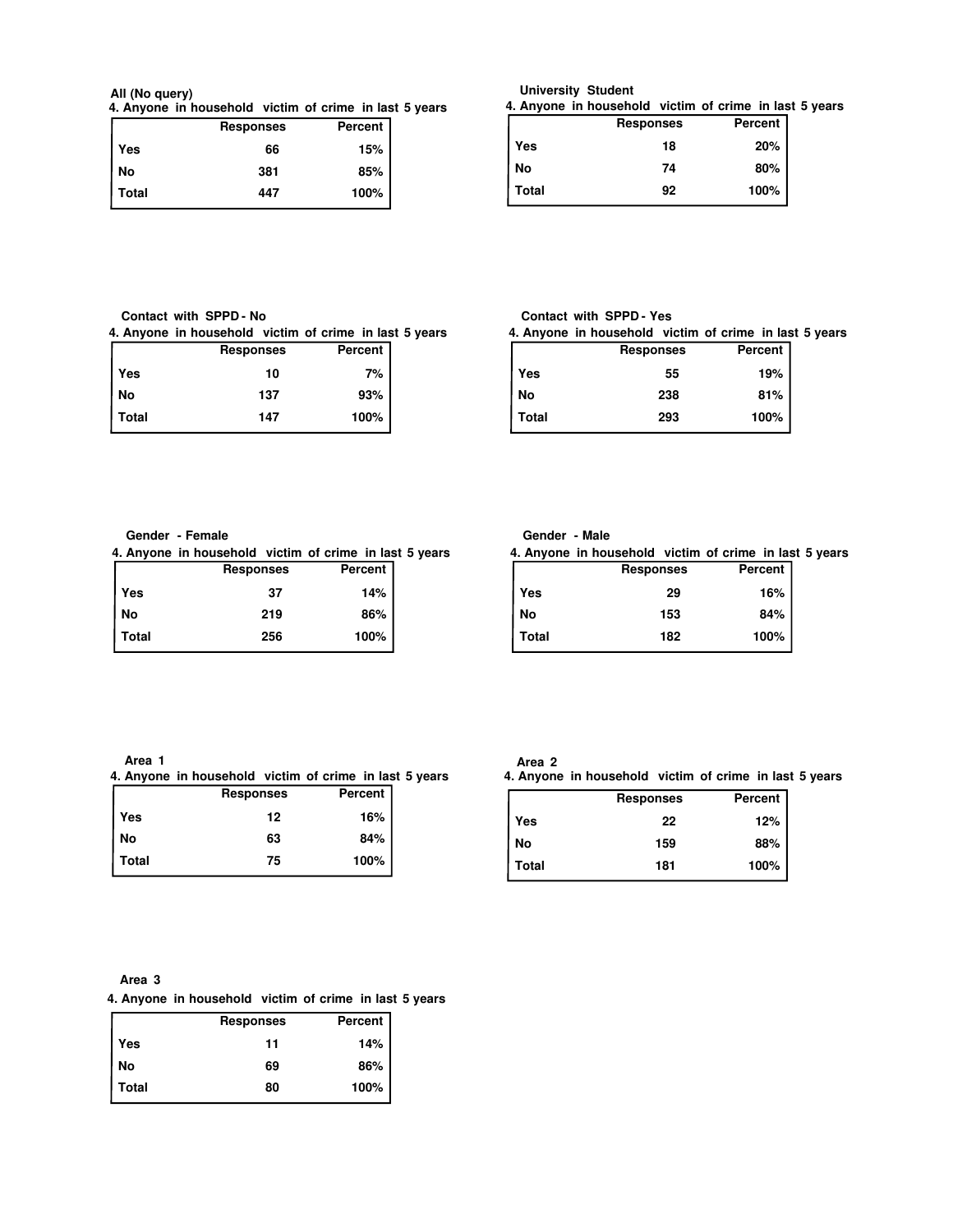#### **4. Anyone in household victim of crime in last 5 years All (No query)**

|       | <b>Responses</b> | Percent |
|-------|------------------|---------|
| Yes   | 66               | 15%     |
| l No  | 381              | 85%     |
| Total | 447              | 100%    |

# **University Student**

**4. Anyone in household victim of crime in last 5 years**

|       | <b>Responses</b> | Percent |
|-------|------------------|---------|
| Yes   | 18               | 20%     |
| No    | 74               | 80%     |
| Total | 92               | 100%    |

## **Contact with SPPD - No**

**4. Anyone in household victim of crime in last 5 years**

|              | <b>Responses</b> | Percent |  |
|--------------|------------------|---------|--|
| Yes          | 10               | 7%      |  |
| No           | 137              | 93%     |  |
| <b>Total</b> | 147              | 100%    |  |

## **Contact with SPPD - Yes**

**4. Anyone in household victim of crime in last 5 years**

|       | <b>Responses</b> | <b>Percent</b> |
|-------|------------------|----------------|
| Yes   | 55               | 19%            |
| No    | 238              | 81%            |
| Total | 293              | 100%           |

#### **Gender - Female**

**4. Anyone in household victim of crime in last 5 years**

|         | <b>Responses</b> | Percent |  |
|---------|------------------|---------|--|
| Yes     | 37               | 14%     |  |
| No      | 219              | 86%     |  |
| l Total | 256              | 100%    |  |

## **Gender - Male**

**4. Anyone in household victim of crime in last 5 years**

|       | <b>Responses</b> | <b>Percent</b> |
|-------|------------------|----------------|
| Yes   | 29               | 16%            |
| No    | 153              | 84%            |
| Total | 182              | 100%           |

**Area 1**

**4. Anyone in household victim of crime in last 5 years**

|              | <b>Responses</b> | Percent |  |
|--------------|------------------|---------|--|
| Yes          | 12               | 16%     |  |
| No           | 63               | 84%     |  |
| <b>Total</b> | 75               | 100%    |  |
|              |                  |         |  |

## **Area 2**

**4. Anyone in household victim of crime in last 5 years**

|            | <b>Responses</b> | Percent |
|------------|------------------|---------|
| <b>Yes</b> | 22               | 12%     |
| <b>No</b>  | 159              | 88%     |
| Total      | 181              | 100%    |

#### **Area 3**

**4. Anyone in household victim of crime in last 5 years**

|       | <b>Responses</b> | Percent |
|-------|------------------|---------|
| Yes   | 11               | 14%     |
| No    | 69               | 86%     |
| Total | 80               | 100%    |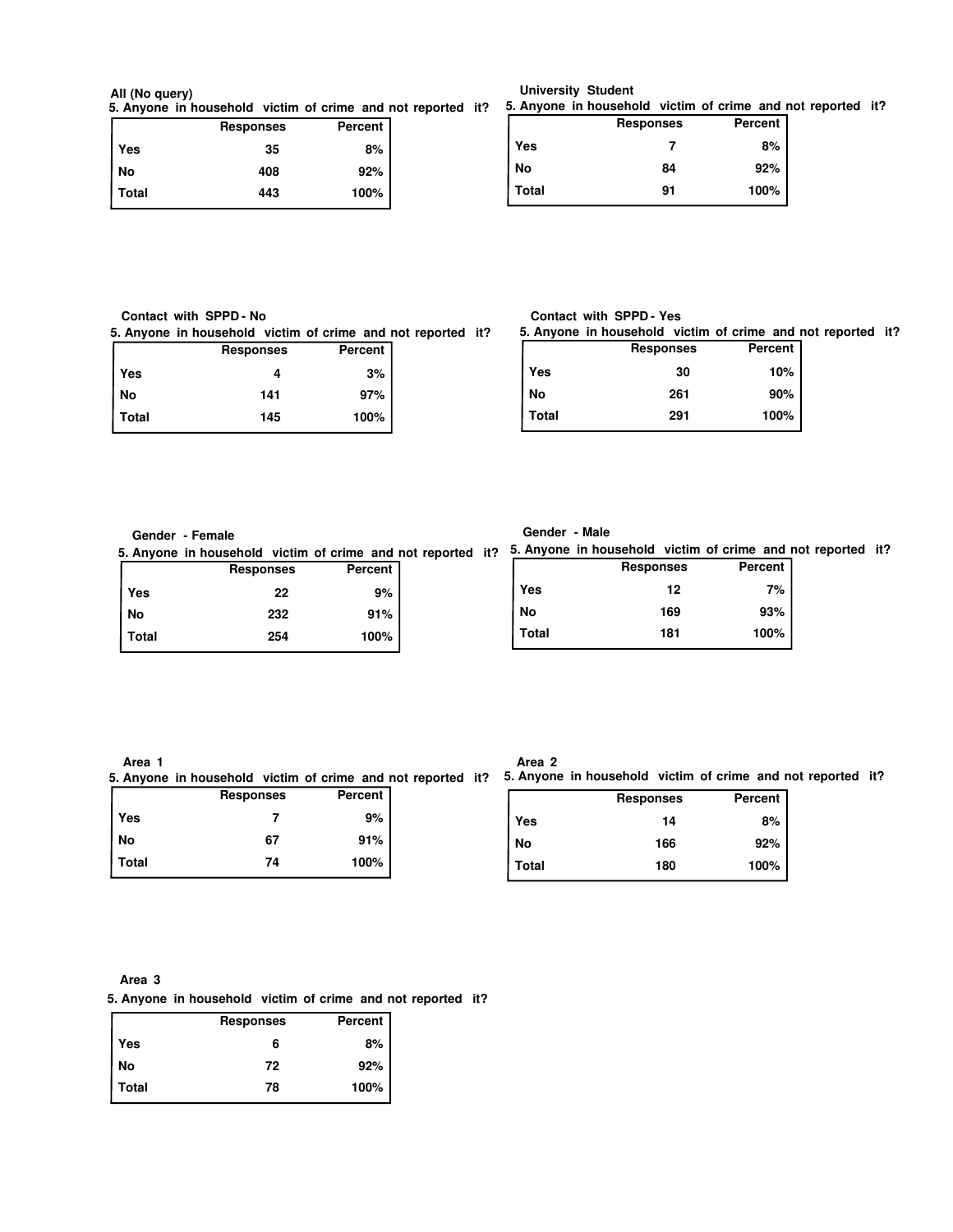# **All (No query)**

|              | <b>Responses</b> | Percent |  |
|--------------|------------------|---------|--|
| Yes          | 35               | 8%      |  |
| No           | 408              | 92%     |  |
| <b>Total</b> | 443              | 100%    |  |

**5. Anyone in household victim of crime and not reported it? 5. Anyone in household victim of crime and not reported it?**

|       | <b>Responses</b> | Percent |
|-------|------------------|---------|
| Yes   |                  | 8%      |
| No    | 84               | 92%     |
| Total | 91               | 100%    |

| Contact with SPPD - No |  |  |  |
|------------------------|--|--|--|
|------------------------|--|--|--|

**5. Anyone in household victim of crime and not reported it?**

|              | <b>Responses</b> | Percent |  |
|--------------|------------------|---------|--|
| Yes          |                  | 3%      |  |
| No           | 141              | 97%     |  |
| <b>Total</b> | 145              | 100%    |  |

## **Contact with SPPD - Yes**

**5. Anyone in household victim of crime and not reported it?**

|       | <b>Responses</b> | <b>Percent</b> |
|-------|------------------|----------------|
| Yes   | 30               | 10%            |
| No    | 261              | 90%            |
| Total | 291              | 100%           |

## **Gender - Female**

**5. Anyone in household victim of crime and not reported it? 5. Anyone in household victim of crime and not reported it?**

|       | <b>Responses</b> | <b>Percent</b> |
|-------|------------------|----------------|
| Yes   | 22               | 9%             |
| No    | 232              | 91%            |
| Total | 254              | 100%           |

|  | Male |
|--|------|

|            | <b>Responses</b> | Percent |
|------------|------------------|---------|
| <b>Yes</b> | 12               | 7%      |
| No         | 169              | 93%     |
| Total      | 181              | 100%    |

**Area 1**

**Responses Percent 5. Anyone in household victim of crime and not reported it? 5. Anyone in household victim of crime and not reported it?**

| nesponses | <b>Leiceil</b> |  |
|-----------|----------------|--|
|           | 9%             |  |
| 67        | 91%            |  |
| 74        | 100%           |  |
|           |                |  |

| ۰.<br>×<br>., |  |
|---------------|--|
|---------------|--|

|       | <b>Responses</b> | Percent |
|-------|------------------|---------|
| Yes   | 14               | 8%      |
| No    | 166              | 92%     |
| Total | 180              | 100%    |

**Area 3**

**5. Anyone in household victim of crime and not reported it?**

|       | <b>Responses</b> | Percent |
|-------|------------------|---------|
| Yes   | 6                | 8%      |
| No    | 72               | 92%     |
| Total | 78               | 100%    |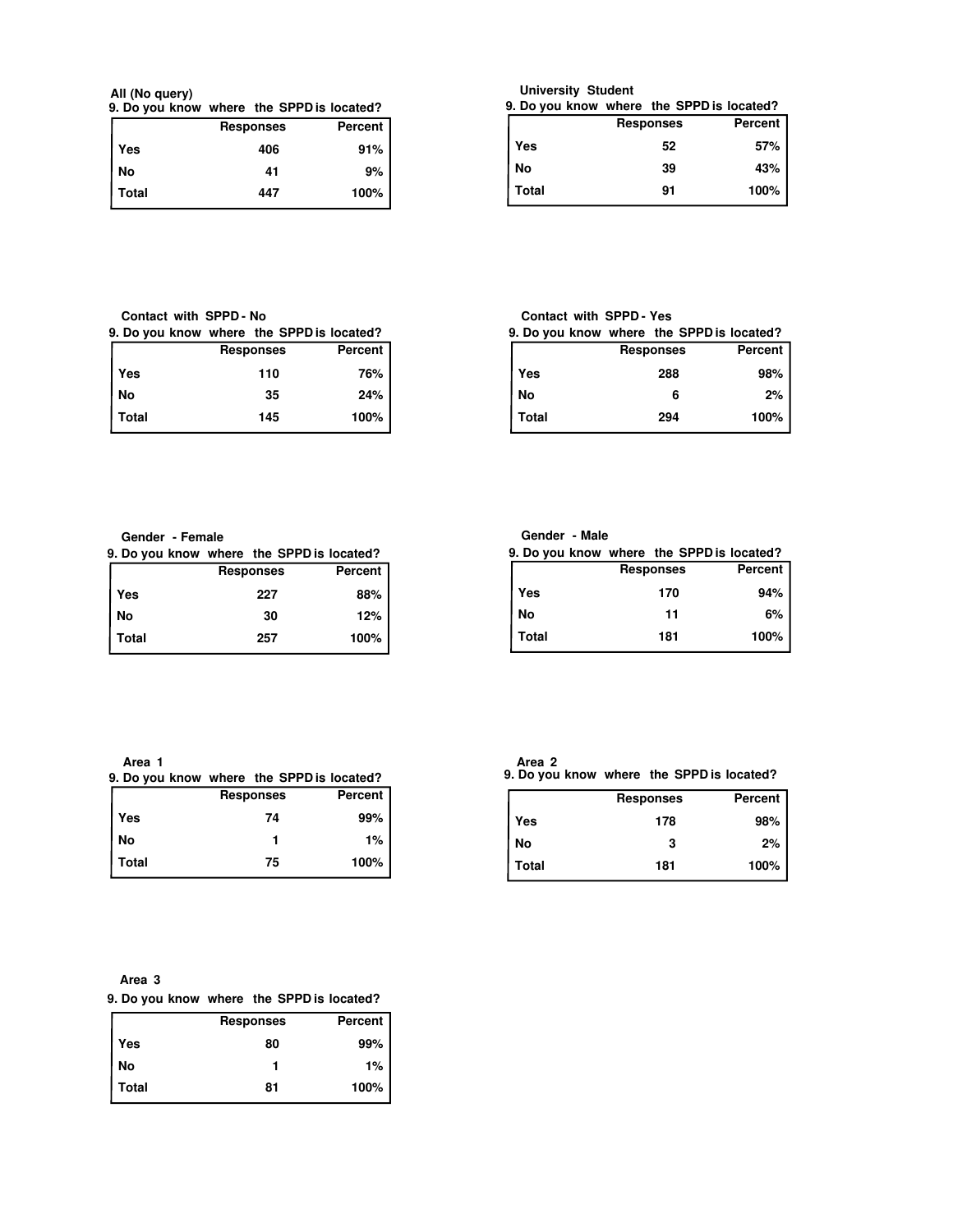**All (No query)**

|  |  | <b>Pernances</b>                          | Darcant |
|--|--|-------------------------------------------|---------|
|  |  | 9. Do you know where the SPPD is located? |         |

|         | <b>Responses</b> | Percent |
|---------|------------------|---------|
| Yes     | 406              | 91%     |
| No      | 41               | 9%      |
| l Total | 447              | 100%    |

**University Student**

|              | 9. Do you know where the SPPD is located? |         |
|--------------|-------------------------------------------|---------|
|              | <b>Responses</b>                          | Percent |
| Yes          | 52                                        | 57%     |
| No           | 39                                        | 43%     |
| <b>Total</b> | 91                                        | 100%    |

## **Contact with SPPD - No**

| 9. Do you know where the SPPD is located? |  |  |  |
|-------------------------------------------|--|--|--|
|-------------------------------------------|--|--|--|

|       | <b>Responses</b> | Percent |
|-------|------------------|---------|
| Yes   | 110              | 76%     |
| l No  | 35               | 24%     |
| Total | 145              | 100%    |

# **Contact with SPPD - Yes**

| 9. Do you know where the SPPD is located? |                  |         |
|-------------------------------------------|------------------|---------|
|                                           | <b>Responses</b> | Percent |
| Yes                                       | 288              | 98%     |
| No                                        | 6                | 2%      |
| <b>Total</b>                              | 294              | 100%    |

**Gender - Female**

|       |  |                  | 9. Do you know where the SPPD is located? |
|-------|--|------------------|-------------------------------------------|
|       |  | <b>Responses</b> | Percent                                   |
| Yes   |  | 227              | 88%                                       |
| No    |  | 30               | 12%                                       |
| Total |  | 257              | 100%                                      |

| Gender |  | - Male |  |
|--------|--|--------|--|
|--------|--|--------|--|

|              | 9. Do you know where the SPPD is located? |         |
|--------------|-------------------------------------------|---------|
|              | <b>Responses</b>                          | Percent |
| Yes          | 170                                       | 94%     |
| No           | 11                                        | 6%      |
| <b>Total</b> | 181                                       | 100%    |

**Area 1**

|       |  |                  | 9. Do you know where the SPPD is located? |
|-------|--|------------------|-------------------------------------------|
|       |  | <b>Responses</b> | Percent                                   |
| Yes   |  | 74               | 99%                                       |
| No    |  |                  | $1\%$                                     |
| Total |  | 75               | 100%                                      |

| ١Ι<br>۰.<br>×<br>., |  |
|---------------------|--|
|                     |  |

**9. Do you know where the SPPD is located? Area 2**

|            | <b>Responses</b> | Percent |
|------------|------------------|---------|
| <b>Yes</b> | 178              | 98%     |
| <b>No</b>  | 3                | $2\%$   |
| Total      | 181              | 100%    |

## **Area 3**

| 9. Do you know where the SPPD is located? |  |
|-------------------------------------------|--|
|-------------------------------------------|--|

|              | <b>Responses</b> | Percent |
|--------------|------------------|---------|
| Yes          | 80               | 99%     |
| No           |                  | 1%      |
| <b>Total</b> | 81               | 100%    |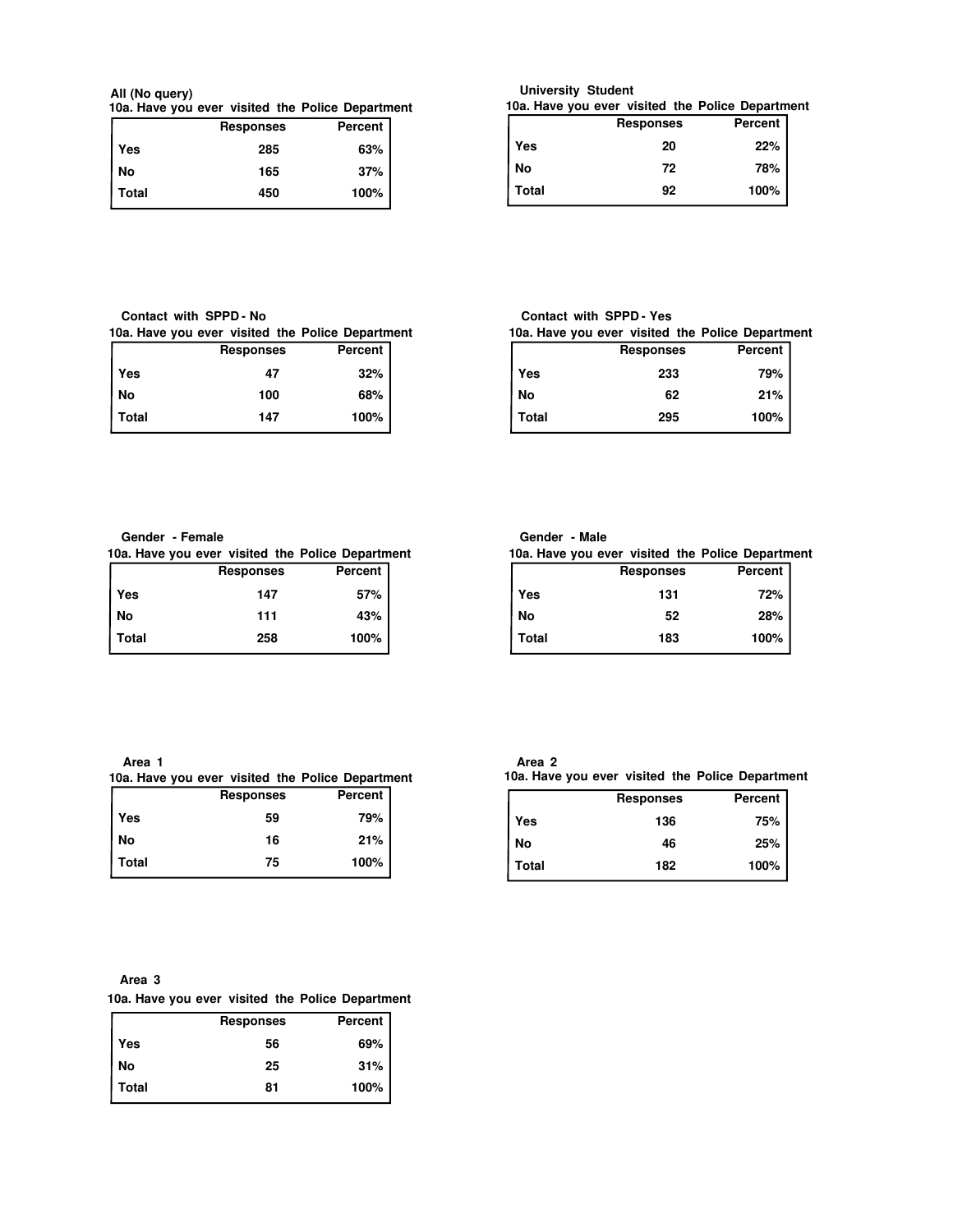**10a. Have you ever visited the Police Department All (No query)**

|              | <b>Responses</b> | Percent |
|--------------|------------------|---------|
| Yes          | 285              | 63%     |
| No           | 165              | 37%     |
| <b>Total</b> | 450              | 100%    |

**10a. Have you ever visited the Police Department**

|            | <b>Responses</b> | Percent |  |
|------------|------------------|---------|--|
| <b>Yes</b> | 20               | 22%     |  |
| No         | 72               | 78%     |  |
| Total      | 92               | 100%    |  |

## **Contact with SPPD - No**

**10a. Have you ever visited the Police Department**

|              | <b>Responses</b> | Percent |  |
|--------------|------------------|---------|--|
| Yes          | 47               | 32%     |  |
| No           | 100              | 68%     |  |
| <b>Total</b> | 147              | 100%    |  |

## **Contact with SPPD - Yes**

**10a. Have you ever visited the Police Department** Г **Responses Percent**

|            | .   |      |  |
|------------|-----|------|--|
| <b>Yes</b> | 233 | 79%  |  |
| No         | 62  | 21%  |  |
| Total      | 295 | 100% |  |

## **Gender - Female**

|         | 10a. Have you ever visited the Police Department |                |  |
|---------|--------------------------------------------------|----------------|--|
|         | <b>Responses</b>                                 | <b>Percent</b> |  |
| Yes     | 147                                              | 57%            |  |
| No      | 111                                              | 43%            |  |
| l Total | 258                                              | 100%           |  |

## **Gender - Male**

**Responses Percent Yes 131 72% No 52 28% Total 183 100% 10a. Have you ever visited the Police Department**

**Area 1**

# **10a. Have you ever visited the Police Department**

|              | <b>Responses</b> | Percent |
|--------------|------------------|---------|
| Yes          | 59               | 79%     |
| No           | 16               | 21%     |
| <b>Total</b> | 75               | 100%    |

| п<br>ـ<br>۰.<br>× |  |
|-------------------|--|
|-------------------|--|

**10a. Have you ever visited the Police Department**

|            | <b>Responses</b> | <b>Percent</b> |
|------------|------------------|----------------|
| <b>Yes</b> | 136              | 75%            |
| No         | 46               | 25%            |
| Total      | 182              | 100%           |

#### **Area 3**

## **10a. Have you ever visited the Police Department**

|       | <b>Responses</b> | <b>Percent</b> |
|-------|------------------|----------------|
| Yes   | 56               | 69%            |
| No    | 25               | 31%            |
| Total | 81               | 100%           |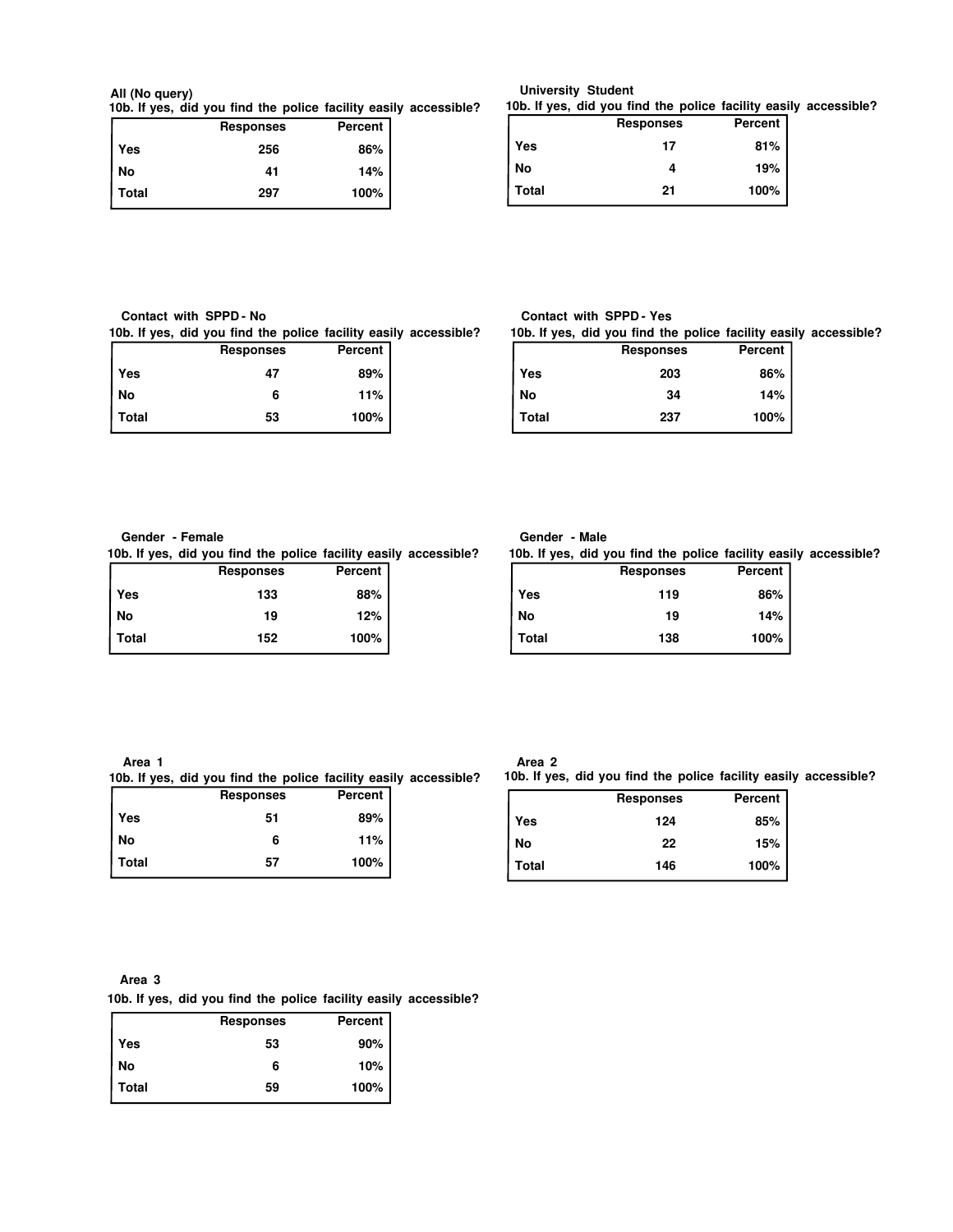#### **10b. If yes, did you find the police facility easily accessible? All (No query)**

|       | <b>Responses</b> | Percent |  |
|-------|------------------|---------|--|
| Yes   | 256              | 86%     |  |
| l No  | 41               | 14%     |  |
| Total | 297              | 100%    |  |

## **10b. If yes, did you find the police facility easily accessible? University Student**

|              | <b>Responses</b> | Percent |
|--------------|------------------|---------|
| <b>Yes</b>   | 17               | 81%     |
| <b>No</b>    |                  | 19%     |
| <b>Total</b> | 21               | 100%    |

## **Contact with SPPD - No**

**10b. If yes, did you find the police facility easily accessible?**

|       | <b>Responses</b> | Percent |  |
|-------|------------------|---------|--|
| Yes   | 47               | 89%     |  |
| No    | 6                | 11%     |  |
| Total | 53               | 100%    |  |

## **Contact with SPPD - Yes**

**10b. If yes, did you find the police facility easily accessible?**

|              | <b>Responses</b> | <b>Percent</b> |
|--------------|------------------|----------------|
| Yes          | 203              | 86%            |
| <b>No</b>    | 34               | 14%            |
| <b>Total</b> | 237              | 100%           |
|              |                  |                |

## **Gender - Female**

**10b. If yes, did you find the police facility easily accessible?**

|              | <b>Responses</b> | <b>Percent</b> |
|--------------|------------------|----------------|
| Yes          | 133              | 88%            |
| No           | 19               | 12%            |
| <b>Total</b> | 152              | 100%           |

## **Gender - Male**

**10b. If yes, did you find the police facility easily accessible?**

|       | <b>Responses</b> | Percent |
|-------|------------------|---------|
| Yes   | 119              | 86%     |
| No    | 19               | 14%     |
| Total | 138              | 100%    |

**Area 1**

**10b. If yes, did you find the police facility easily accessible?**

|       | <b>Responses</b> | Percent |  |
|-------|------------------|---------|--|
| Yes   | 51               | 89%     |  |
| No    | 6                | 11%     |  |
| Total | 57               | 100%    |  |

| ۰.<br>×<br>., |  |
|---------------|--|
|---------------|--|

**10b. If yes, did you find the police facility easily accessible?**

|            | <b>Responses</b> | Percent |
|------------|------------------|---------|
| <b>Yes</b> | 124              | 85%     |
| <b>No</b>  | 22               | 15%     |
| Total      | 146              | 100%    |

**Area 3**

**10b. If yes, did you find the police facility easily accessible?**

|              | <b>Responses</b> | Percent |
|--------------|------------------|---------|
| Yes          | 53               | 90%     |
| l No         | 6                | 10%     |
| <b>Total</b> | 59               | 100%    |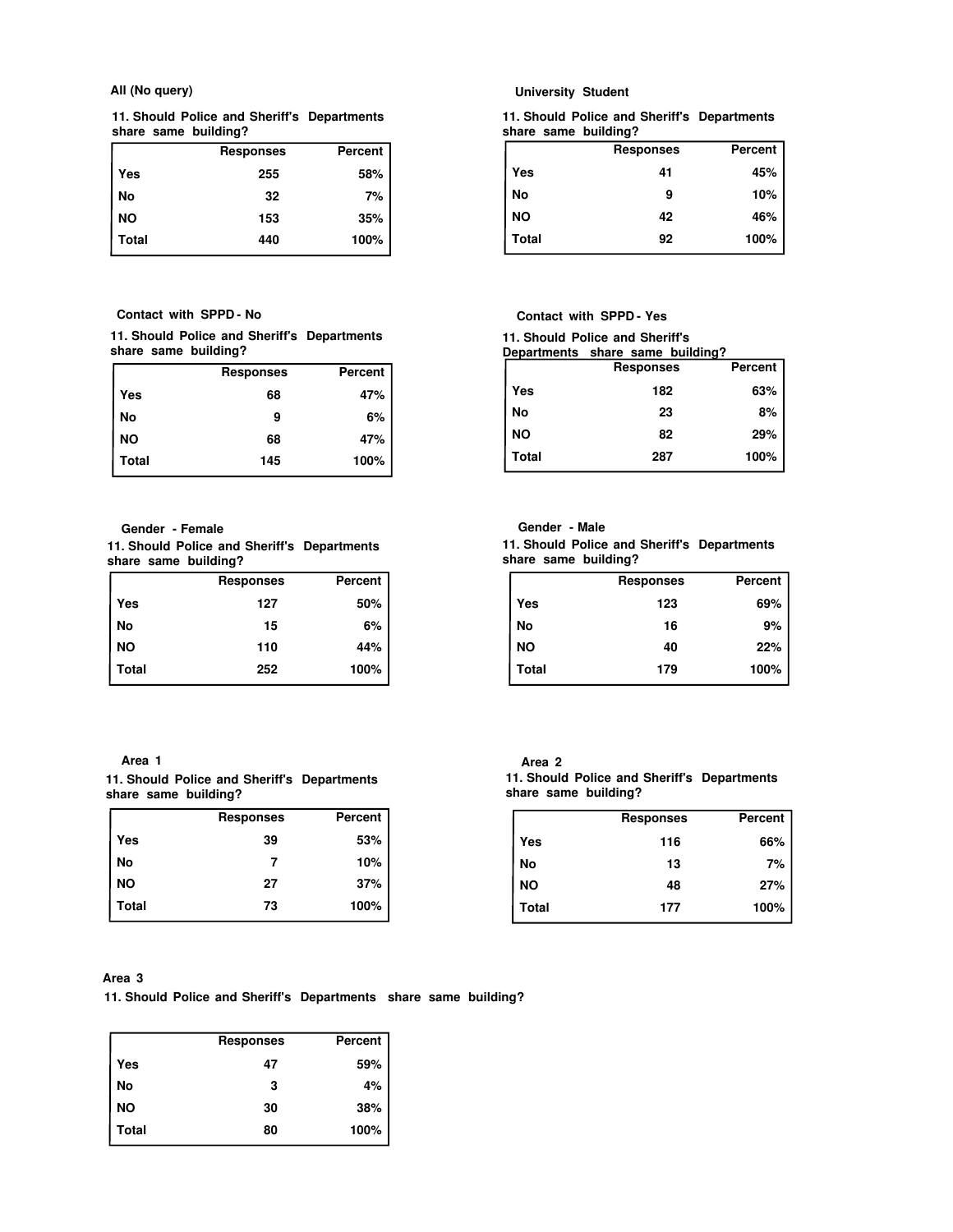#### **All (No query)**

**11. Should Police and Sheriff's Departments share same building?**

|           | <b>Responses</b> | <b>Percent</b> |
|-----------|------------------|----------------|
| Yes       | 255              | 58%            |
| No        | 32               | 7%             |
| <b>NO</b> | 153              | 35%            |
| Total     | 440              | 100%           |

**Contact with SPPD - No**

#### **11. Should Police and Sheriff's Departments share same building?**

|              | <b>Responses</b> | <b>Percent</b> |
|--------------|------------------|----------------|
| Yes          | 68               | 47%            |
| No           | 9                | 6%             |
| <b>NO</b>    | 68               | 47%            |
| <b>Total</b> | 145              | 100%           |

**Gender - Female**

**11. Should Police and Sheriff's Departments share same building?**

|           | <b>Responses</b> | Percent |
|-----------|------------------|---------|
| Yes       | 127              | 50%     |
| No        | 15               | 6%      |
| <b>NO</b> | 110              | 44%     |
| Total     | 252              | 100%    |

## **Area 1**

|  |                      |  | 11. Should Police and Sheriff's Departments |
|--|----------------------|--|---------------------------------------------|
|  | share same building? |  |                                             |

|           | <b>Responses</b> | Percent |
|-----------|------------------|---------|
| Yes       | 39               | 53%     |
| No        |                  | 10%     |
| <b>NO</b> | 27               | 37%     |
| Total     | 73               | 100%    |

## **University Student**

**11. Should Police and Sheriff's Departments share same building?**

|           | <b>Responses</b> | Percent |
|-----------|------------------|---------|
| Yes       | 41               | 45%     |
| No        | 9                | 10%     |
| <b>NO</b> | 42               | 46%     |
| Total     | 92               | 100%    |

## **Contact with SPPD - Yes**

**11. Should Police and Sheriff's**

| Departments share same building? |  |   |
|----------------------------------|--|---|
|                                  |  | - |

|           | <b>Responses</b> | Percent |
|-----------|------------------|---------|
| Yes       | 182              | 63%     |
| No        | 23               | $8%$ 1  |
| <b>NO</b> | 82               | 29%     |
| Total     | 287              | 100%    |

## **Gender - Male**

**11. Should Police and Sheriff's Departments share same building?**

|              | <b>Responses</b> | Percent |
|--------------|------------------|---------|
| Yes          | 123              | 69%     |
| No           | 16               | 9%      |
| <b>NO</b>    | 40               | 22%     |
| <b>Total</b> | 179              | 100%    |

#### **11. Should Police and Sheriff's Departments share same building? Area 2**

|              | <b>Responses</b> | <b>Percent</b> |
|--------------|------------------|----------------|
| Yes          | 116              | 66%            |
| No           | 13               | 7%             |
| <b>NO</b>    | 48               | 27%            |
| <b>Total</b> | 177              | 100%           |
|              |                  |                |

#### **Area 3**

**11. Should Police and Sheriff's Departments share same building?**

|           | <b>Responses</b> | Percent |
|-----------|------------------|---------|
| Yes       | 47               | 59%     |
| No        | 3                | 4%      |
| <b>NO</b> | 30               | 38%     |
| Total     | 80               | 100%    |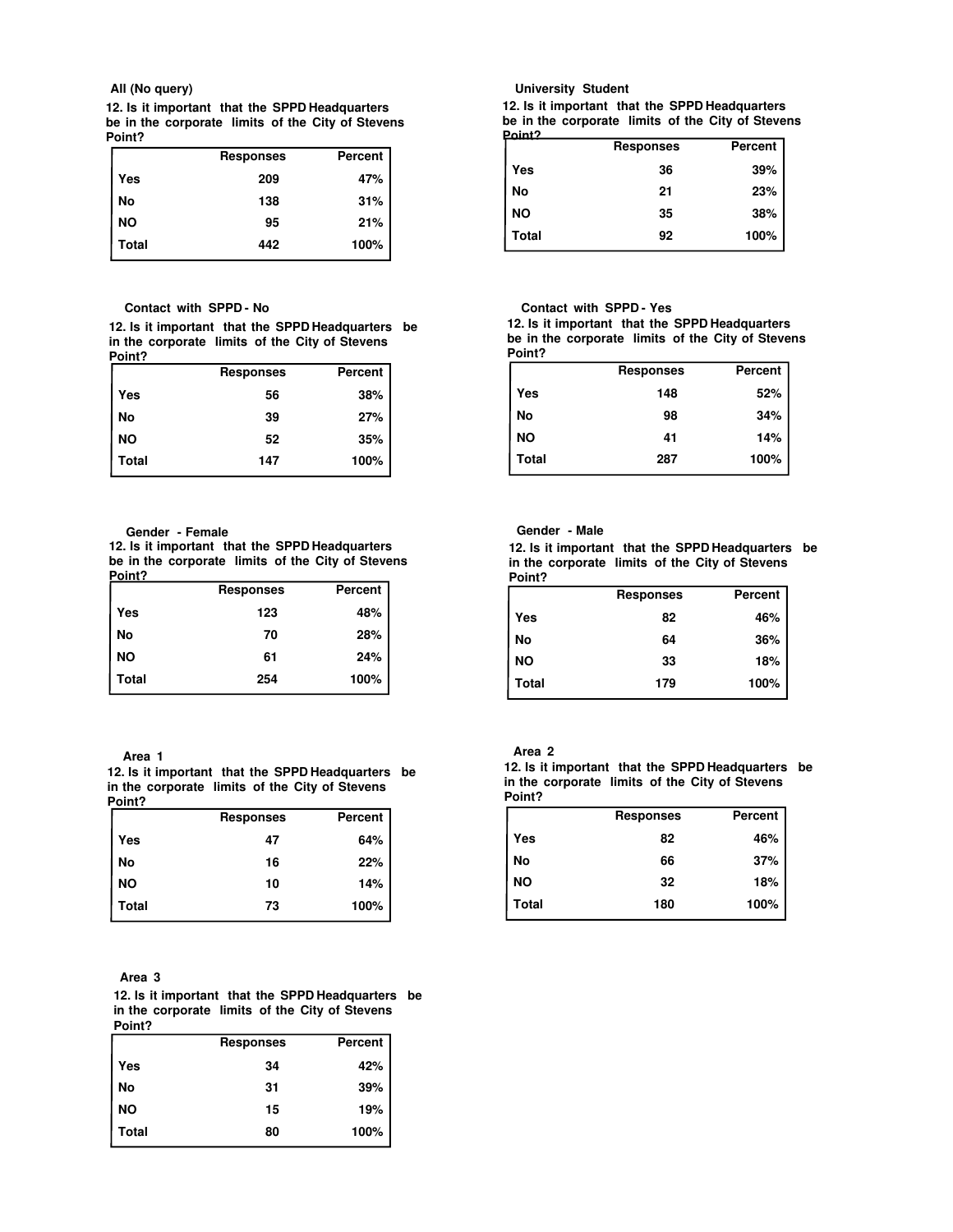#### **All (No query)**

**12. Is it important that the SPPD Headquarters be in the corporate limits of the City of Stevens Point?**

|       | <b>Responses</b> | <b>Percent</b> |
|-------|------------------|----------------|
| Yes   | 209              | 47%            |
| No    | 138              | 31%            |
| NO    | 95               | 21%            |
| Total | 442              | 100%           |

#### **Contact with SPPD - No**

**12. Is it important that the SPPD Headquarters be in the corporate limits of the City of Stevens Point?**

|           | <b>Responses</b> | Percent |
|-----------|------------------|---------|
| Yes       | 56               | 38%     |
| No        | 39               | 27%     |
| <b>NO</b> | 52               | 35%     |
| Total     | 147              | 100%    |

#### **Gender - Female**

**12. Is it important that the SPPD Headquarters be in the corporate limits of the City of Stevens Point?**

|           | <b>Responses</b> | Percent |
|-----------|------------------|---------|
| Yes       | 123              | 48%     |
| No        | 70               | 28%     |
| <b>NO</b> | 61               | 24%     |
| Total     | 254              | 100%    |

#### **Area 1**

**12. Is it important that the SPPD Headquarters be in the corporate limits of the City of Stevens Point?**

|           | <b>Responses</b> | <b>Percent</b> |
|-----------|------------------|----------------|
| Yes       | 47               | 64%            |
| No        | 16               | 22%            |
| <b>NO</b> | 10               | 14%            |
| Total     | 73               | 100%           |

#### **Area 3**

**12. Is it important that the SPPD Headquarters be in the corporate limits of the City of Stevens Point?**

|           | <b>Responses</b> | <b>Percent</b> |
|-----------|------------------|----------------|
| Yes       | 34               | 42%            |
| No        | 31               | 39%            |
| <b>NO</b> | 15               | 19%            |
| Total     | 80               | 100%           |

#### **University Student**

**12. Is it important that the SPPD Headquarters be in the corporate limits of the City of Stevens**

|           | <b>Responses</b> | Percent |
|-----------|------------------|---------|
| Yes       | 36               | 39%     |
| No        | 21               | 23%     |
| <b>NO</b> | 35               | 38%     |
| Total     | 92               | 100%    |

#### **Contact with SPPD - Yes**

**12. Is it important that the SPPD Headquarters be in the corporate limits of the City of Stevens Point?**

|           | <b>Responses</b> | Percent |
|-----------|------------------|---------|
| Yes       | 148              | 52%     |
| No        | 98               | 34%     |
| <b>NO</b> | 41               | 14%     |
| Total     | 287              | 100%    |

## **Gender - Male**

**12. Is it important that the SPPD Headquarters be in the corporate limits of the City of Stevens Point?**

|           | <b>Responses</b> | <b>Percent</b> |
|-----------|------------------|----------------|
| Yes       | 82               | 46%            |
| No        | 64               | 36%            |
| <b>NO</b> | 33               | 18%            |
| Total     | 179              | 100%           |

## **Area 2**

**12. Is it important that the SPPD Headquarters be in the corporate limits of the City of Stevens Point?**

|           | <b>Responses</b> | Percent |
|-----------|------------------|---------|
| Yes       | 82               | 46%     |
| No        | 66               | 37%     |
| <b>NO</b> | 32               | 18%     |
| Total     | 180              | 100%    |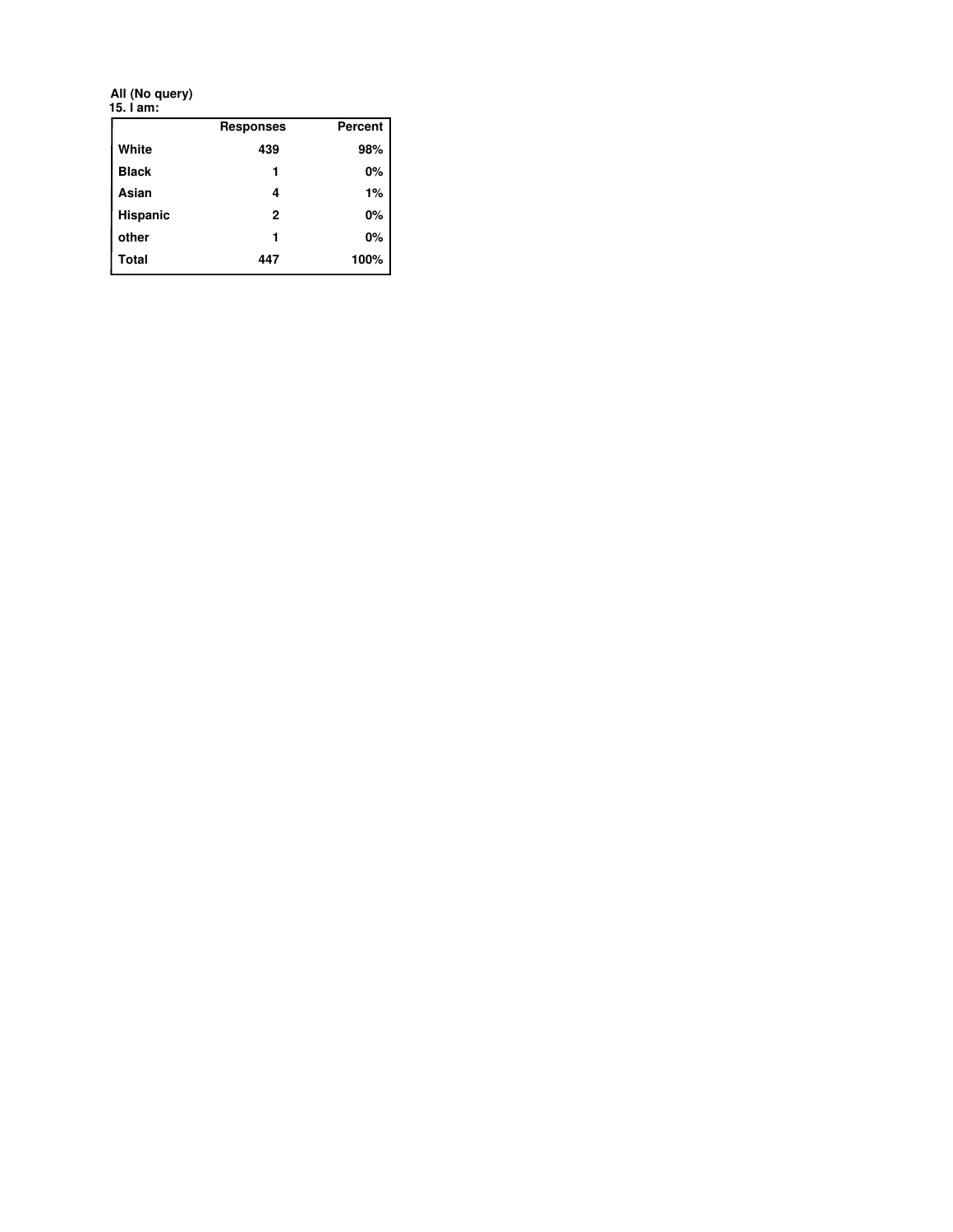**15. I am: All (No query)**

|                 | <b>Responses</b> | <b>Percent</b> |
|-----------------|------------------|----------------|
| White           | 439              | 98%            |
| <b>Black</b>    |                  | 0%             |
| Asian           | 4                | 1%             |
| <b>Hispanic</b> | $\mathbf{2}$     | 0%             |
| other           | 1                | 0%             |
| <b>Total</b>    | 447              | 100%           |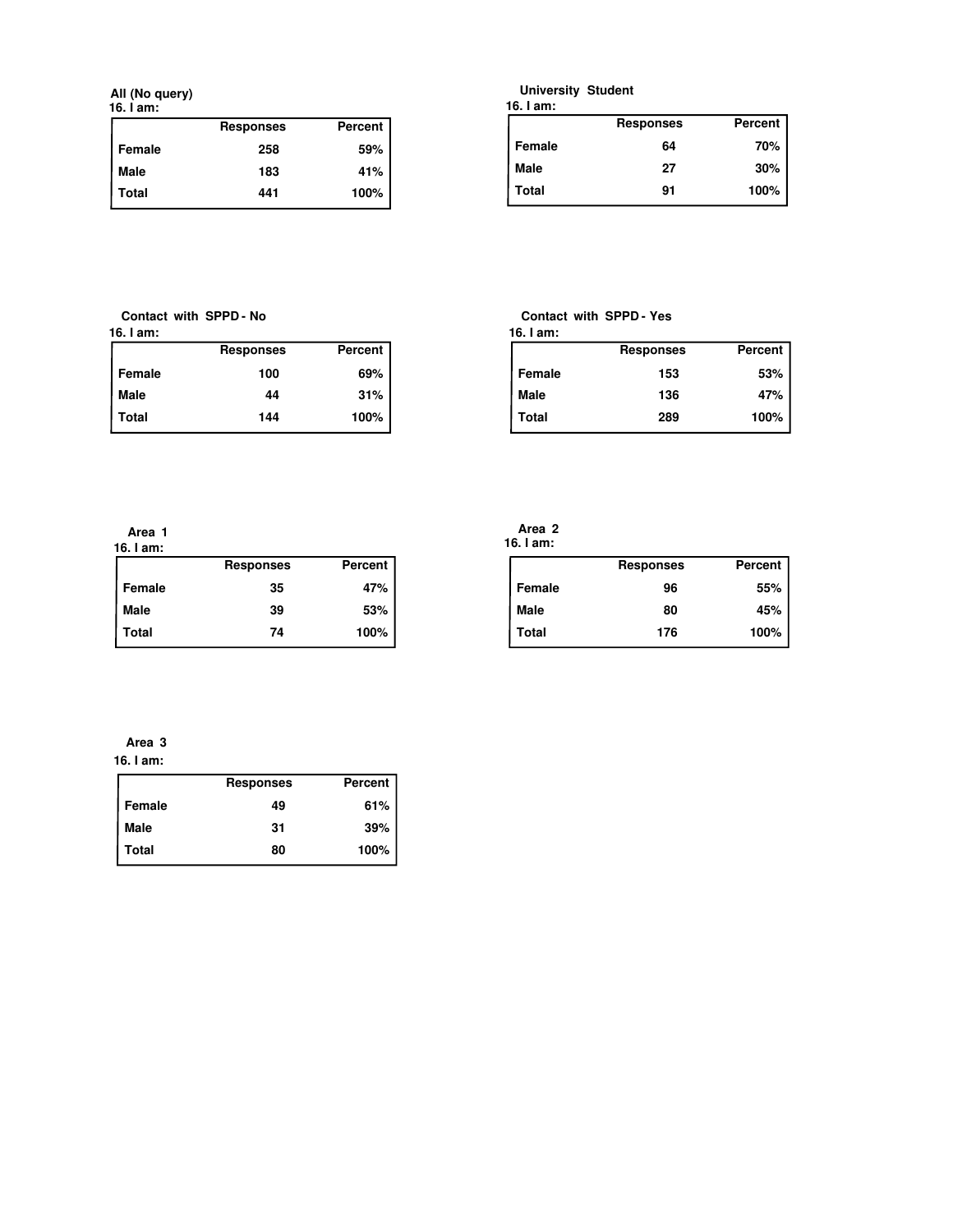**All (No query)**

| ۰.<br>v | . .<br>× |  |
|---------|----------|--|
|         |          |  |

|        | <b>Responses</b> | Percent |
|--------|------------------|---------|
| Female | 258              | 59%     |
| Male   | 183              | 41%     |
| Total  | 441              | 100%    |

## **University Student**

|  | 16. I am: |
|--|-----------|
|--|-----------|

|             | <b>Responses</b> | <b>Percent</b> |
|-------------|------------------|----------------|
| Female      | 64               | 70%            |
| <b>Male</b> | 27               | 30%            |
| Total       | 91               | 100%           |

**16. I am: Contact with SPPD - No**

|        | <b>Responses</b> | Percent |
|--------|------------------|---------|
| Female | 100              | 69%     |
| Male   | 44               | 31%     |
| Total  | 144              | 100%    |

#### **Contact with SPPD - Yes**

| 16. I am: |                  |         |
|-----------|------------------|---------|
|           | <b>Responses</b> | Percent |
| Female    | 153              | 53%     |
| Male      | 136              | 47%     |
| Total     | 289              | 100%    |

**16. I am: Area 1**

| 19. I GIII.  | <b>Responses</b> | Percent |
|--------------|------------------|---------|
| Female       | 35               | 47%     |
| l Male       | 39               | 53%     |
| <b>Total</b> | 74               | 100%    |

|           | Area <sub>2</sub> |  |
|-----------|-------------------|--|
| 16. I am: |                   |  |

|        | <b>Responses</b> | Percent |
|--------|------------------|---------|
| Female | 96               | 55%     |
| Male   | 80               | 45%     |
| Total  | 176              | 100%    |

## **16. I am: Area 3**

|             | <b>Responses</b> | <b>Percent</b> |
|-------------|------------------|----------------|
| Female      | 49               | 61%            |
| <b>Male</b> | 31               | 39%            |
| Total       | 80               | 100%           |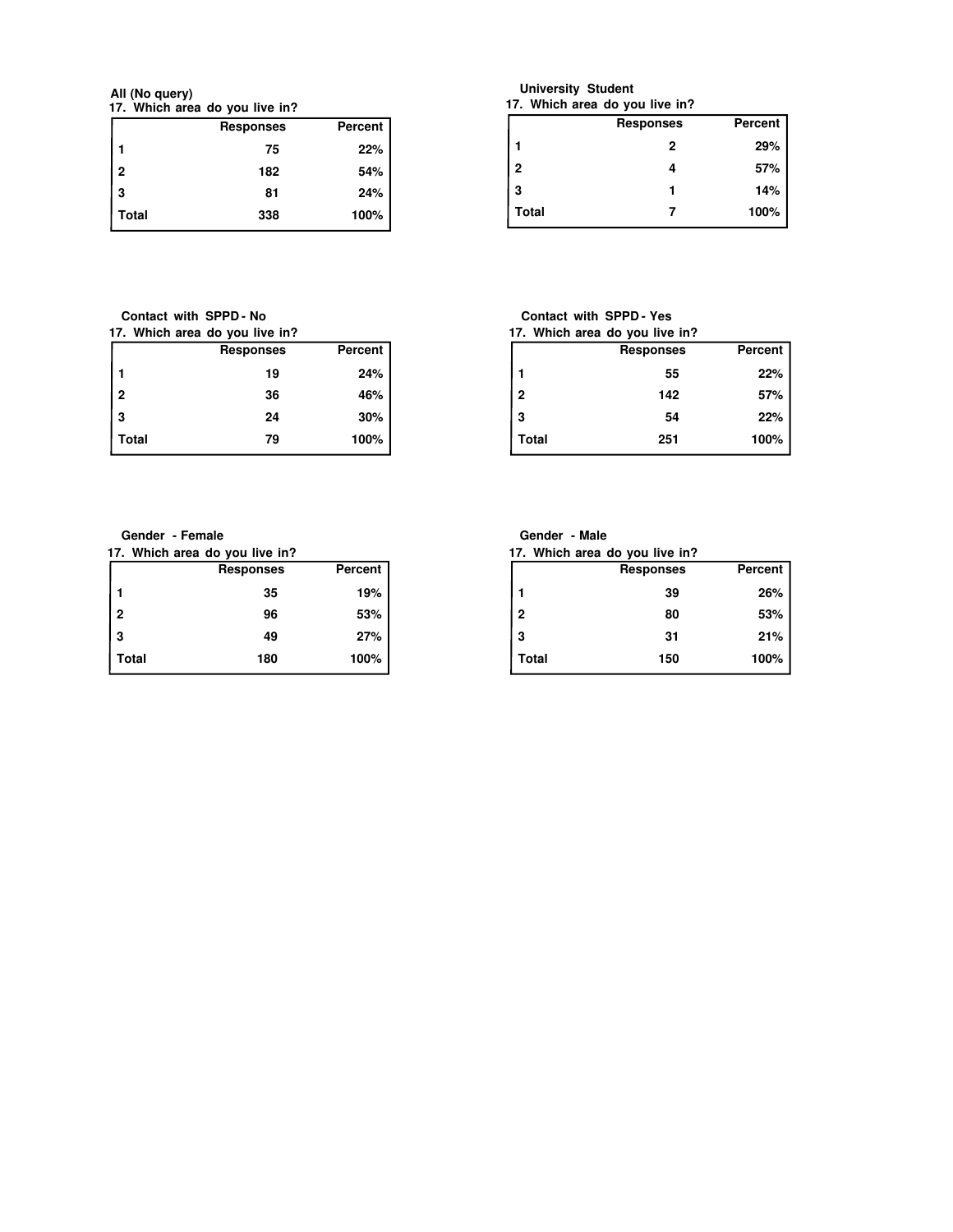**17. Which area do you live in? All (No query)**

|                | <b>Responses</b> | <b>Percent</b> |
|----------------|------------------|----------------|
|                | 75               | 22%            |
| $\overline{2}$ | 182              | 54%            |
| 3              | 81               | 24%            |
| Total          | 338              | 100%           |

**Contact with SPPD - No**

| 17. Which area do you live in? |                |  |
|--------------------------------|----------------|--|
| <b>Responses</b>               | <b>Percent</b> |  |
| 19                             | 24%            |  |
| 36                             | 46%            |  |
| 24                             | $30\%$         |  |
| 79                             | 100%           |  |
|                                | Total          |  |

**University Student**

|              | 17. Which area do you live in? |         |
|--------------|--------------------------------|---------|
|              | <b>Responses</b>               | Percent |
|              | 2                              | 29%     |
| $\mathbf{2}$ |                                | 57%     |
| 3            |                                | 14%     |
| Total        |                                | 100%    |

#### **Contact with SPPD - Yes**

|                | 17. Which area do you live in? |         |
|----------------|--------------------------------|---------|
|                | <b>Responses</b>               | Percent |
|                | 55                             | 22%     |
| $\overline{2}$ | 142                            | 57%     |
| 3              | 54                             | 22%     |
| Total          | 251                            | 100%    |

**Gender - Female**

**17. Which area do you live in?**

|              | <b>Responses</b> | <b>Percent</b> |
|--------------|------------------|----------------|
| 1            | 35               | 19%            |
| $\mathbf{2}$ | 96               | 53%            |
| 3            | 49               | 27%            |
| Total        | 180              | 100%           |

| Gender - Male |  |  |  |
|---------------|--|--|--|
|---------------|--|--|--|

|  | 17. Which area do you live in? |  |  |
|--|--------------------------------|--|--|
|--|--------------------------------|--|--|

|                | <b>Responses</b> | Percent |
|----------------|------------------|---------|
|                | 39               | 26%     |
| $\overline{2}$ | 80               | 53%     |
| 3              | 31               | 21%     |
| Total          | 150              | 100%    |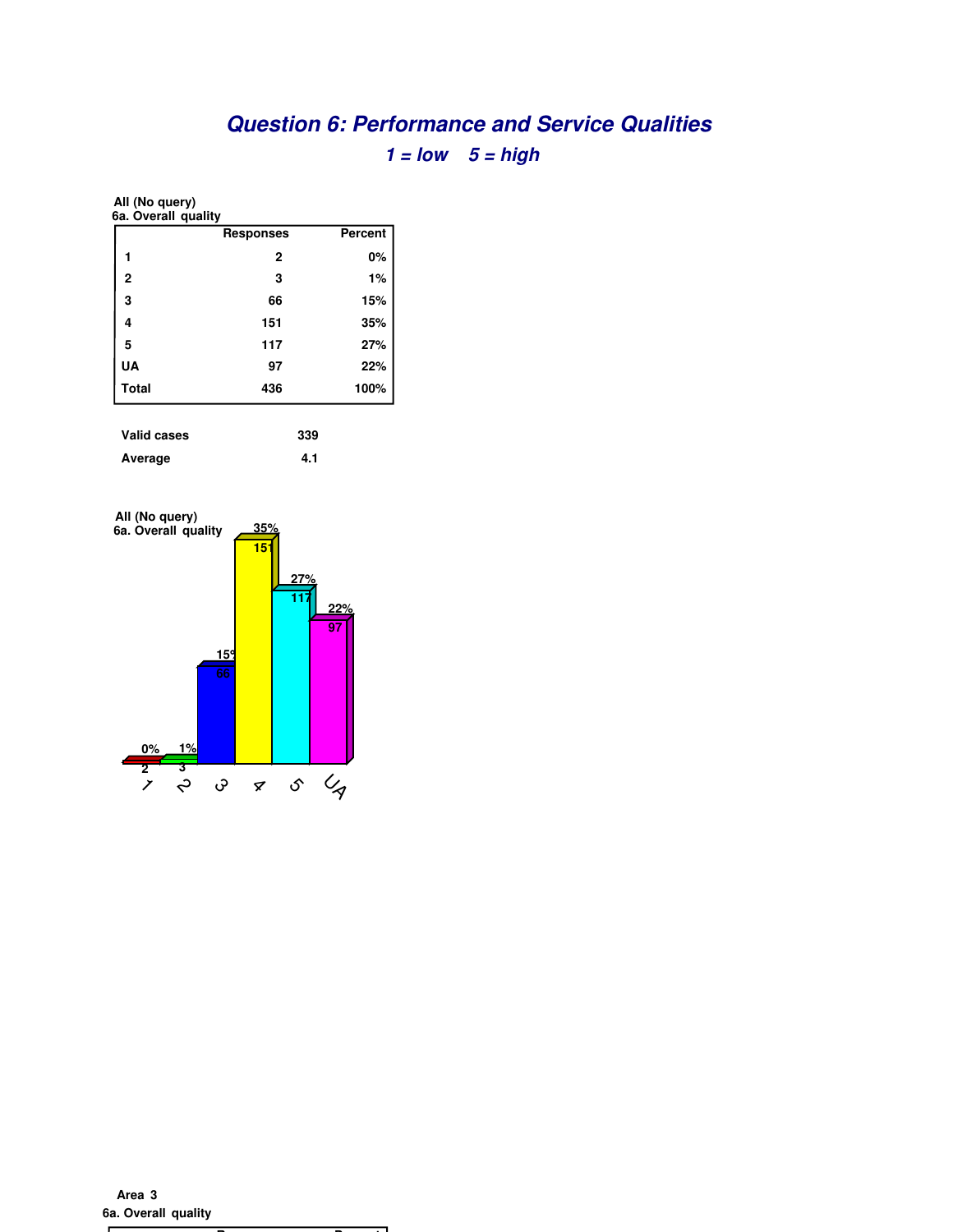# **Question 6: Performance and Service Qualities**  $1 = low \quad 5 = high$

**All (No query)**

| 6a. Overall quality |                  |         |
|---------------------|------------------|---------|
|                     | <b>Responses</b> | Percent |
| 1                   | $\mathbf{2}$     | 0%      |
| $\overline{2}$      | 3                | 1%      |
| 3                   | 66               | 15%     |
| 4                   | 151              | 35%     |
| 5                   | 117              | 27%     |
| <b>UA</b>           | 97               | 22%     |
| <b>Total</b>        | 436              | 100%    |
|                     |                  |         |

| Valid cases | 339 |
|-------------|-----|
| Average     | 4.1 |



**6a. Overall quality Area 3**

**Responses Percent**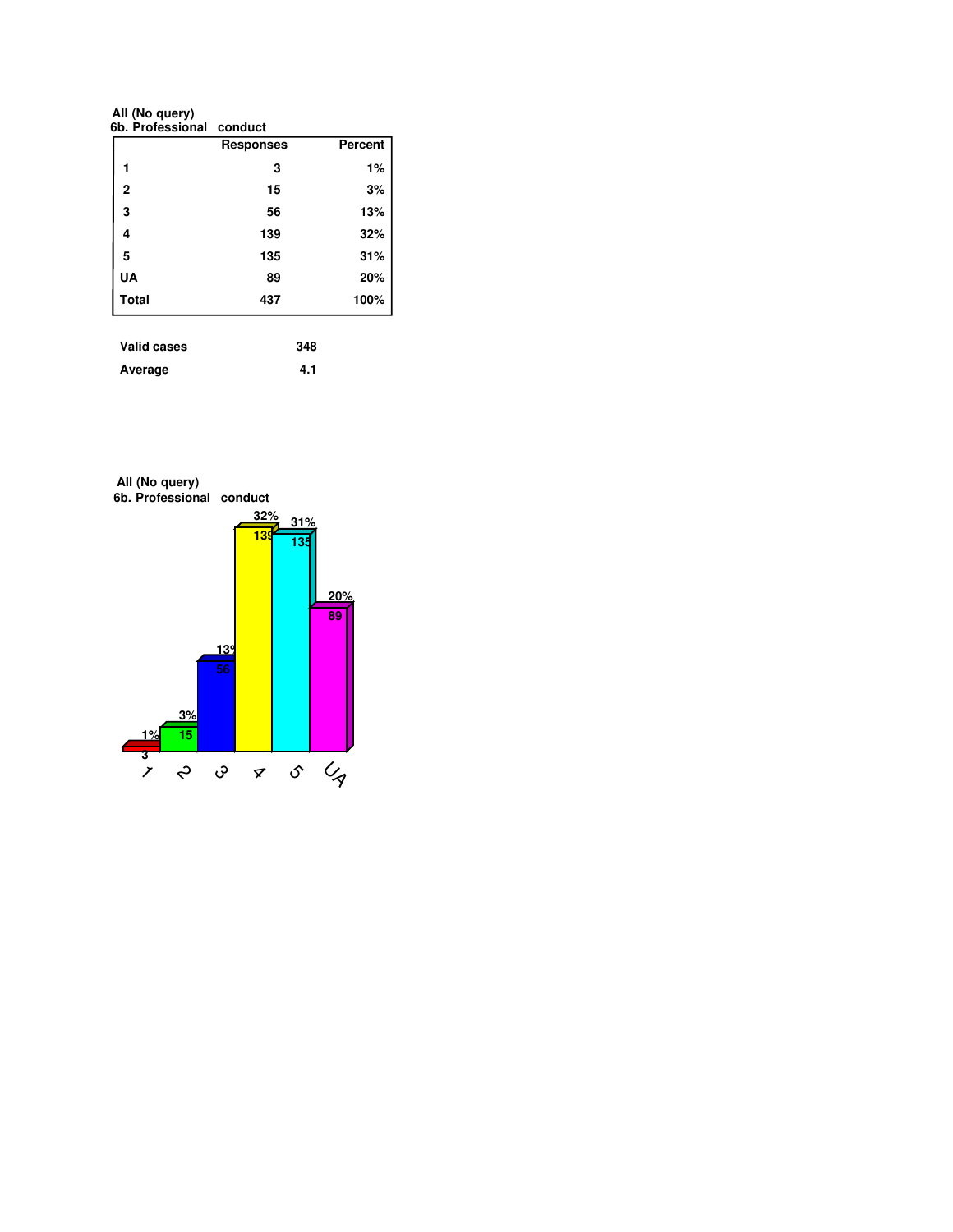**All (No query)**

| 6b. Professional conduct |                  |         |
|--------------------------|------------------|---------|
|                          | <b>Responses</b> | Percent |
| 1                        | 3                | 1%      |
| $\overline{2}$           | 15               | 3%      |
| 3                        | 56               | 13%     |
| 4                        | 139              | 32%     |
| 5                        | 135              | 31%     |
| UA                       | 89               | 20%     |
| <b>Total</b>             | 437              | 100%    |

| vanu vascs | utu |
|------------|-----|
| Average    | 4.1 |

**6b. Professional conduct All (No query)**

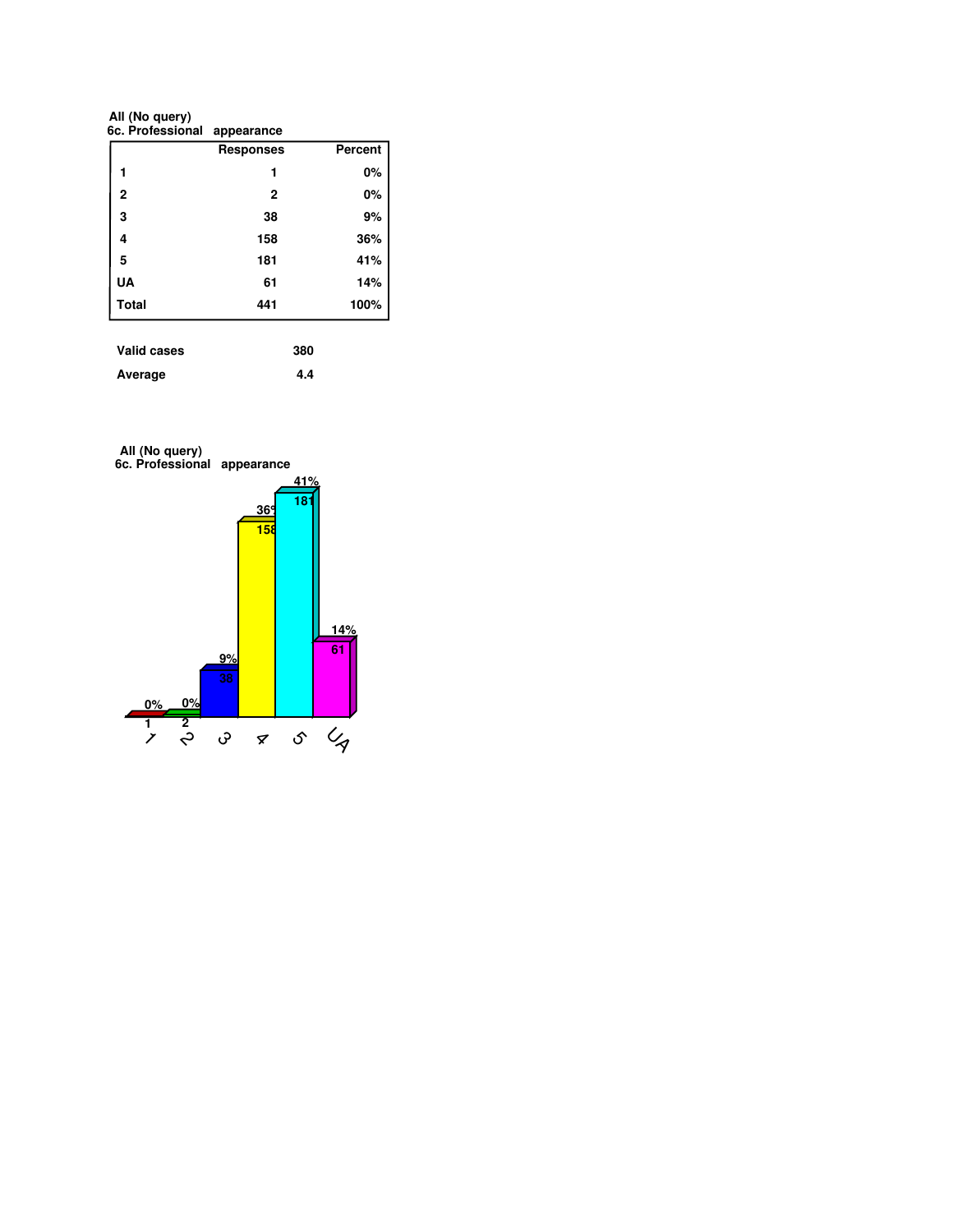**6c. Professional appearance All (No query)**

|              | <u>appourance</u> |         |
|--------------|-------------------|---------|
|              | <b>Responses</b>  | Percent |
| 1            | 1                 | 0%      |
| $\mathbf 2$  | $\mathbf{2}$      | 0%      |
| 3            | 38                | 9%      |
| 4            | 158               | 36%     |
| 5            | 181               | 41%     |
| UA           | 61                | 14%     |
| <b>Total</b> | 441               | 100%    |

| Valid cases | 380 |
|-------------|-----|
| Average     | 4.4 |



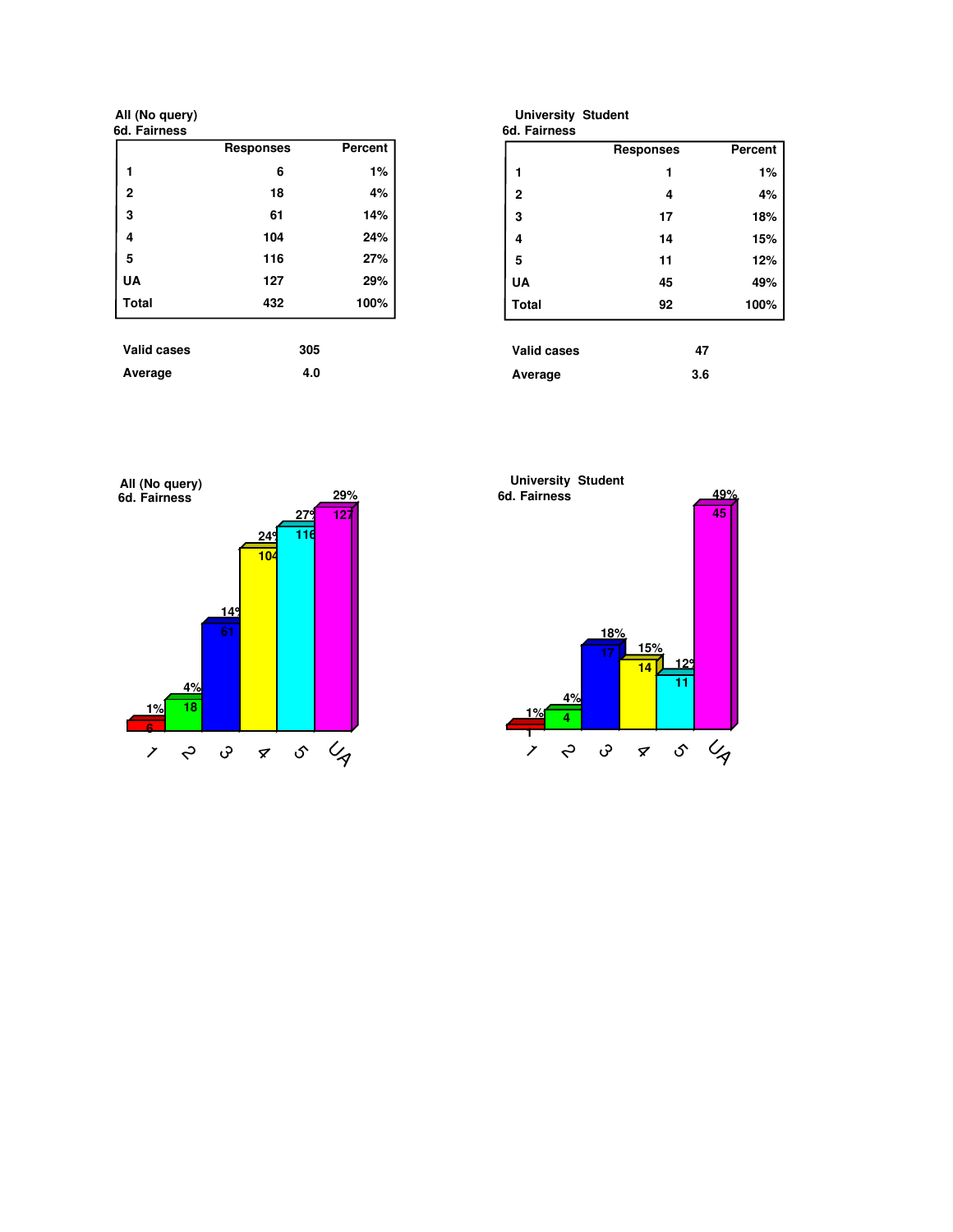**All (No query)**

| 6d. Fairness       |                  |                |
|--------------------|------------------|----------------|
|                    | <b>Responses</b> | <b>Percent</b> |
| 1                  | 6                | 1%             |
| $\overline{2}$     | 18               | 4%             |
| 3                  | 61               | 14%            |
| 4                  | 104              | 24%            |
| 5                  | 116              | 27%            |
| <b>UA</b>          | 127              | 29%            |
| <b>Total</b>       | 432              | 100%           |
| <b>Valid cases</b> | 305              |                |
| Average            | 4.0              |                |

| <b>University Student</b> |                  |         |
|---------------------------|------------------|---------|
| 6d. Fairness              |                  |         |
|                           | <b>Responses</b> | Percent |
| 1                         | 1                | 1%      |
| $\overline{2}$            | 4                | 4%      |
| 3                         | 17               | 18%     |
| 4                         | 14               | 15%     |
| 5                         | 11               | 12%     |
| <b>UA</b>                 | 45               | 49%     |
| <b>Total</b>              | 92               | 100%    |
|                           |                  |         |
| <b>Valid cases</b>        | 47               |         |
| Average                   | 3.6              |         |



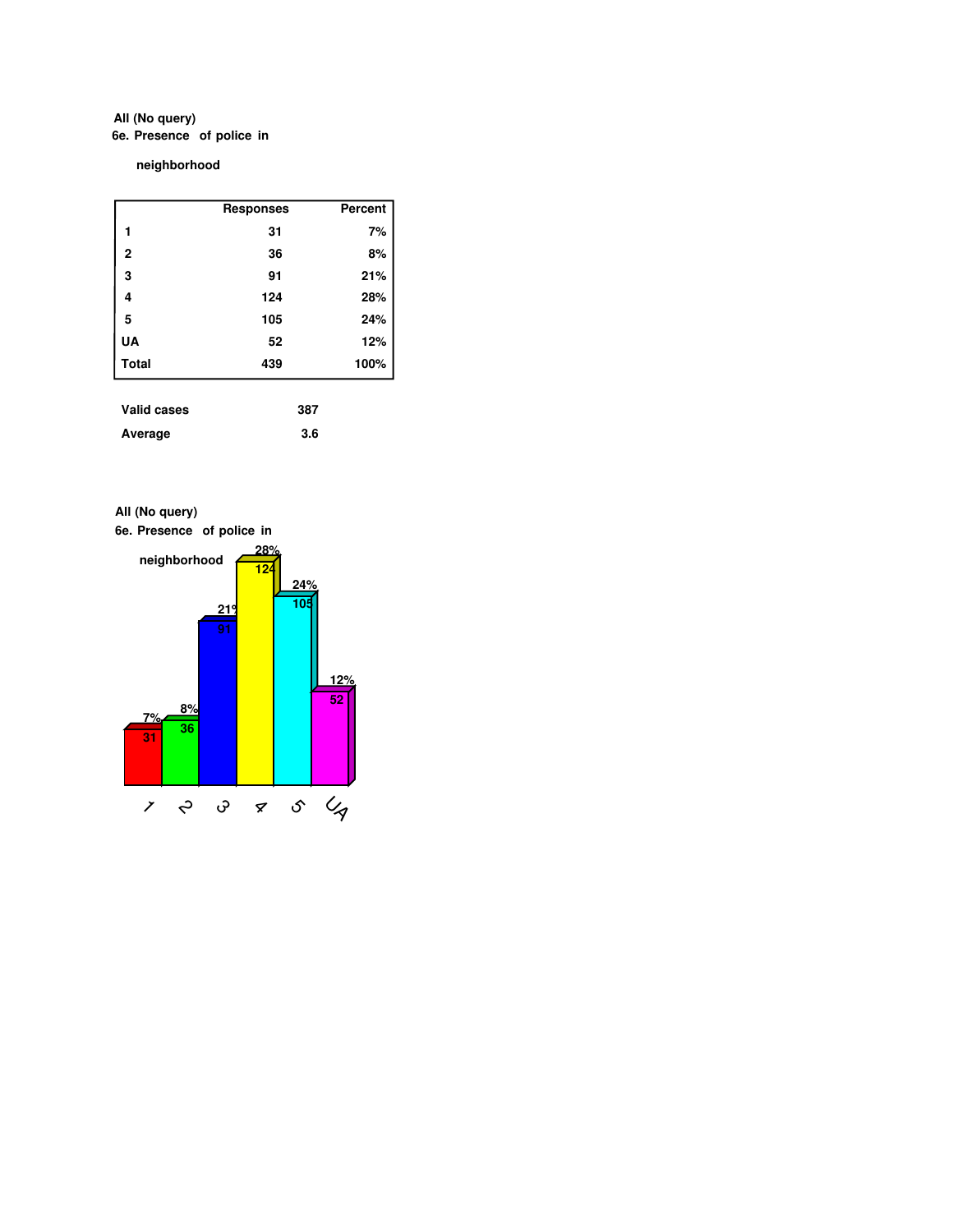## **6e. Presence of police in All (No query)**

**neighborhood**

|                | <b>Responses</b> | Percent |
|----------------|------------------|---------|
| 1              | 31               | 7%      |
| $\overline{2}$ | 36               | 8%      |
| 3              | 91               | 21%     |
| 4              | 124              | 28%     |
| 5              | 105              | 24%     |
| UA             | 52               | 12%     |
| <b>Total</b>   | 439              | 100%    |
|                |                  |         |

| Valid cases | 387 |
|-------------|-----|
| Average     | 3.6 |





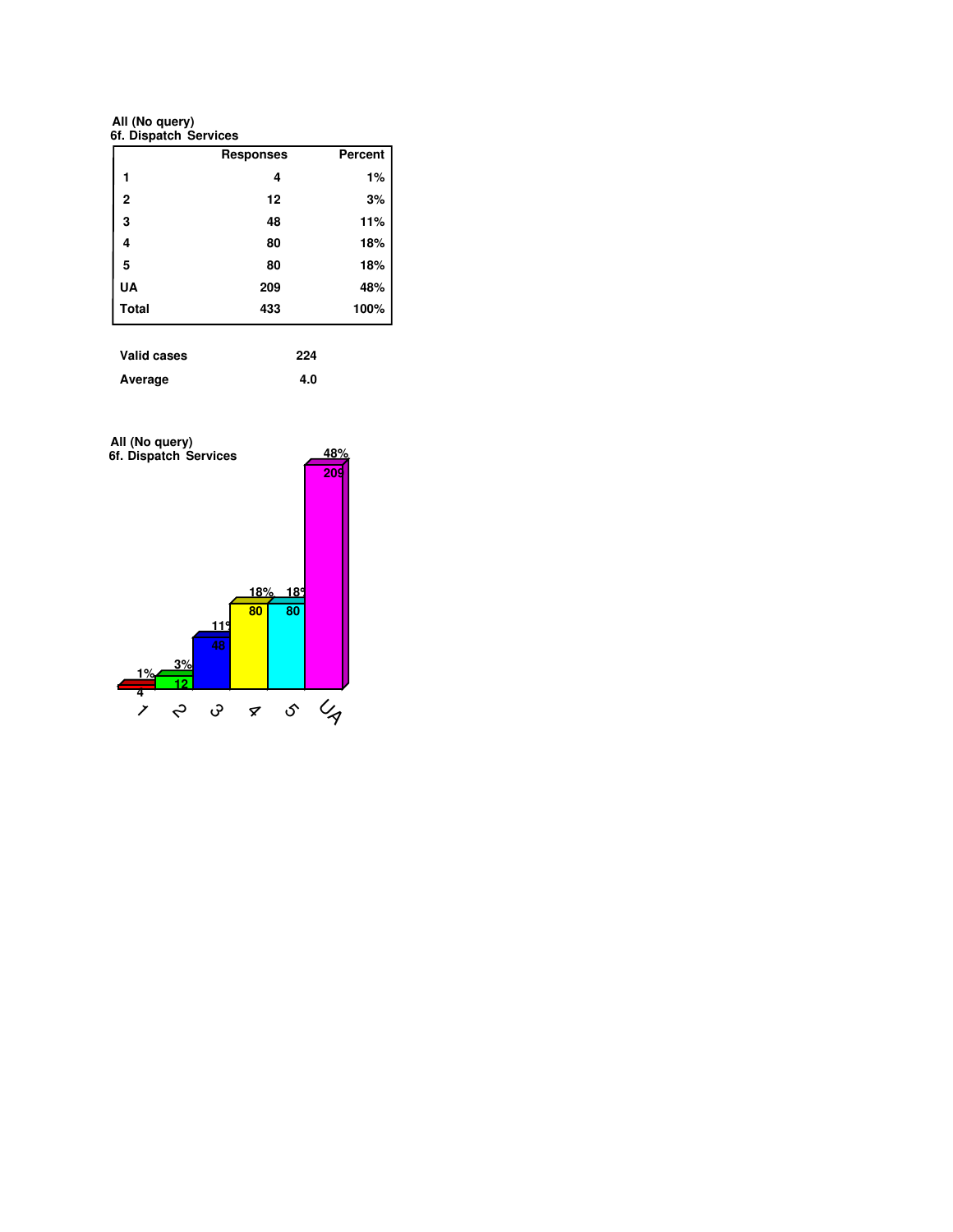**6f. Dispatch Services All (No query)**

|              | <b>Responses</b> | <b>Percent</b> |
|--------------|------------------|----------------|
| 1            | 4                | 1%             |
| $\mathbf{2}$ | 12               | 3%             |
| 3            | 48               | 11%            |
| 4            | 80               | 18%            |
| 5            | 80               | 18%            |
| <b>UA</b>    | 209              | 48%            |
| <b>Total</b> | 433              | 100%           |

| Valid cases | 224 |
|-------------|-----|
| Average     | 4.0 |

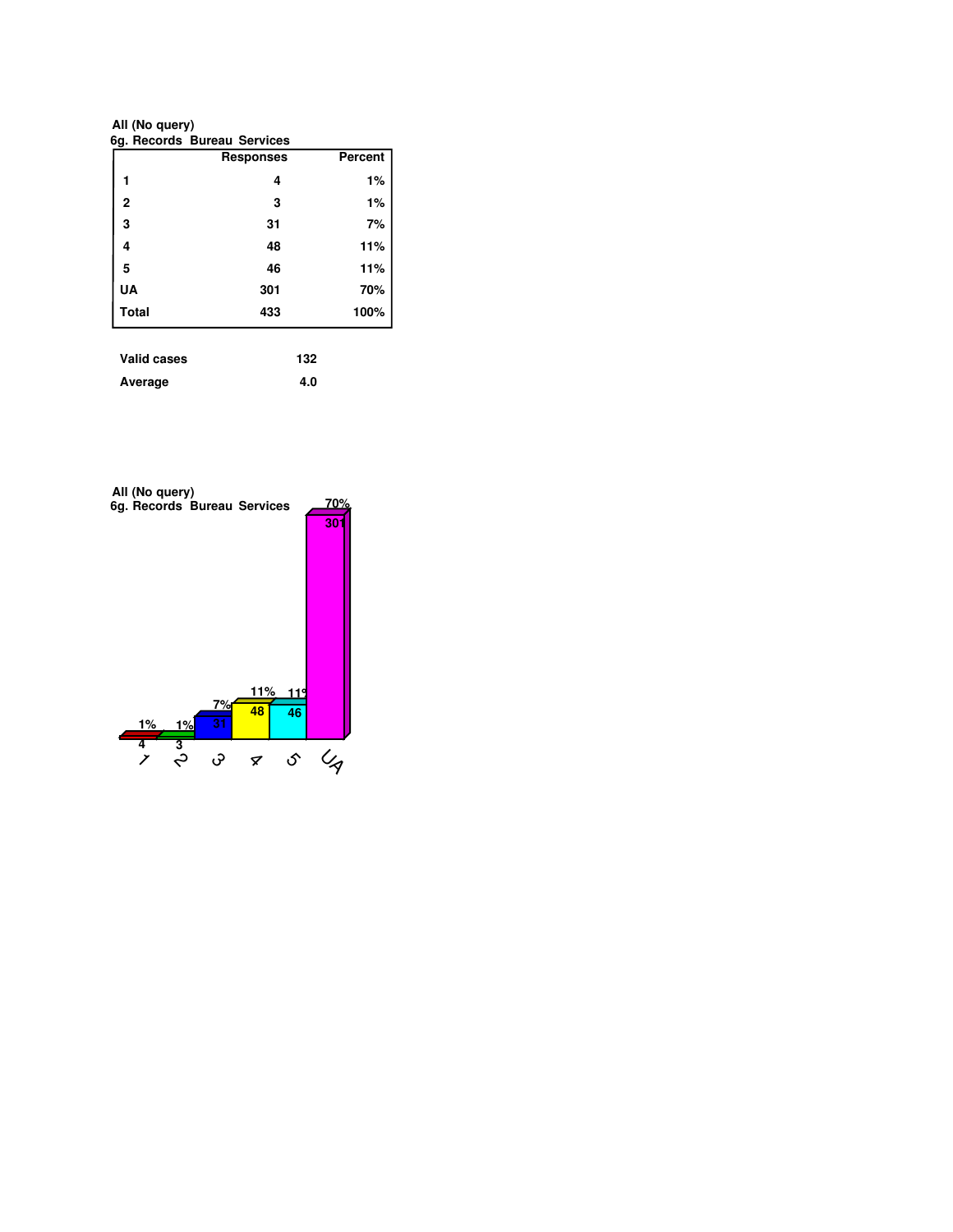**6g. Records Bureau Services All (No query)**

|              | <b>Responses</b> | Percent |
|--------------|------------------|---------|
|              | 4                | 1%      |
| 2            | 3                | 1%      |
| 3            | 31               | 7%      |
| 4            | 48               | 11%     |
| 5            | 46               | 11%     |
| <b>UA</b>    | 301              | 70%     |
| <b>Total</b> | 433              | 100%    |

| Valid cases | 132 |
|-------------|-----|
| Average     | 4.0 |

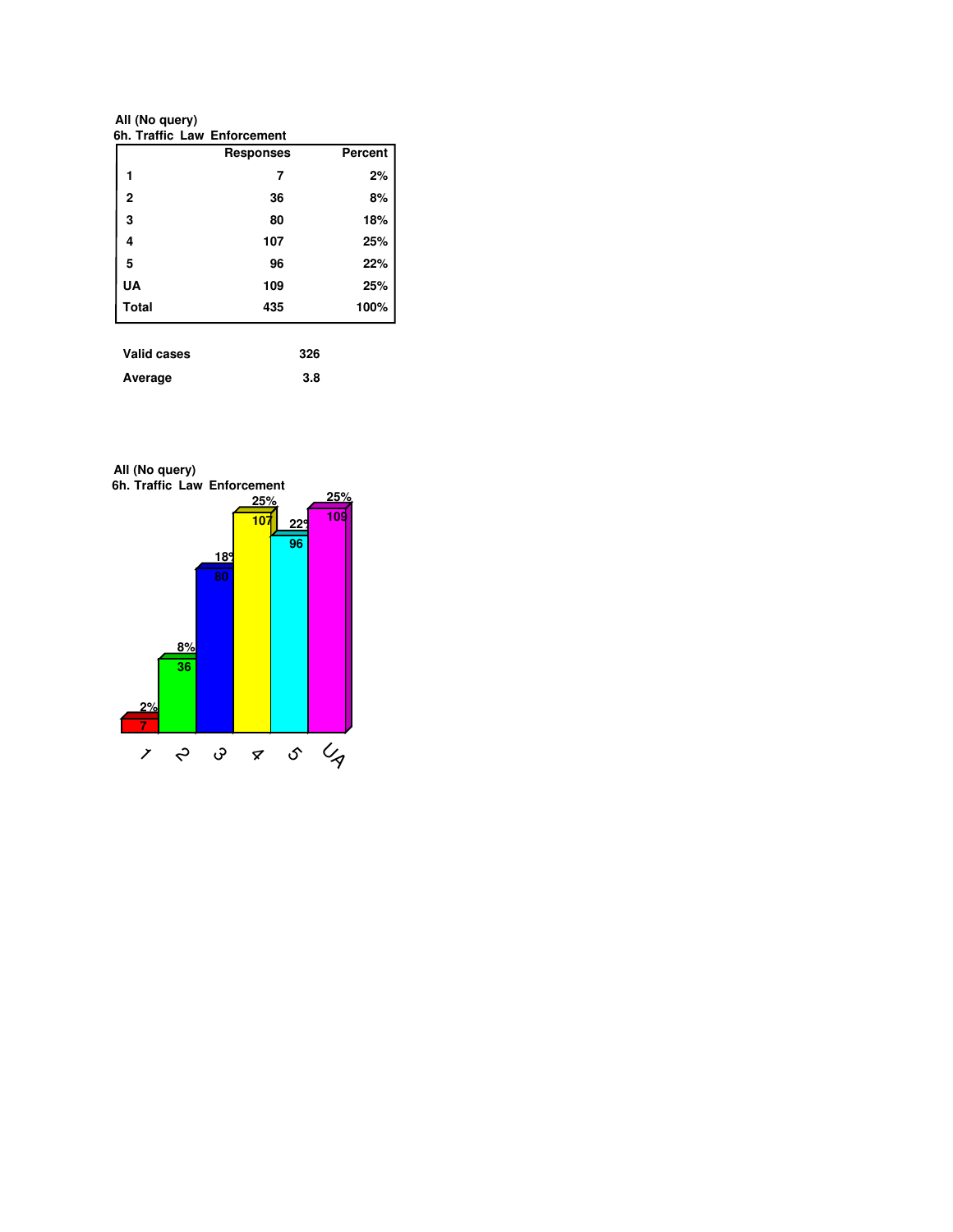**6h. Traffic Law Enforcement All (No query)**

|                    | <b>Responses</b> | Percent |
|--------------------|------------------|---------|
| 1                  | 7                | 2%      |
| 2                  | 36               | 8%      |
| 3                  | 80               | 18%     |
| 4                  | 107              | 25%     |
| 5                  | 96               | 22%     |
| UA                 | 109              | 25%     |
| <b>Total</b>       | 435              | 100%    |
|                    |                  |         |
| <b>Valid cases</b> | 326              |         |

| ------------- |     |
|---------------|-----|
| Average       | 3.8 |

**6h. Traffic Law Enforcement All (No query)**

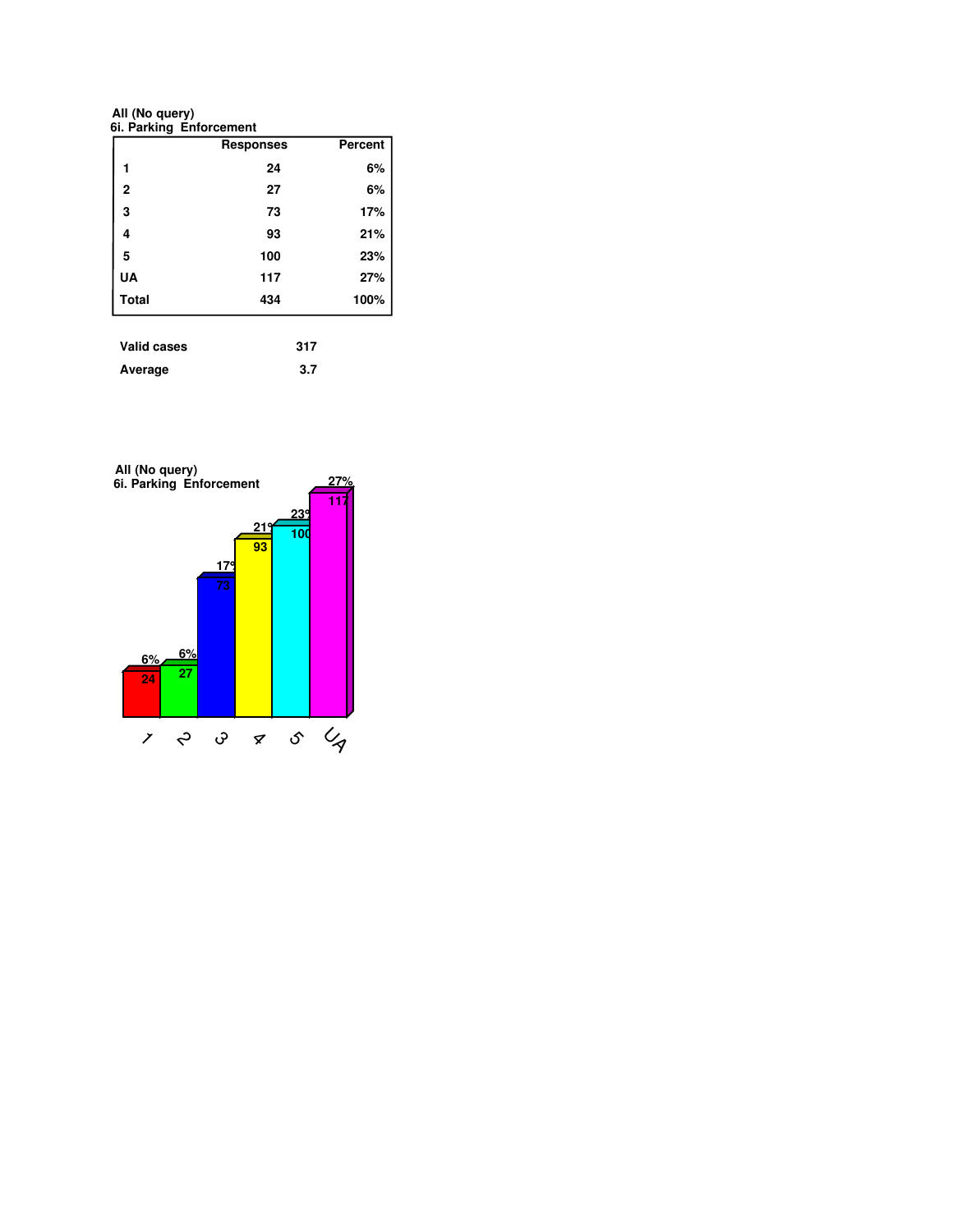**All (No query)**

|              | <b>Responses</b> | Percent |
|--------------|------------------|---------|
|              | 24               | 6%      |
| 2            | 27               | 6%      |
| 3            | 73               | 17%     |
| 4            | 93               | 21%     |
| 5            | 100              | 23%     |
| UA           | 117              | 27%     |
| <b>Total</b> | 434              | 100%    |

| Average | 3.7 |
|---------|-----|
|         |     |

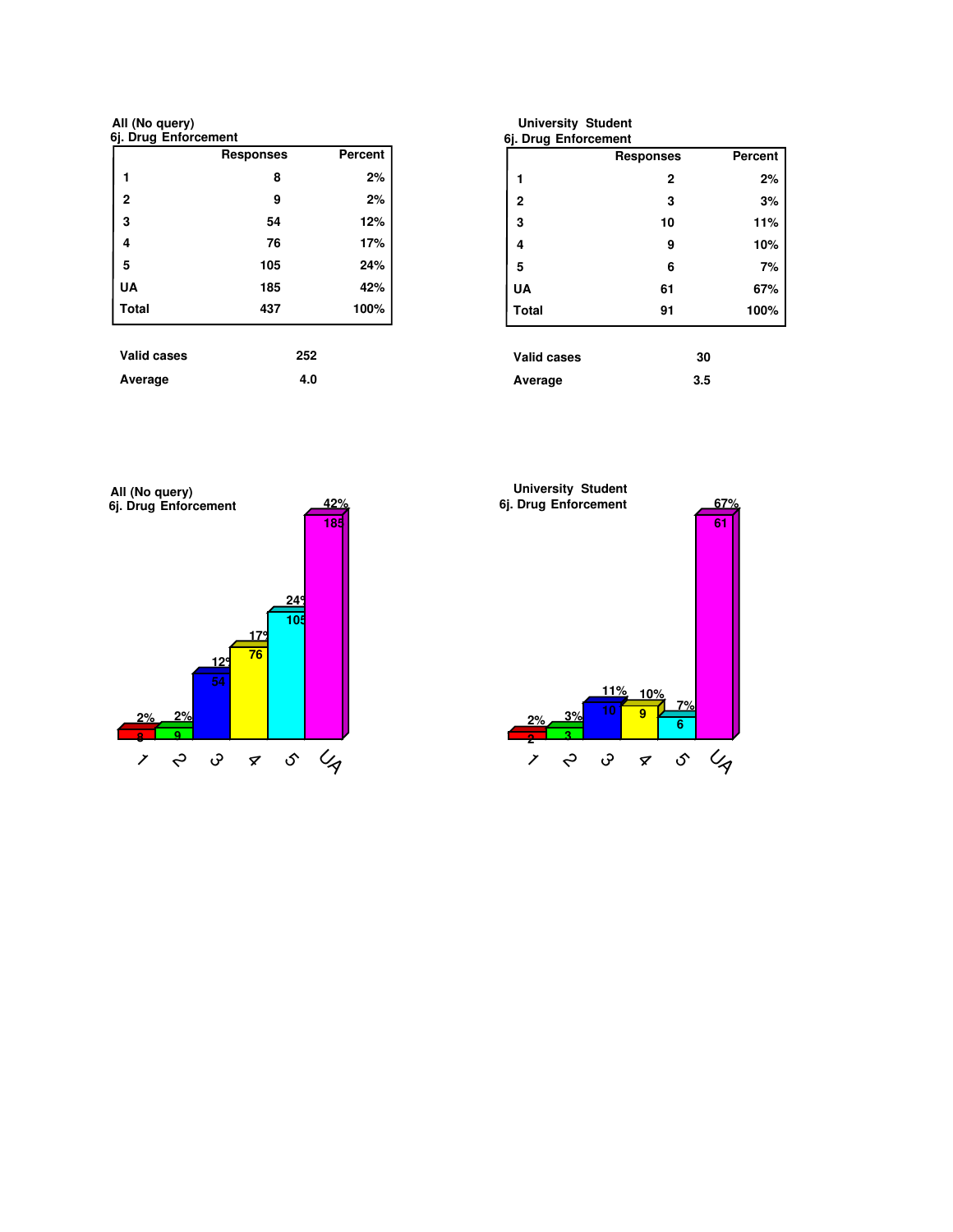**6j. Drug Enforcement All (No query)**

|                    | <b>Responses</b> | Percent |
|--------------------|------------------|---------|
| 1                  | 8                | 2%      |
| $\mathbf{2}$       | 9                | 2%      |
| 3                  | 54               | 12%     |
| 4                  | 76               | 17%     |
| 5                  | 105              | 24%     |
| UA                 | 185              | 42%     |
| <b>Total</b>       | 437              | 100%    |
|                    |                  |         |
| <b>Valid cases</b> | 252              |         |

| <b>University Student</b><br>6j. Drug Enforcement |                  |                |
|---------------------------------------------------|------------------|----------------|
|                                                   | <b>Responses</b> | <b>Percent</b> |
| 1                                                 | $\mathbf 2$      | 2%             |
| $\overline{2}$                                    | 3                | 3%             |
| 3                                                 | 10               | 11%            |
| 4                                                 | 9                | 10%            |
| 5                                                 | 6                | 7%             |
| UA                                                | 61               | 67%            |
| <b>Total</b>                                      | 91               | 100%           |
| <b>Valid cases</b>                                | 30               |                |
| Average                                           | 3.5              |                |



Average 4.0

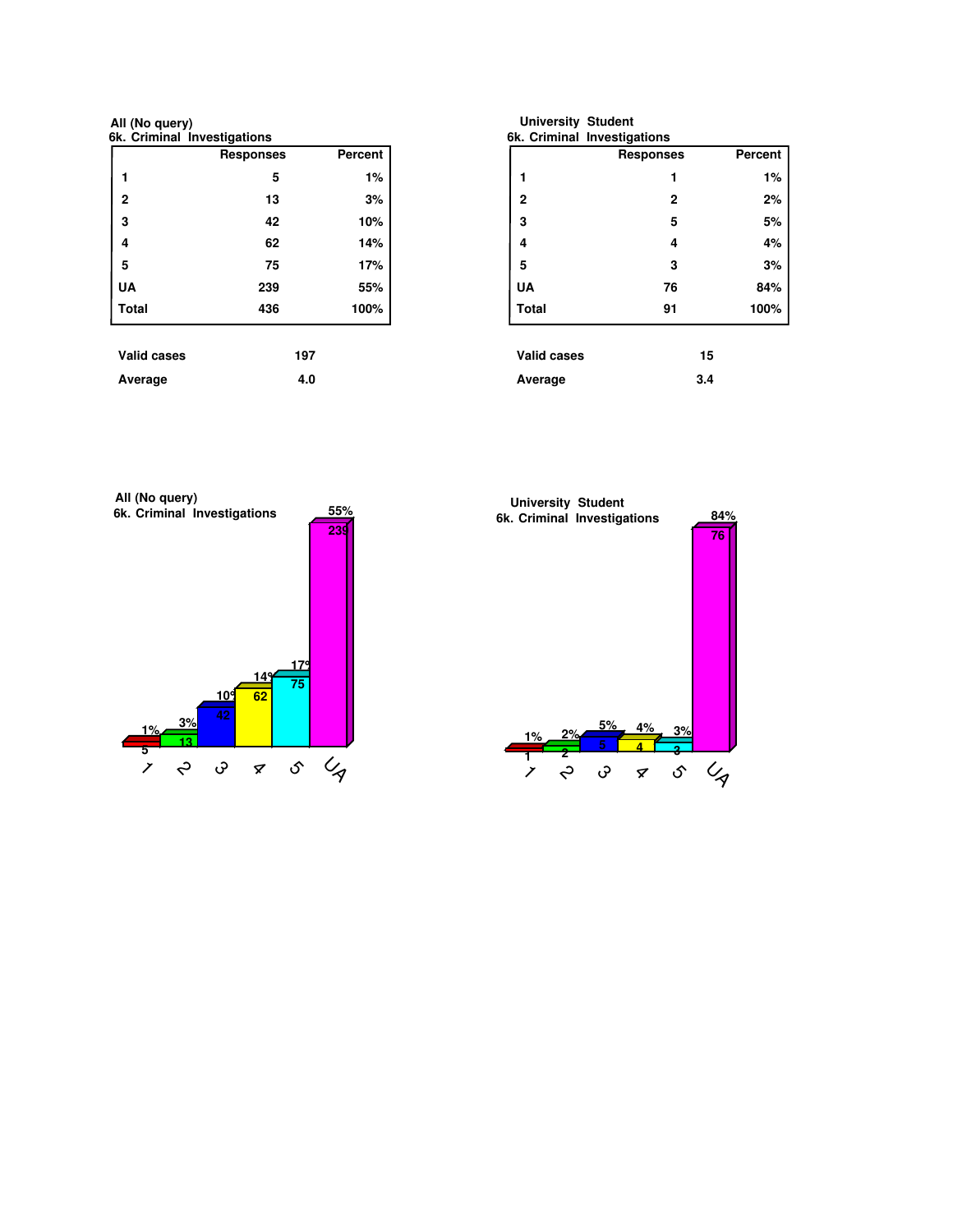**6k. Criminal Investigations All (No query)**

|                    | <b>Responses</b> | <b>Percent</b> |
|--------------------|------------------|----------------|
| 1                  | 5                | 1%             |
| $\mathbf{2}$       | 13               | 3%             |
| 3                  | 42               | 10%            |
| 4                  | 62               | 14%            |
| 5                  | 75               | 17%            |
| <b>UA</b>          | 239              | 55%            |
| <b>Total</b>       | 436              | 100%           |
| <b>Valid cases</b> | 197              |                |
|                    |                  |                |
| Average            | 4.0              |                |

| <b>University Student</b><br>6k. Criminal Investigations |                  |                |
|----------------------------------------------------------|------------------|----------------|
|                                                          | <b>Responses</b> | <b>Percent</b> |
| 1                                                        | 1                | 1%             |
| $\overline{2}$                                           | $\mathbf{2}$     | 2%             |
| 3                                                        | 5                | 5%             |
| 4                                                        | 4                | 4%             |
| 5                                                        | 3                | 3%             |
| UA                                                       | 76               | 84%            |
| Total                                                    | 91               | 100%           |
| Valid cases                                              | 15               |                |
| Average                                                  | 3.4              |                |



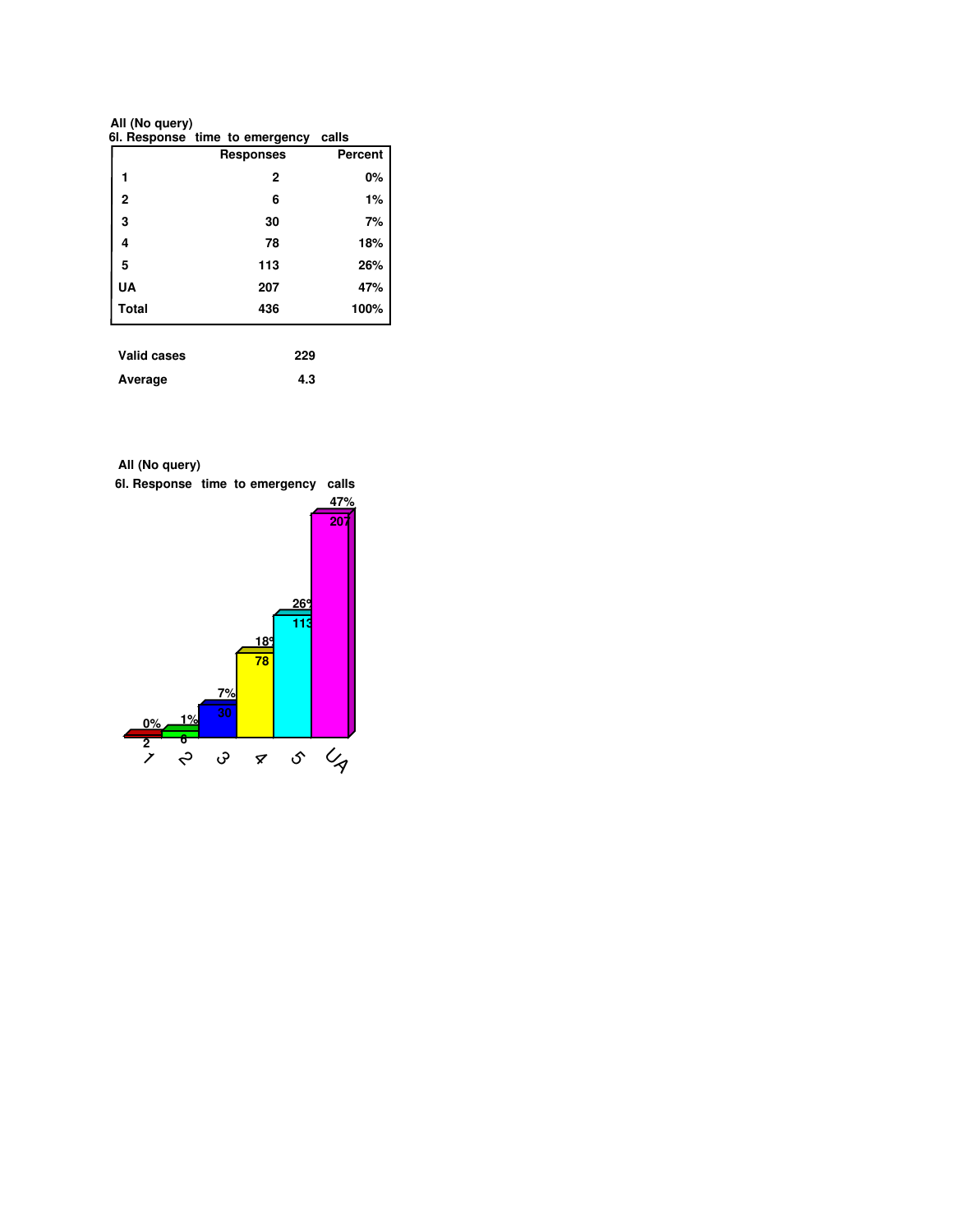**All (No query)**

|              | 61. Response time to emergency calls |         |
|--------------|--------------------------------------|---------|
|              | <b>Responses</b>                     | Percent |
|              | 2                                    | 0%      |
| $\mathbf{2}$ | 6                                    | 1%      |
| 3            | 30                                   | 7%      |
| 4            | 78                                   | 18%     |
| 5            | 113                                  | 26%     |
| UA           | 207                                  | 47%     |
| <b>Total</b> | 436                                  | 100%    |
|              |                                      |         |

| <b>Valid cases</b> | 229 |
|--------------------|-----|
| Average            | 4.3 |

**All (No query)**

**6l. Response time to emergency calls**

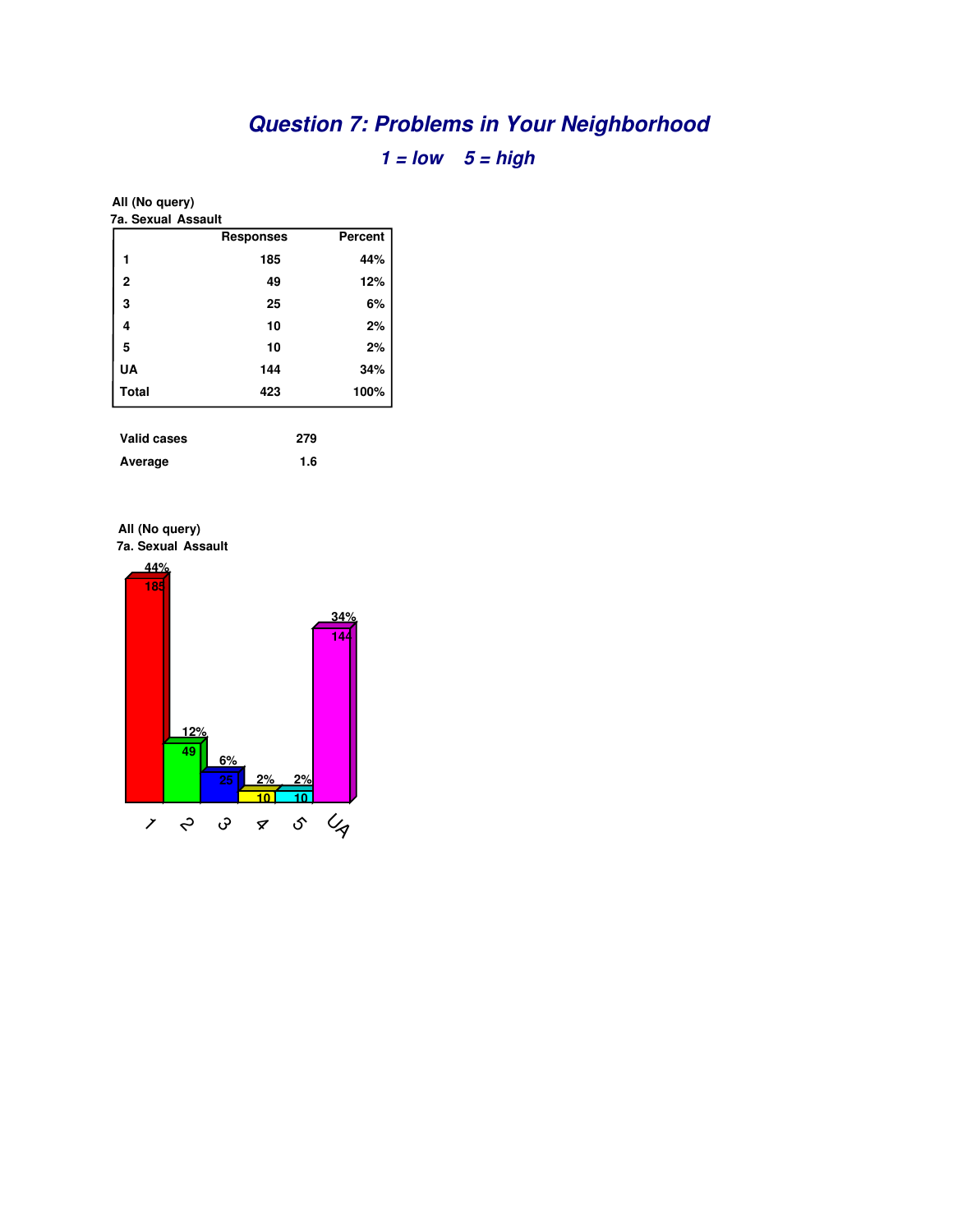# **Question 7: Problems in Your Neighborhood**

**1 = low 5 = high**

## **All (No query)**

| 7a. Sexual Assault |                  |         |
|--------------------|------------------|---------|
|                    | <b>Responses</b> | Percent |
| 1                  | 185              | 44%     |
| $\mathbf{2}$       | 49               | 12%     |
| 3                  | 25               | 6%      |
| 4                  | 10               | 2%      |
| 5                  | 10               | 2%      |
| <b>UA</b>          | 144              | 34%     |
| <b>Total</b>       | 423              | 100%    |
|                    |                  |         |
| <b>Valid cases</b> | 279              |         |
| Average            | 1.6              |         |



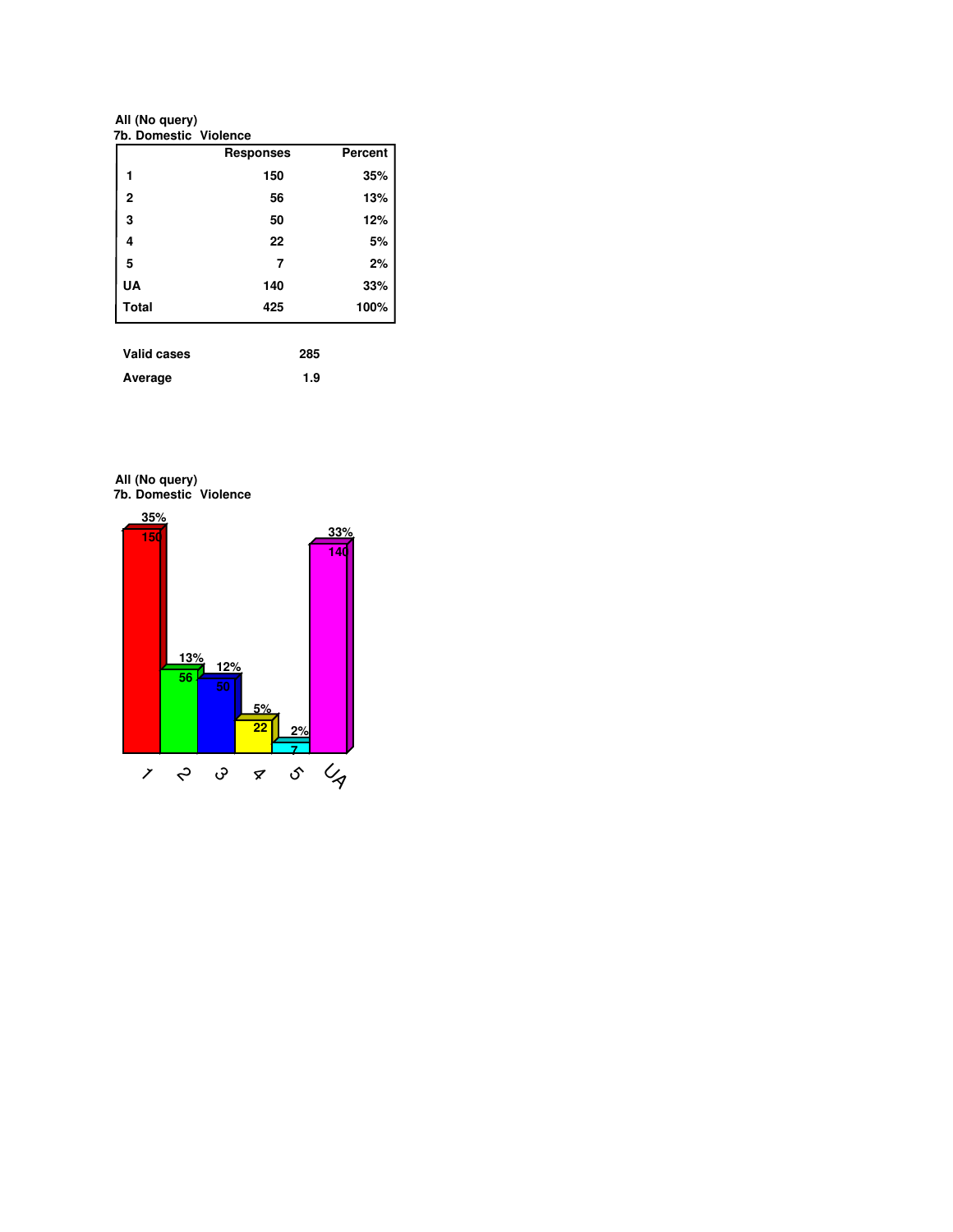**All (No query)**

|              | <b>Responses</b> | Percent |
|--------------|------------------|---------|
|              | 150              | 35%     |
| 2            | 56               | 13%     |
| 3            | 50               | 12%     |
| 4            | 22               | 5%      |
| 5            | 7                | 2%      |
| <b>UA</b>    | 140              | 33%     |
| <b>Total</b> | 425              | 100%    |

| <b>Valid cases</b> | 285 |
|--------------------|-----|
| Average            | 1.9 |

**7b. Domestic Violence All (No query)**

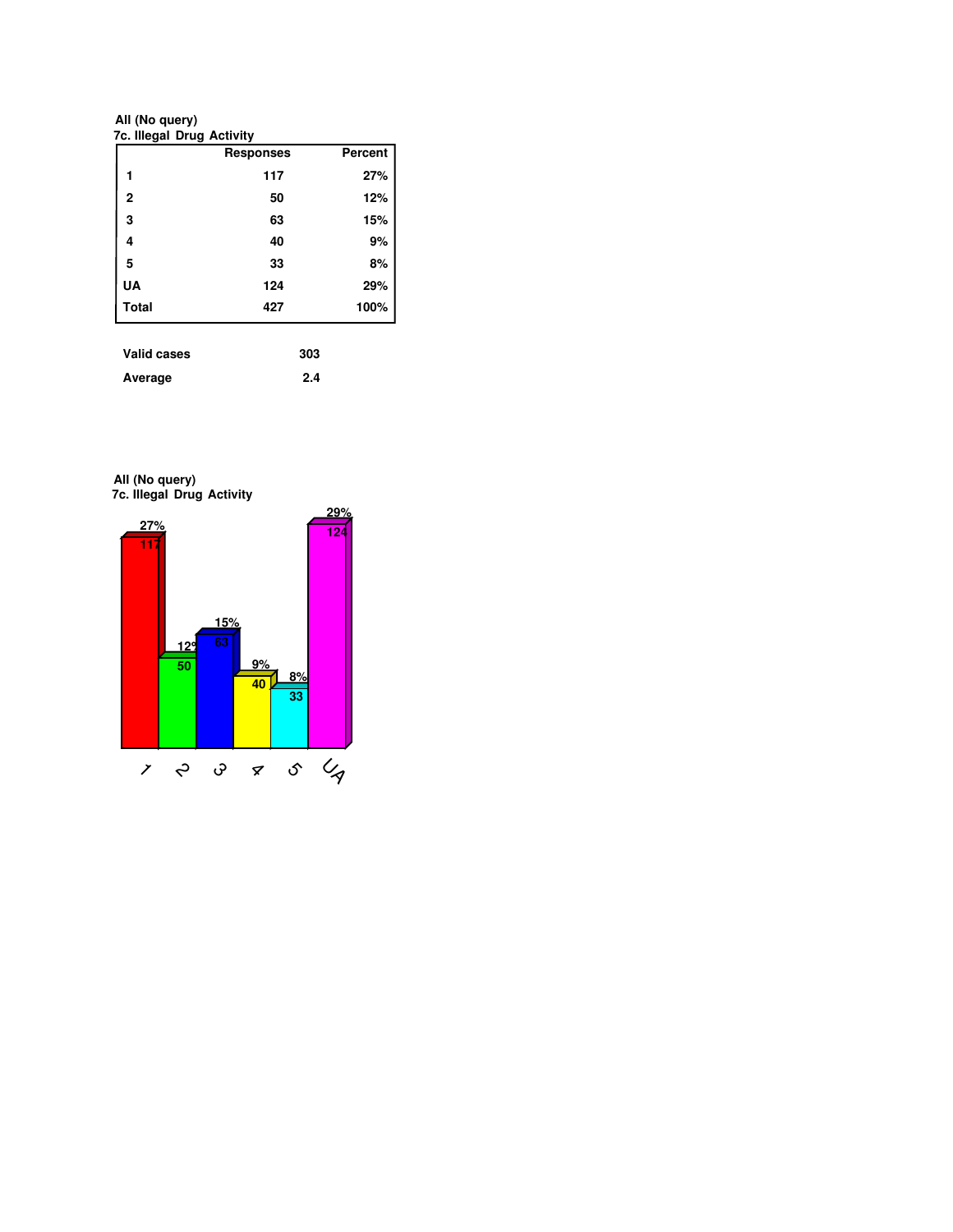**7c. Illegal Drug Activity All (No query)**

|                    | <b>Responses</b> | Percent |
|--------------------|------------------|---------|
| 1                  | 117              | 27%     |
| $\mathbf{2}$       | 50               | 12%     |
| 3                  | 63               | 15%     |
| 4                  | 40               | 9%      |
| 5                  | 33               | 8%      |
| UA                 | 124              | 29%     |
| <b>Total</b>       | 427              | 100%    |
|                    |                  |         |
| <b>Valid cases</b> | 303              |         |

| - - - - - - - - - - - - |     |
|-------------------------|-----|
| Average                 | 2.4 |

**7c. Illegal Drug Activity All (No query)**

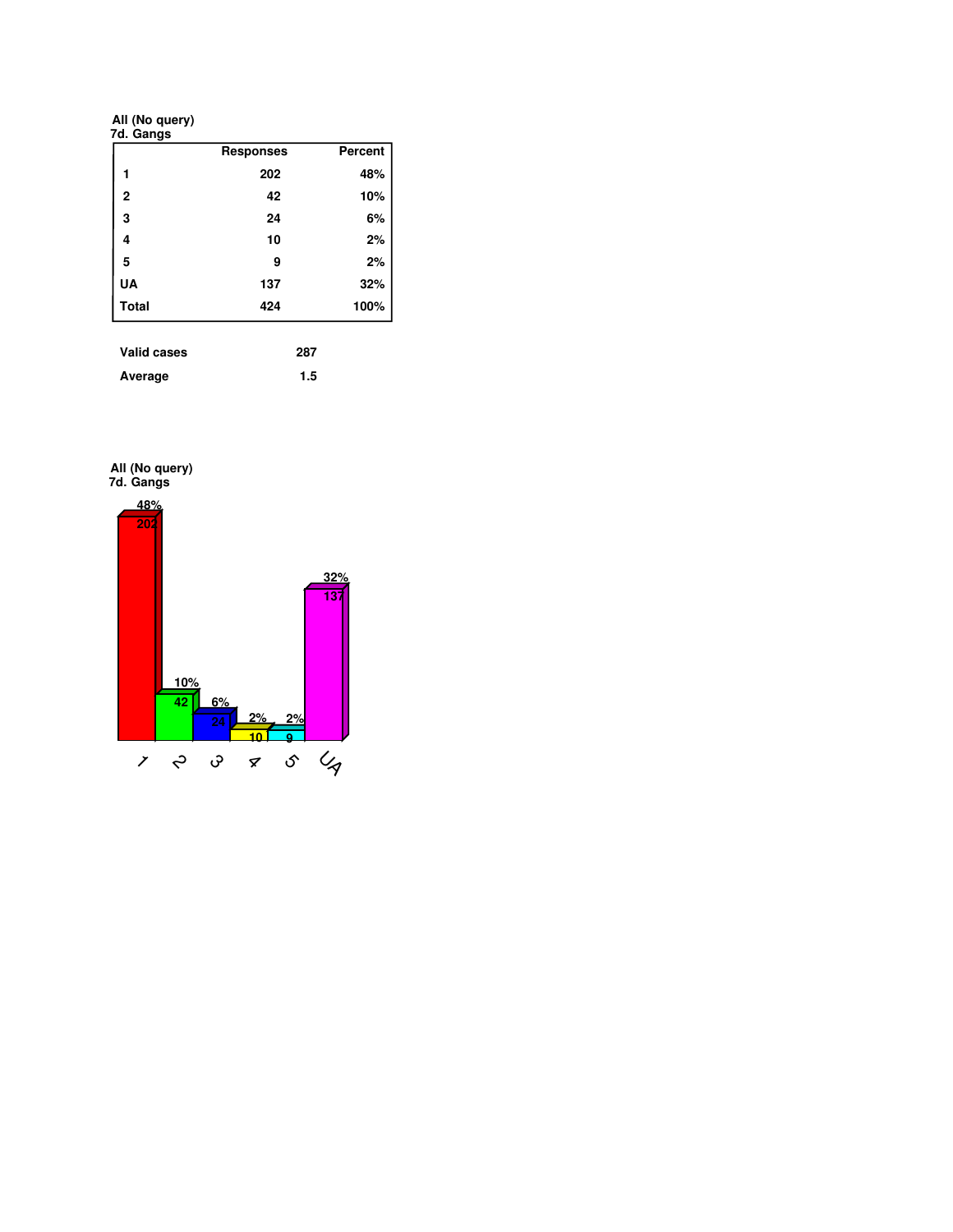**All (No query)**

| 7d. Gangs      |                  |         |
|----------------|------------------|---------|
|                | <b>Responses</b> | Percent |
| 1              | 202              | 48%     |
| $\overline{2}$ | 42               | 10%     |
| 3              | 24               | 6%      |
| 4              | 10               | 2%      |
| 5              | 9                | 2%      |
| <b>UA</b>      | 137              | 32%     |
| <b>Total</b>   | 424              | 100%    |
|                |                  |         |
| Valid cases    | 287              |         |

| vallu cases | 20 I |
|-------------|------|
| Average     | 1.5  |

**7d. Gangs All (No query)**

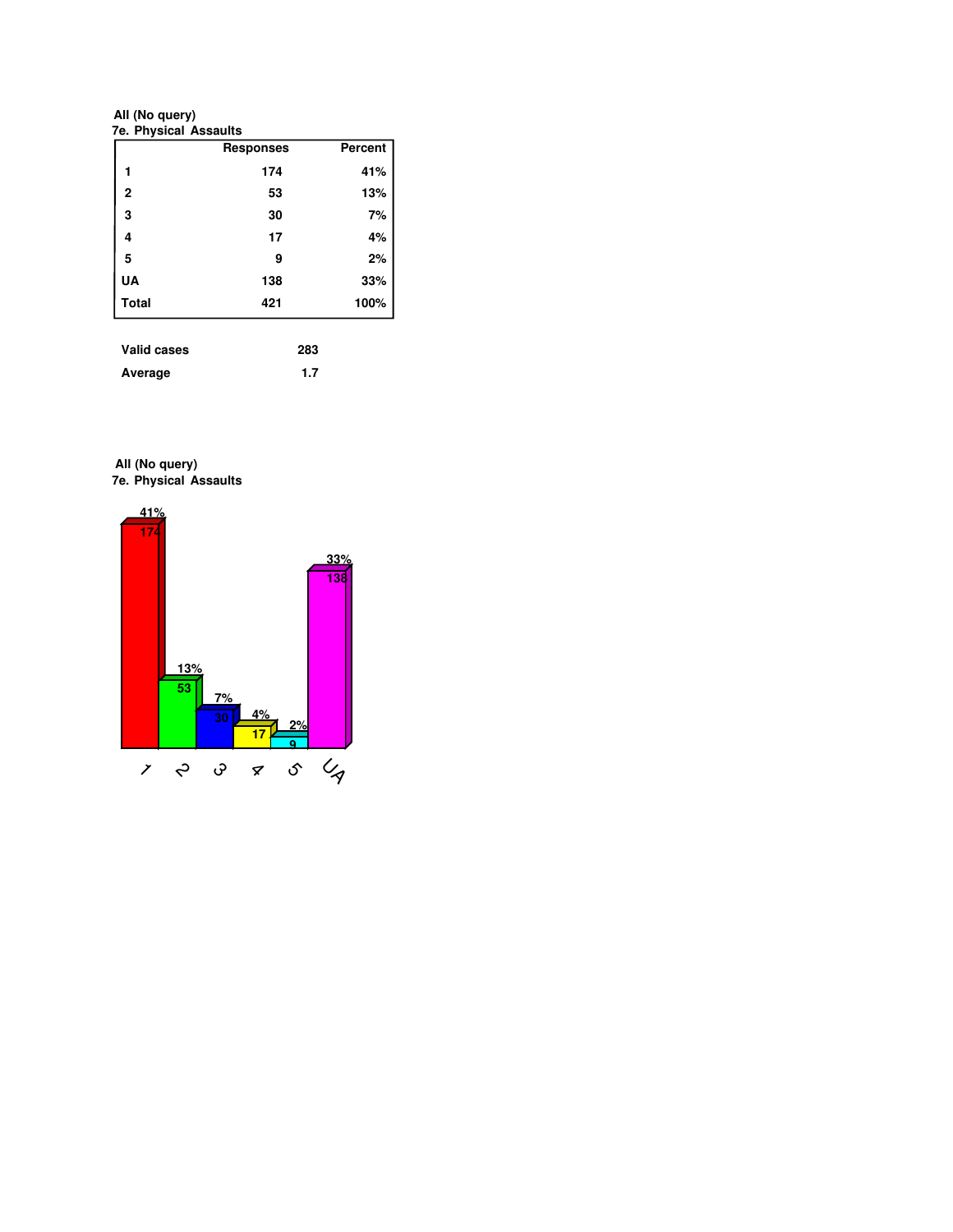**All (No query)**

|                | <b>Responses</b> | <b>Percent</b> |
|----------------|------------------|----------------|
| 1              | 174              | 41%            |
| $\overline{2}$ | 53               | 13%            |
| 3              | 30               | 7%             |
| 4              | 17               | 4%             |
| 5              | 9                | 2%             |
| UA             | 138              | 33%            |
| <b>Total</b>   | 421              | 100%           |

| valid cases | 283 |
|-------------|-----|
| Average     | 1.7 |

**7e. Physical Assaults All (No query)**

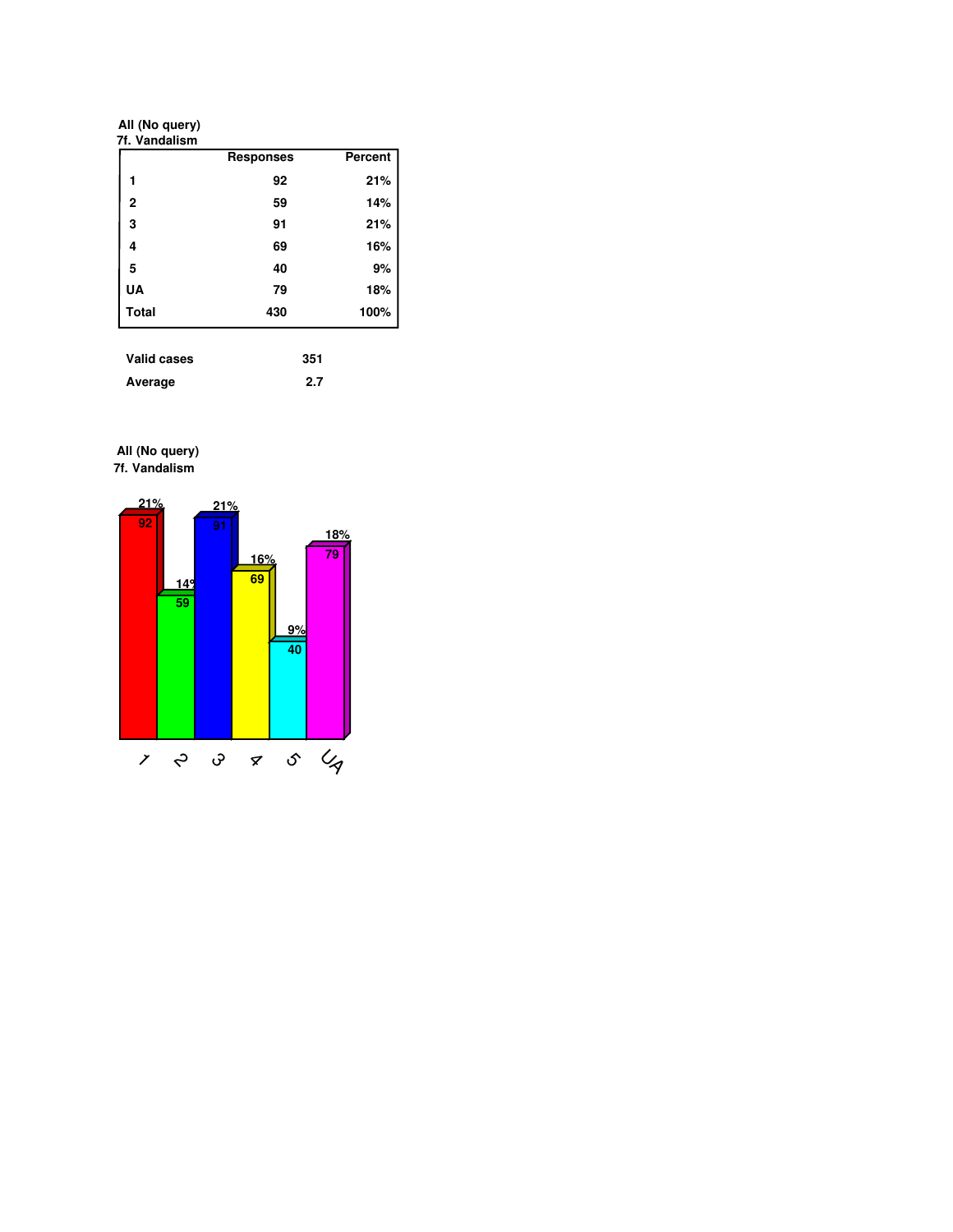**All (No query)**

|                | <b>Responses</b> | <b>Percent</b> |
|----------------|------------------|----------------|
| 1              | 92               | 21%            |
| $\overline{2}$ | 59               | 14%            |
| 3              | 91               | 21%            |
| 4              | 69               | 16%            |
| 5              | 40               | 9%             |
| <b>UA</b>      | 79               | 18%            |
| <b>Total</b>   | 430              | 100%           |

| Valid cases | 351 |
|-------------|-----|
| Average     | 2.7 |

**7f. Vandalism All (No query)**

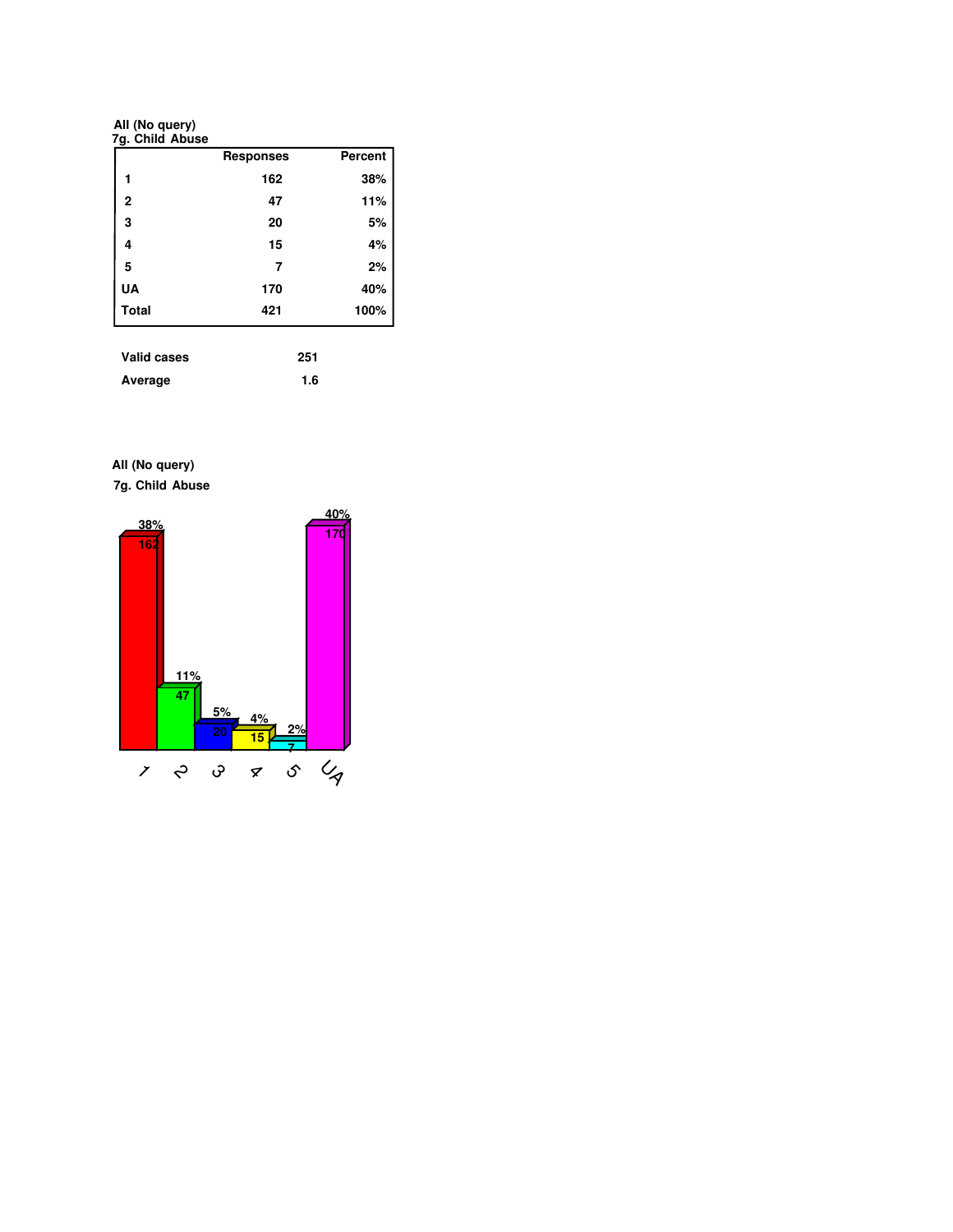**All (No query)**

|                | <b>Responses</b> | <b>Percent</b> |
|----------------|------------------|----------------|
| 1              | 162              | 38%            |
| $\overline{2}$ | 47               | 11%            |
| 3              | 20               | 5%             |
| 4              | 15               | 4%             |
| 5              | 7                | 2%             |
| UA             | 170              | 40%            |
| <b>Total</b>   | 421              | 100%           |

| Valid cases | 251 |
|-------------|-----|
| Average     | 1.6 |

**All (No query)**

**7g. Child Abuse**

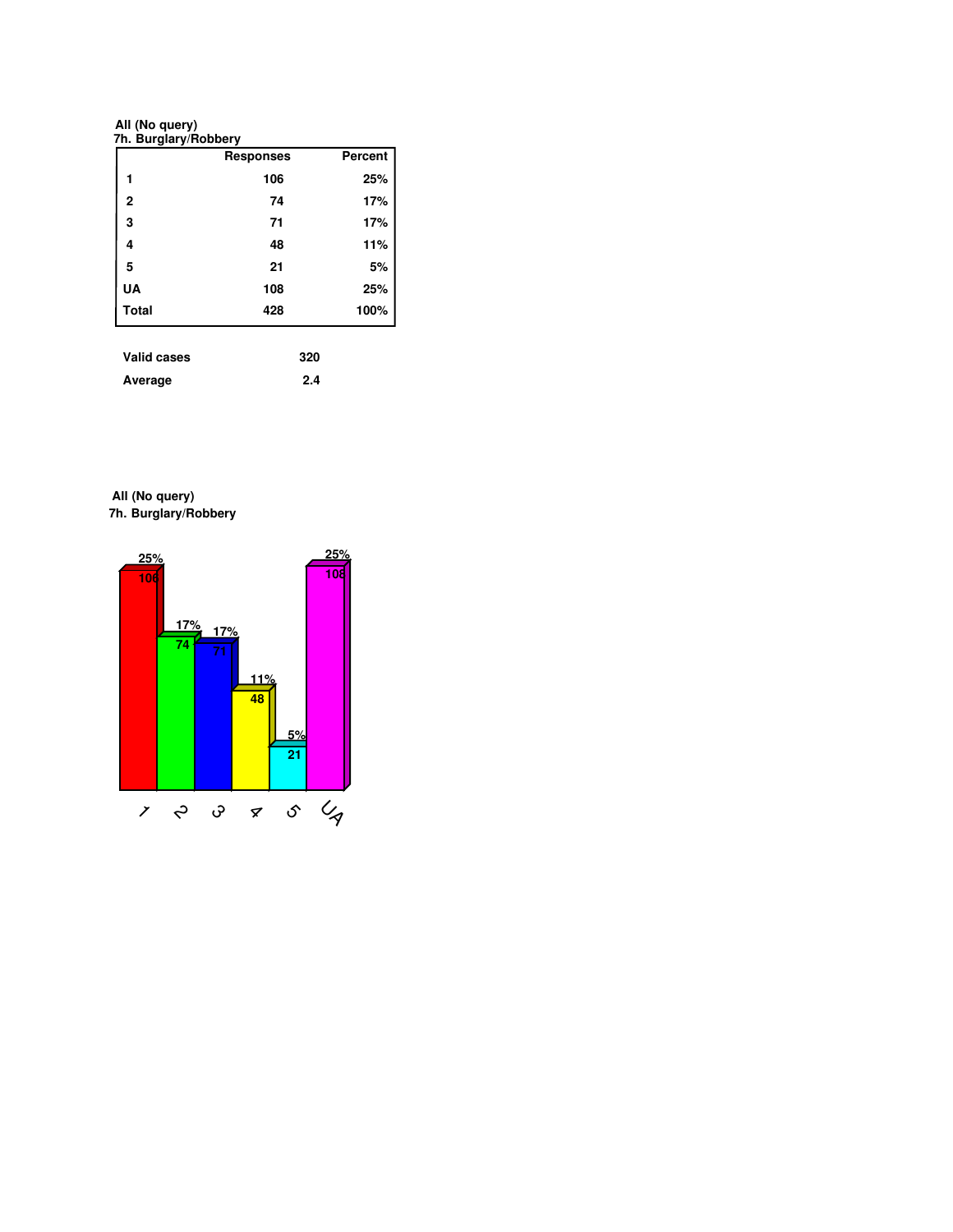**All (No query)**

|                    | <b>Responses</b> | <b>Percent</b> |
|--------------------|------------------|----------------|
|                    | 106              | 25%            |
| $\overline{2}$     | 74               | 17%            |
| 3                  | 71               | 17%            |
| 4                  | 48               | 11%            |
| 5                  | 21               | 5%             |
| UA                 | 108              | 25%            |
| <b>Total</b>       | 428              | 100%           |
|                    |                  |                |
| <b>Valid cases</b> | 320              |                |

| .       | --- |
|---------|-----|
| Average | 2.4 |

**7h. Burglary/Robbery All (No query)**

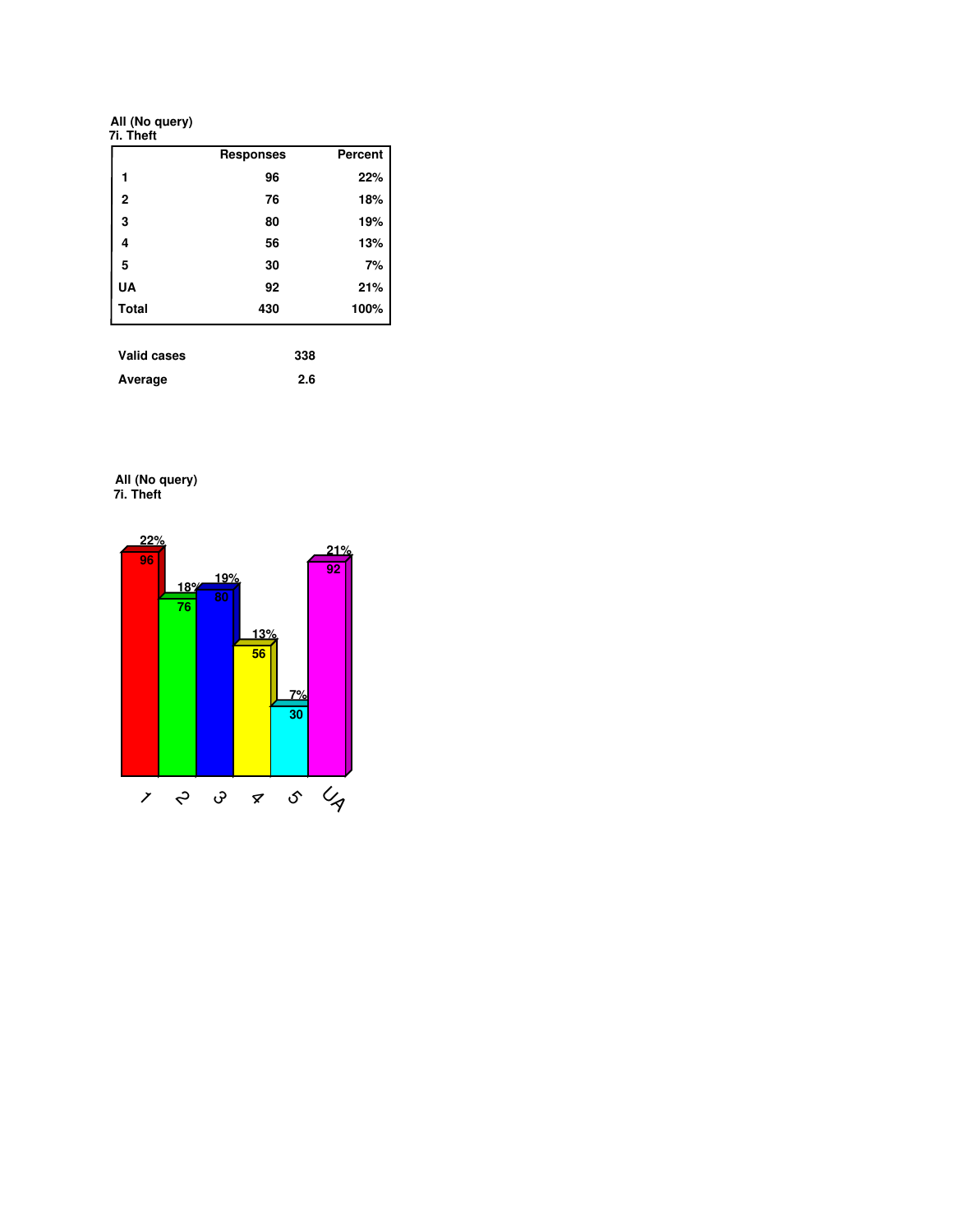**All (No query)**

|              | <b>Responses</b> | Percent |
|--------------|------------------|---------|
| 1            | 96               | 22%     |
| 2            | 76               | 18%     |
| 3            | 80               | 19%     |
| 4            | 56               | 13%     |
| 5            | 30               | 7%      |
| UA           | 92               | 21%     |
| <b>Total</b> | 430              | 100%    |

| <b>Valid cases</b> | 338 |
|--------------------|-----|
| Average            | 2.6 |

**7i. Theft All (No query)**

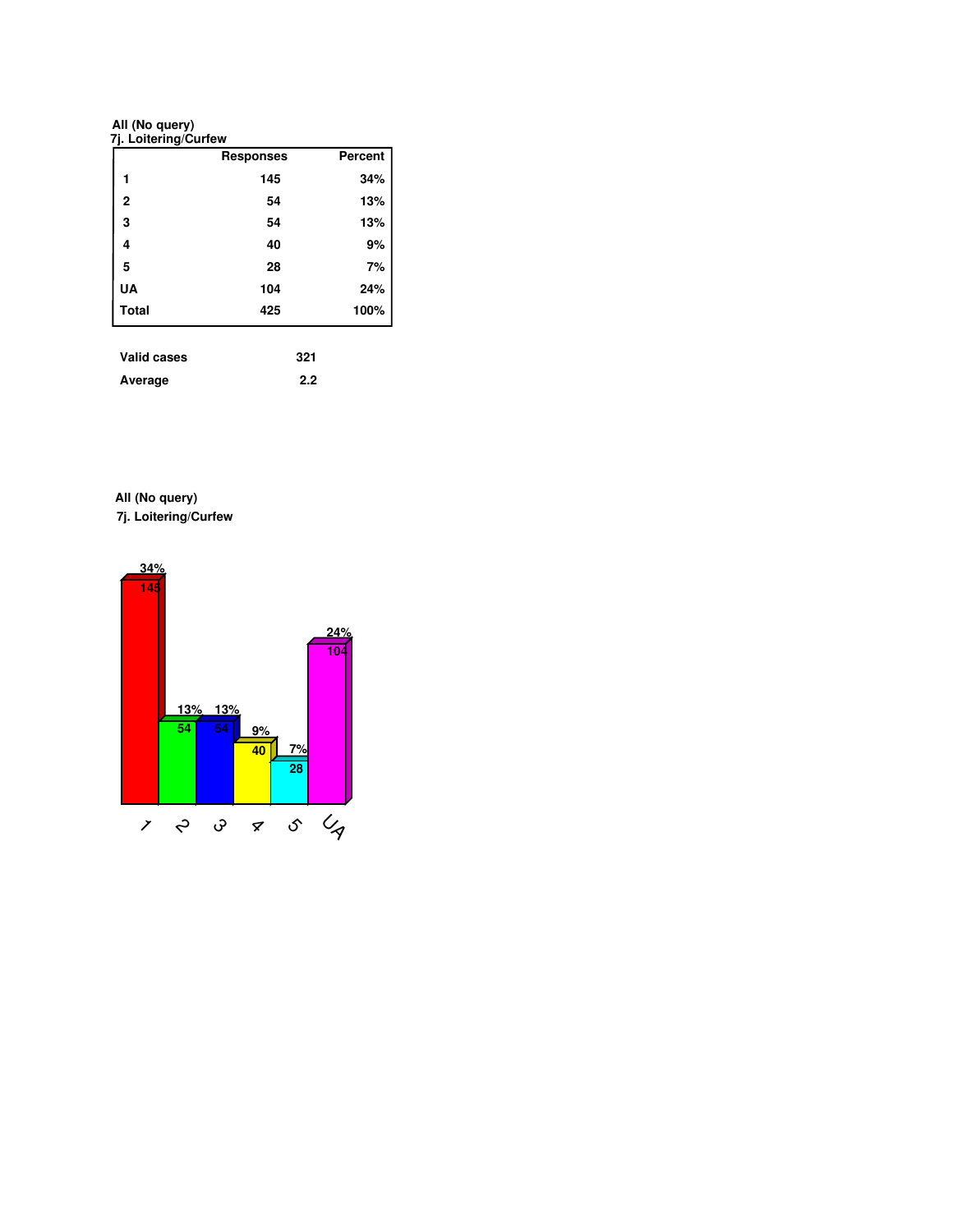**All (No query)**

| 145<br>54<br>54<br>40 | 34%<br>13%<br>13%<br>9% |
|-----------------------|-------------------------|
|                       |                         |
|                       |                         |
|                       |                         |
|                       |                         |
| 28                    | 7%                      |
| 104                   | 24%                     |
| 425                   | 100%                    |
|                       |                         |

| Valid cases | 321 |
|-------------|-----|
| Average     | 2.2 |

**7j. Loitering/Curfew All (No query)**

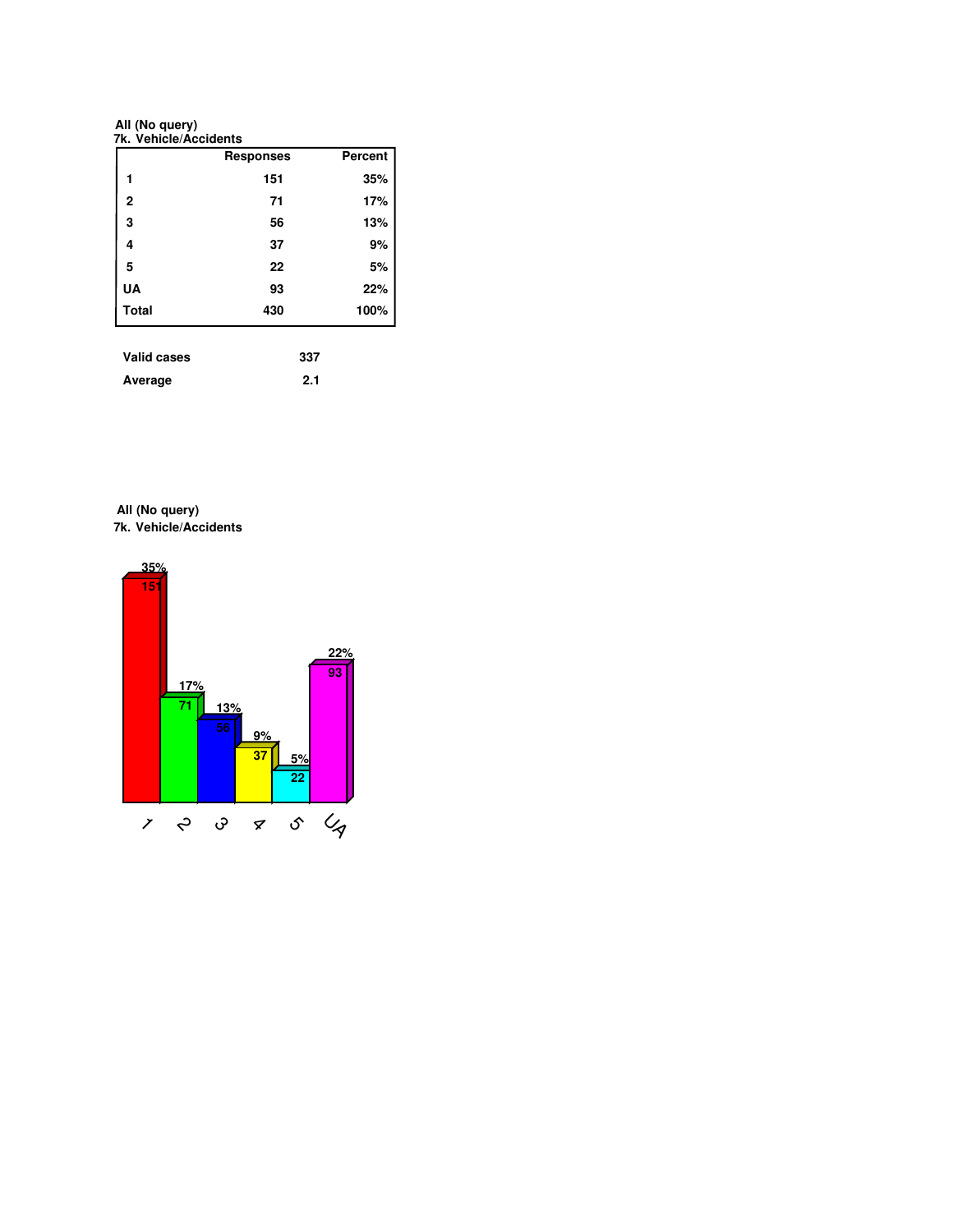**All (No query)**

| 151<br>71<br>56<br>37 | 35%<br>17%<br>13%<br>9% |
|-----------------------|-------------------------|
|                       |                         |
|                       |                         |
|                       |                         |
|                       |                         |
| 22                    | 5%                      |
| 93                    | 22%                     |
|                       | 100%                    |
|                       | 430                     |

| Average |  |  |  | 2.1 |
|---------|--|--|--|-----|

**7k. Vehicle/Accidents All (No query)**

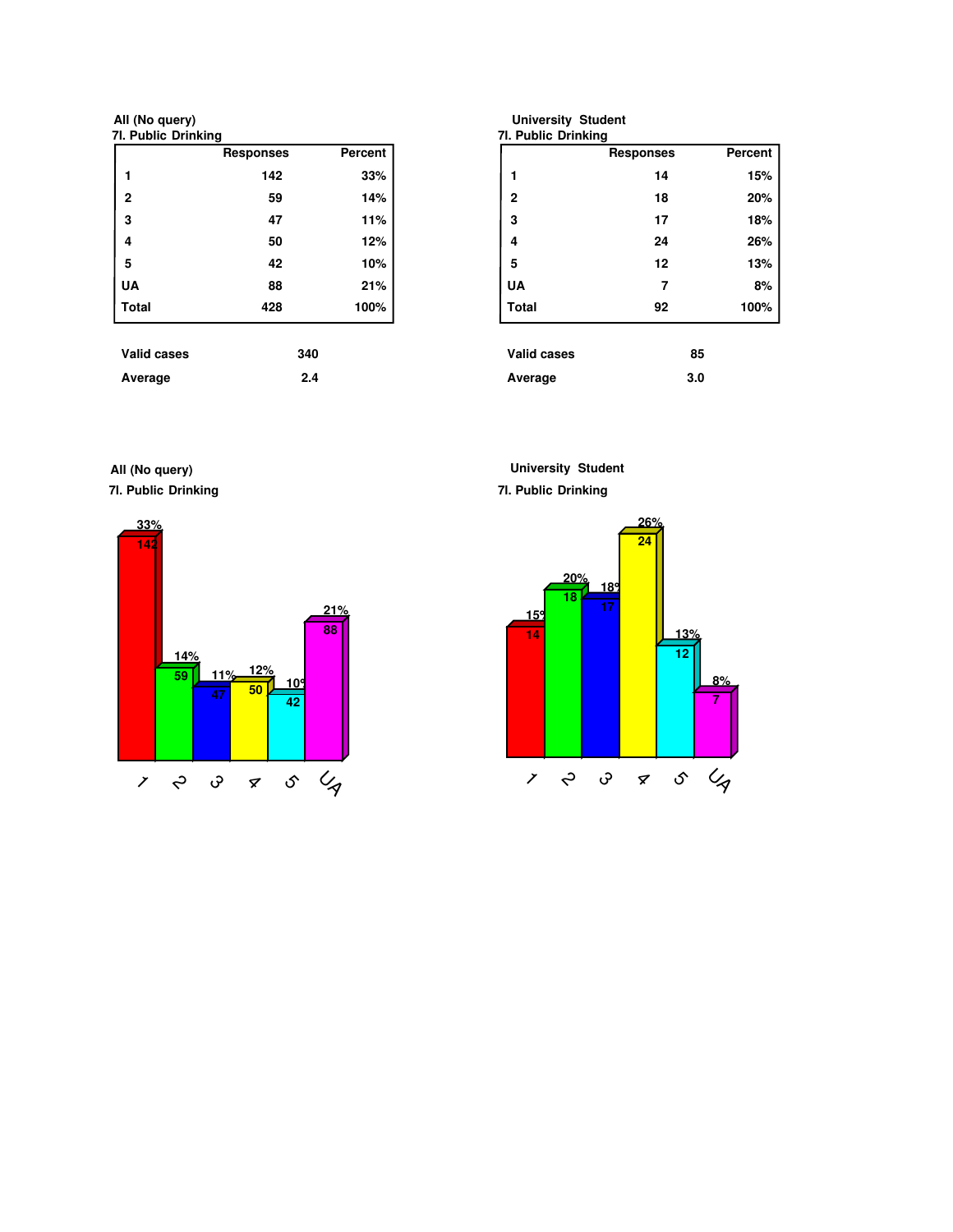**7l. Public Drinking All (No query)**

|                    | <b>Responses</b> | <b>Percent</b> |
|--------------------|------------------|----------------|
| 1                  | 142              | 33%            |
| $\overline{2}$     | 59               | 14%            |
| 3                  | 47               | 11%            |
| 4                  | 50               | 12%            |
| 5                  | 42               | 10%            |
| <b>UA</b>          | 88               | 21%            |
| <b>Total</b>       | 428              | 100%           |
| <b>Valid cases</b> | 340              |                |
| Average            | 2.4              |                |

| 7I. Public Drinking |                  |                |
|---------------------|------------------|----------------|
|                     | <b>Responses</b> | <b>Percent</b> |
| 1                   | 14               | 15%            |
| $\overline{2}$      | 18               | 20%            |
| 3                   | 17               | 18%            |
| 4                   | 24               | 26%            |
| 5                   | 12               | 13%            |
| <b>UA</b>           | 7                | 8%             |
| <b>Total</b>        | 92               | 100%           |
| <b>Valid cases</b>  | 85               |                |
| Average             | 3.0              |                |

**7l. Public Drinking All (No query)**



**University Student**

**7l. Public Drinking**



**University Student**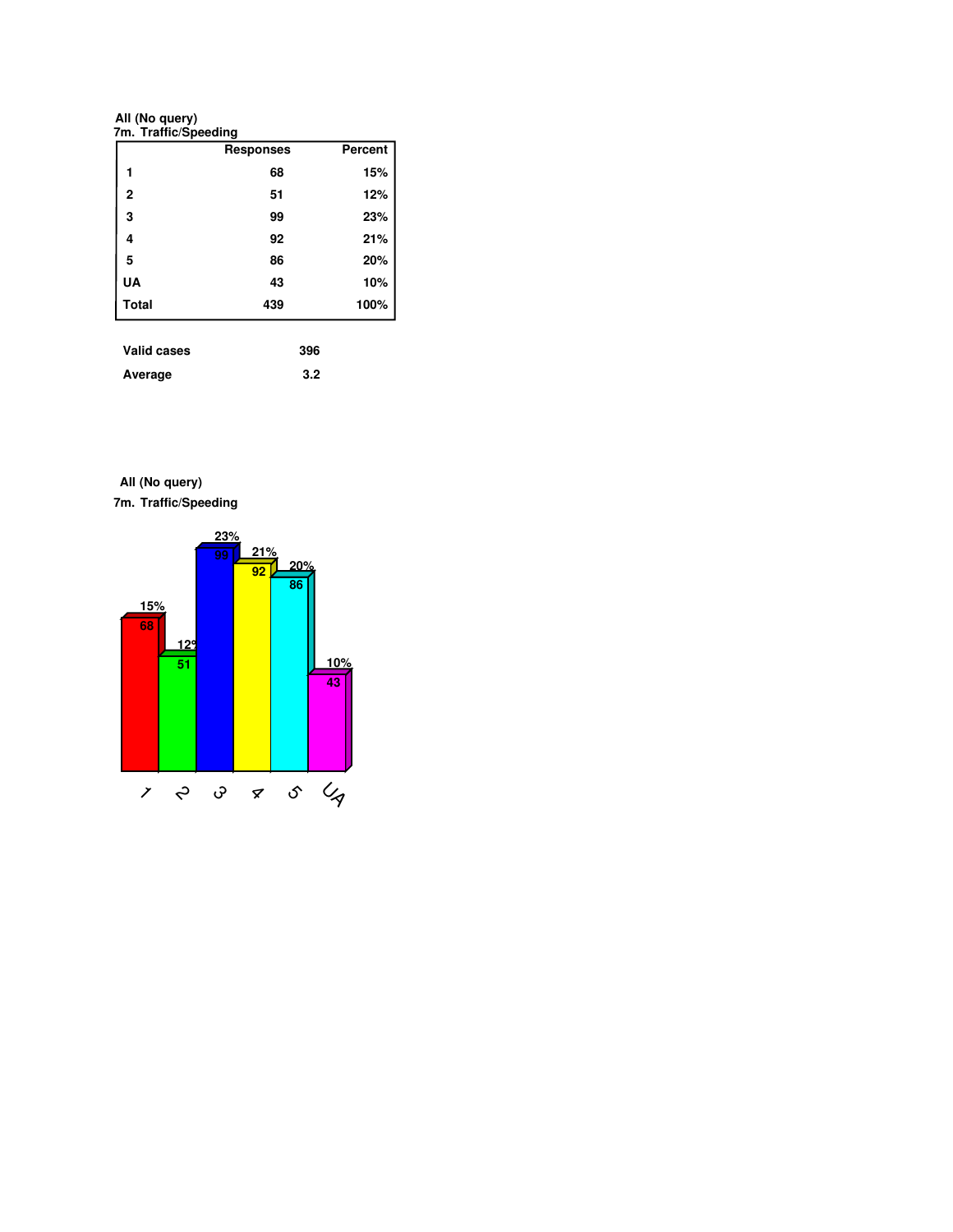**All (No query)**

|                | <b>Responses</b> | <b>Percent</b> |
|----------------|------------------|----------------|
| 1              | 68               | 15%            |
| $\overline{2}$ | 51               | 12%            |
| 3              | 99               | 23%            |
| 4              | 92               | 21%            |
| 5              | 86               | 20%            |
| UA             | 43               | 10%            |
| <b>Total</b>   | 439              | 100%           |

| TUIN VUJVJ |     |
|------------|-----|
| Average    | 3.2 |

**7m. Traffic/Speeding All (No query)**

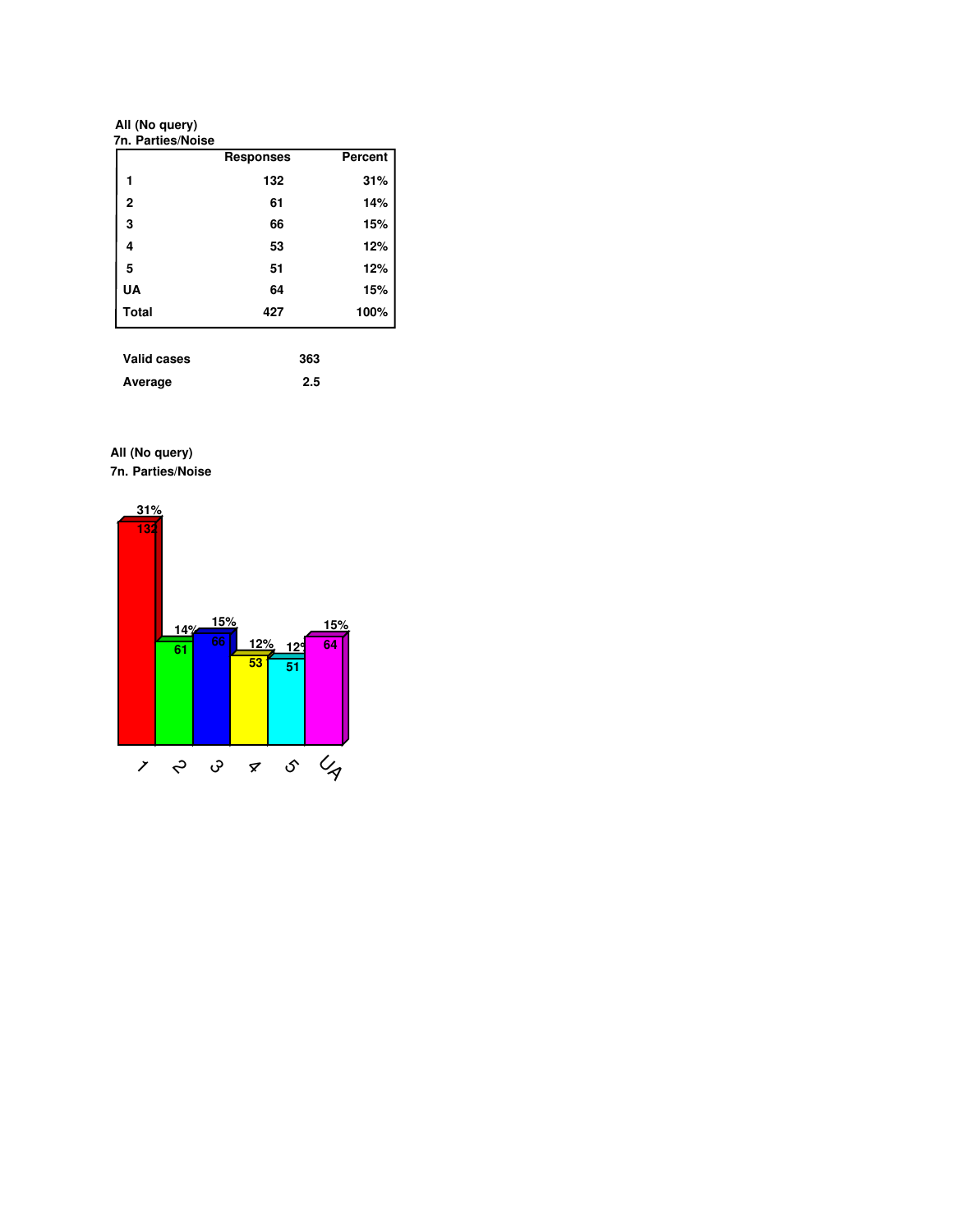**All (No query)**

|              | <b>Responses</b> | Percent |
|--------------|------------------|---------|
| 1            | 132              | 31%     |
| $\mathbf{2}$ | 61               | 14%     |
| 3            | 66               | 15%     |
| 4            | 53               | 12%     |
| 5            | 51               | 12%     |
| UA           | 64               | 15%     |
| <b>Total</b> | 427              | 100%    |

| <b>Valid cases</b> | 363 |
|--------------------|-----|
| Average            | 2.5 |

**7n. Parties/Noise All (No query)**

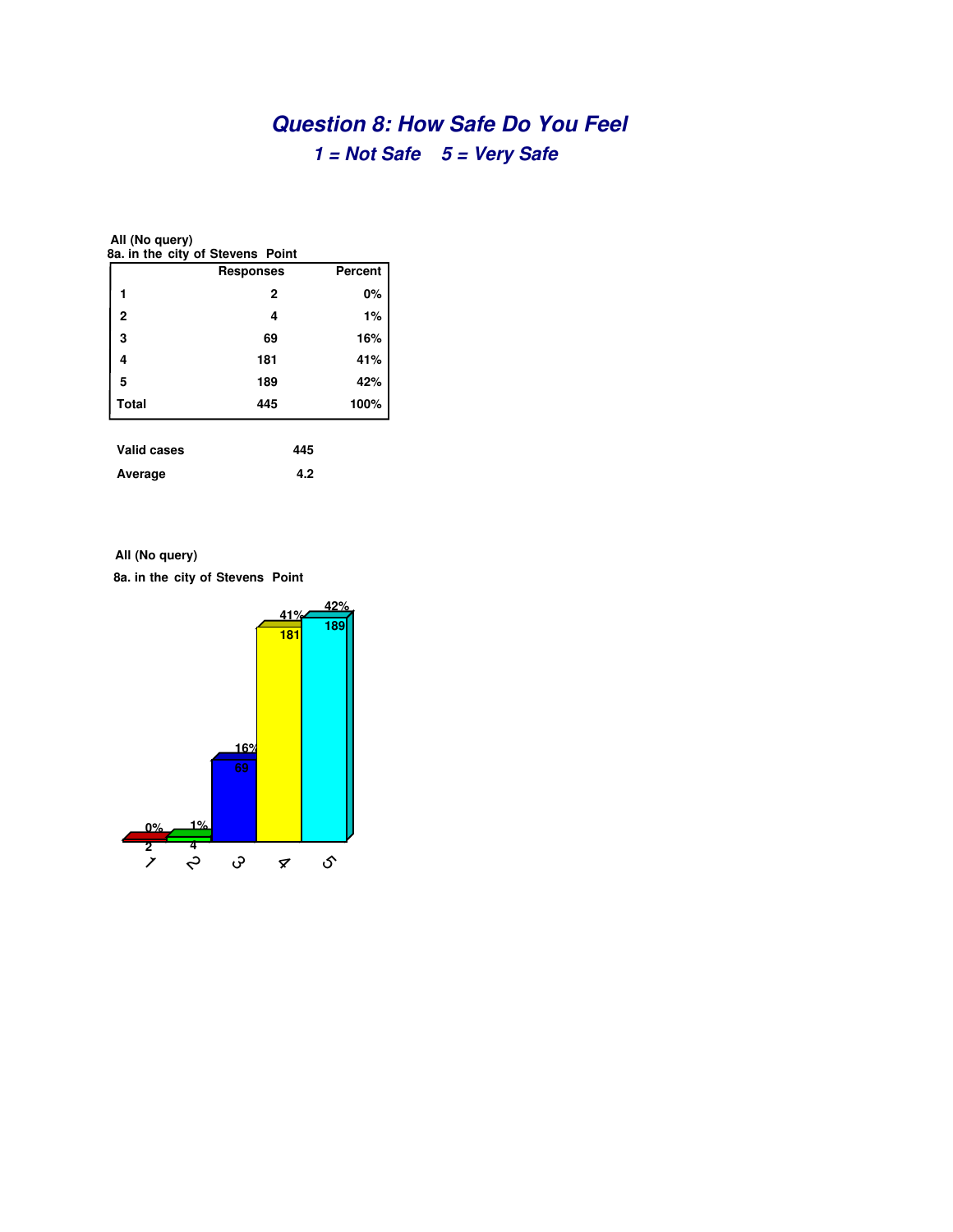# **Question 8: How Safe Do You Feel 1 = Not Safe 5 = Very Safe**

| All (No query)<br>8a. in the city of Stevens Point |     |      |  |  |  |  |
|----------------------------------------------------|-----|------|--|--|--|--|
| <b>Percent</b><br>Responses                        |     |      |  |  |  |  |
| 1                                                  | 2   | 0%   |  |  |  |  |
| $\overline{2}$                                     | 4   | 1%   |  |  |  |  |
| 3                                                  | 69  | 16%  |  |  |  |  |
| 4                                                  | 181 | 41%  |  |  |  |  |
| 5                                                  | 189 | 42%  |  |  |  |  |
| <b>Total</b>                                       | 445 | 100% |  |  |  |  |
| <b>Valid cases</b>                                 | 445 |      |  |  |  |  |
| 4.2<br>Average                                     |     |      |  |  |  |  |

**All (No query)**

**8a. in the city of Stevens Point**

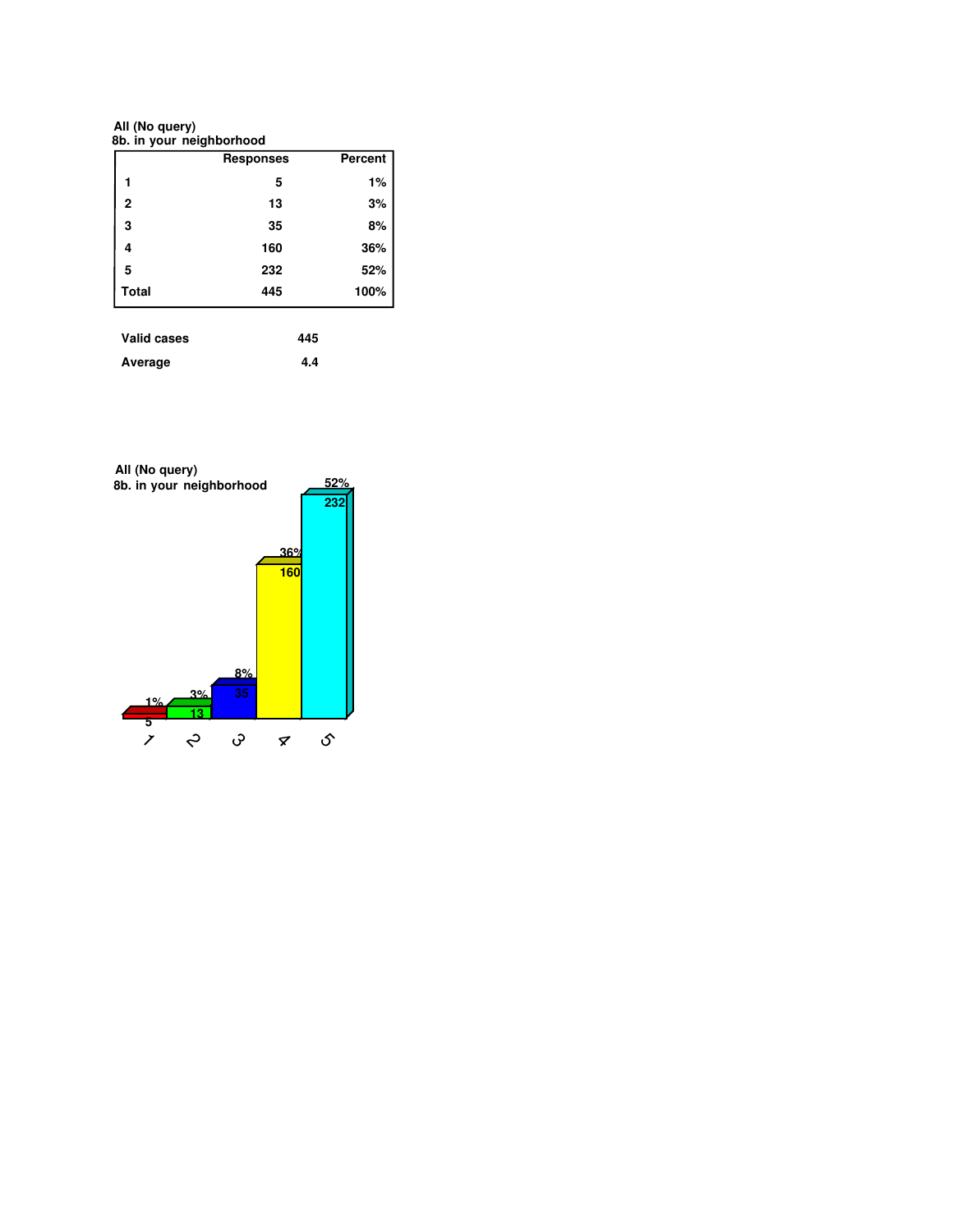**8b. in your neighborhood All (No query)**

|              | <b>Responses</b> | Percent |
|--------------|------------------|---------|
|              | 5                | 1%      |
| $\mathbf{2}$ | 13               | 3%      |
| 3            | 35               | 8%      |
| 4            | 160              | 36%     |
| 5            | 232              | 52%     |
| <b>Total</b> | 445              | 100%    |

| <b>Valid cases</b> | 445 |
|--------------------|-----|
| Average            | 4.4 |

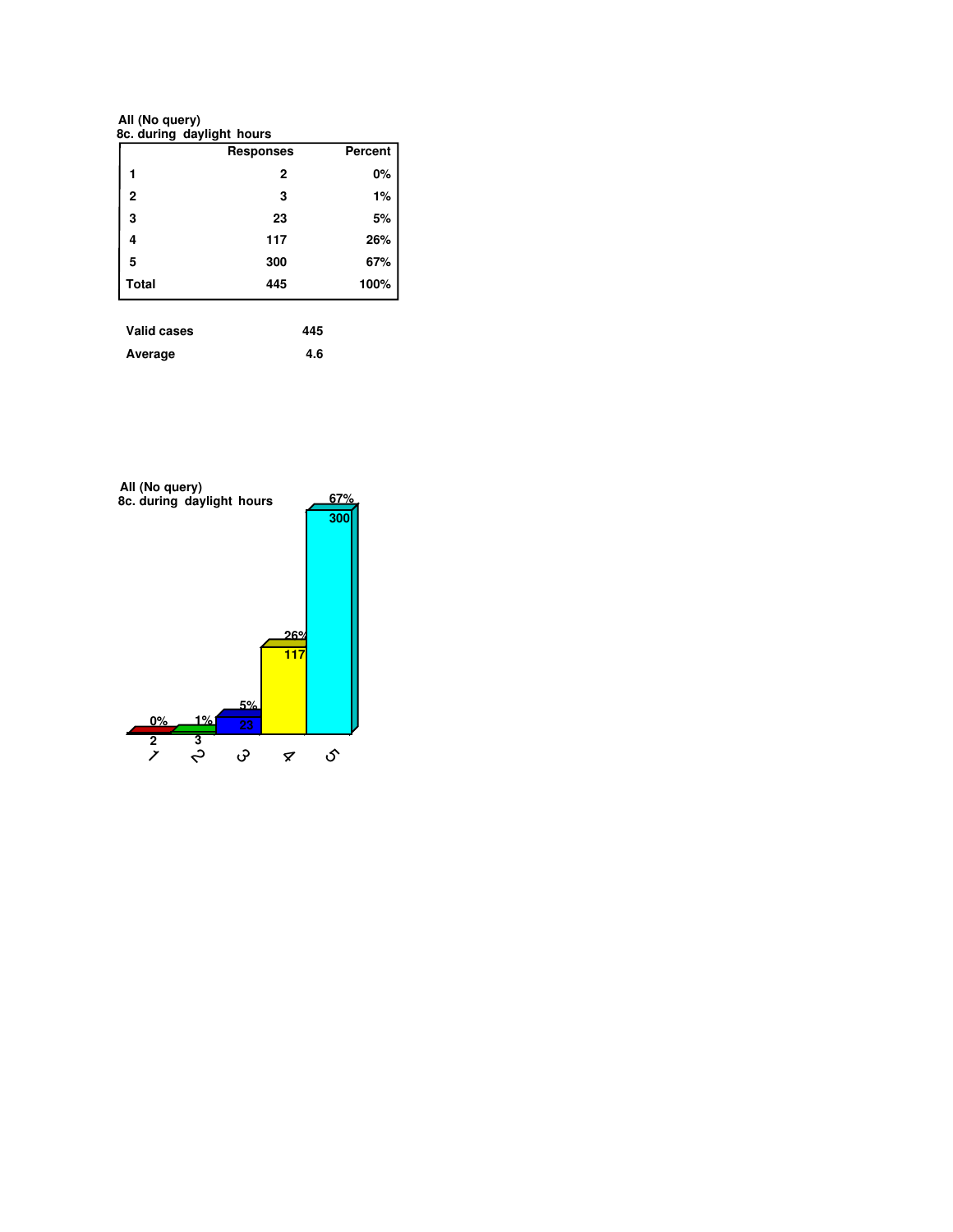**8c. during daylight hours All (No query)**

|                | <b>Responses</b> | Percent |
|----------------|------------------|---------|
|                | $\mathbf{2}$     | 0%      |
| $\overline{2}$ | 3                | 1%      |
| 3              | 23               | 5%      |
| 4              | 117              | 26%     |
| 5              | 300              | 67%     |
| <b>Total</b>   | 445              | 100%    |

| <b>Valid cases</b> | 445 |
|--------------------|-----|
| Average            | 4.6 |

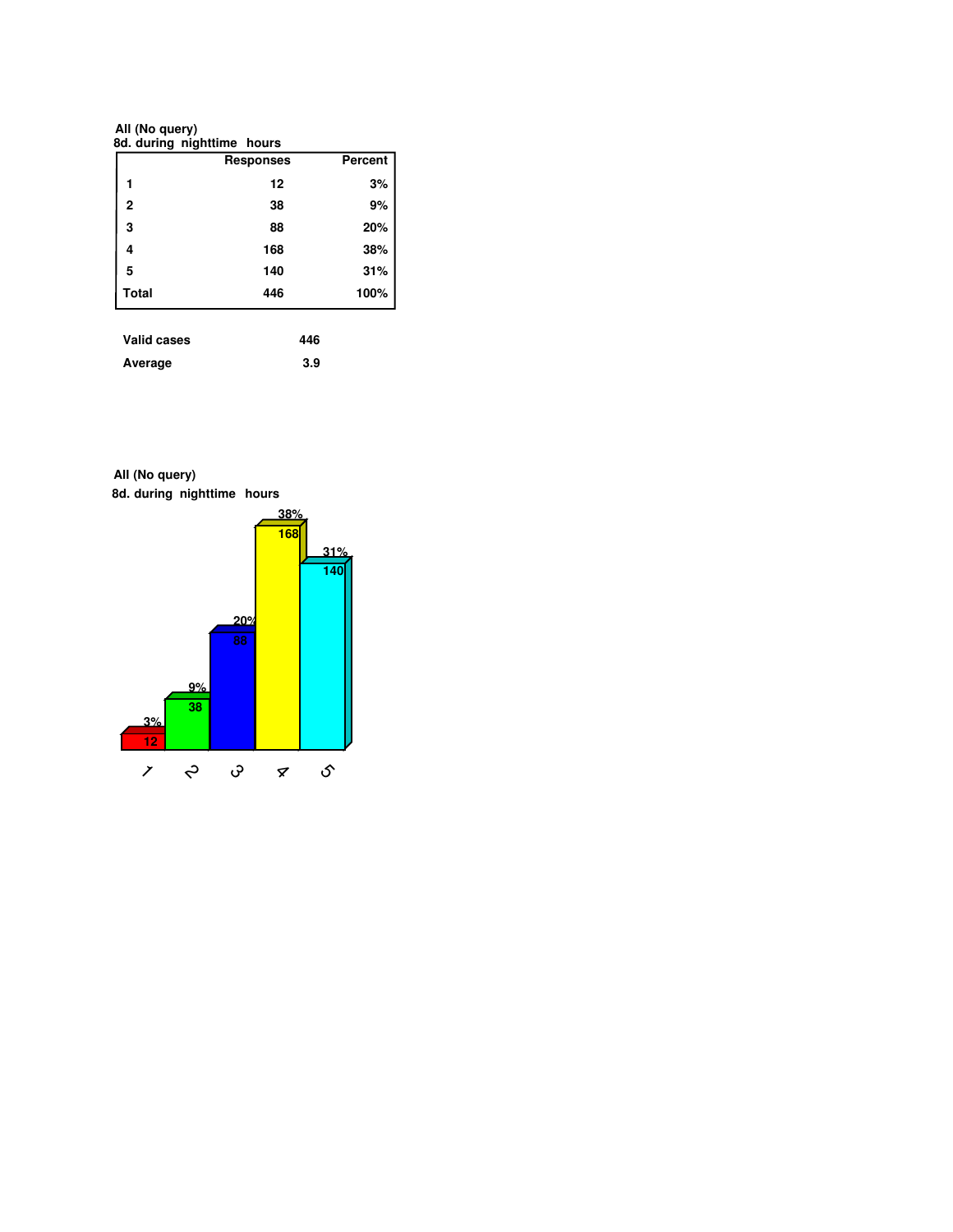**All (No query)**

| 8d. during nighttime hours |                  |                |
|----------------------------|------------------|----------------|
|                            | <b>Responses</b> | <b>Percent</b> |
|                            | 12               | 3%             |
| $\overline{2}$             | 38               | 9%             |
| 3                          | 88               | 20%            |
| 4                          | 168              | 38%            |
| 5                          | 140              | 31%            |
| <b>Total</b>               | 446              | 100%           |
| Valid cases                | 446              |                |

| vunu vuovo | טדד |
|------------|-----|
| Average    | 3.9 |

**8d. during nighttime hours All (No query)**

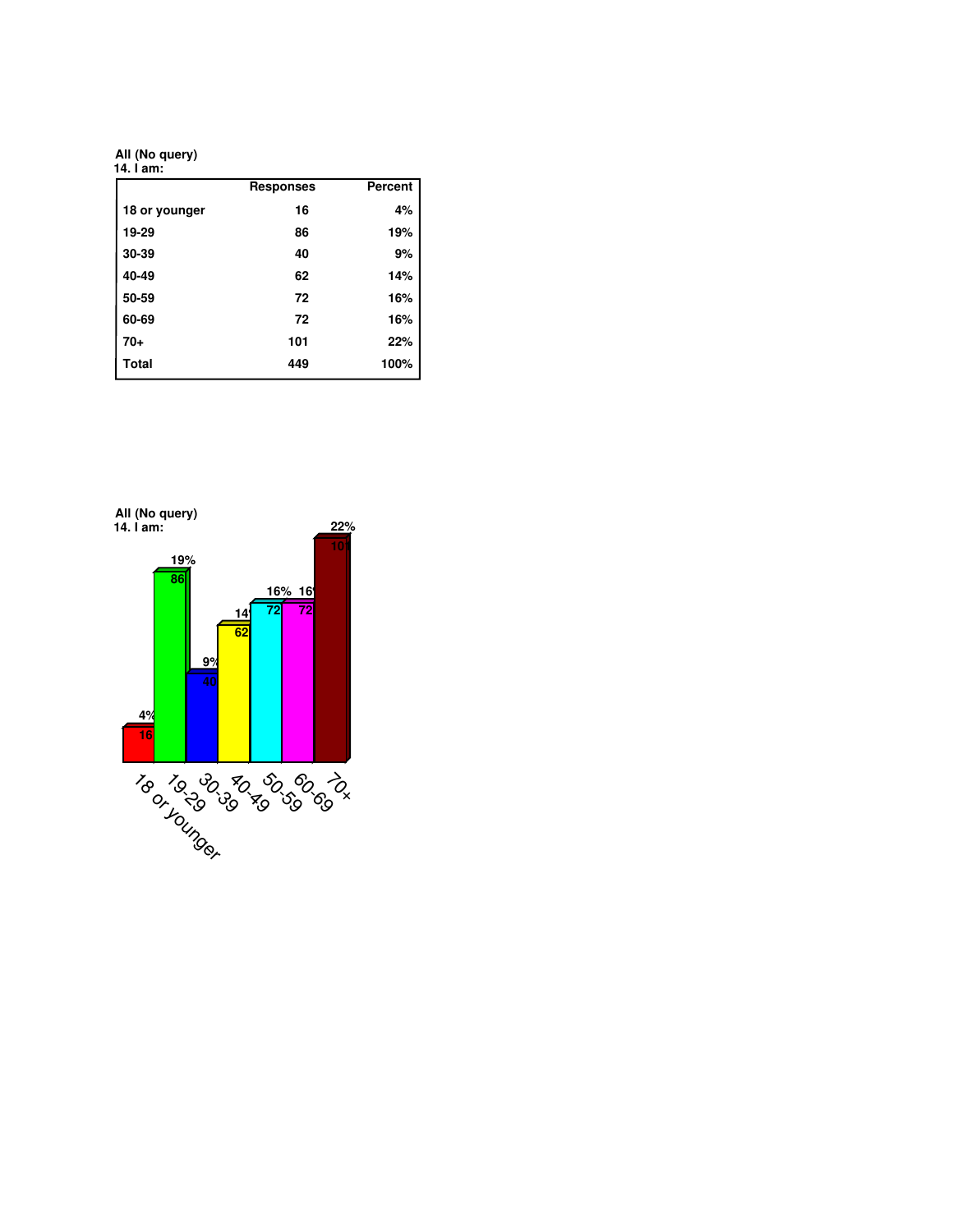**All (No query)**

| 14. I am:     |                  |         |
|---------------|------------------|---------|
|               | <b>Responses</b> | Percent |
| 18 or younger | 16               | 4%      |
| 19-29         | 86               | 19%     |
| 30-39         | 40               | 9%      |
| 40-49         | 62               | 14%     |
| 50-59         | 72               | 16%     |
| 60-69         | 72               | 16%     |
| $70+$         | 101              | 22%     |
| <b>Total</b>  | 449              | 100%    |

**4% 16 19% 86 9% 40 14% 62 16% 16% 72 72 22% 101 14. I am: All (No query)** 18 or 92 da 80 da 92<br>19 da 93 da 93 da 93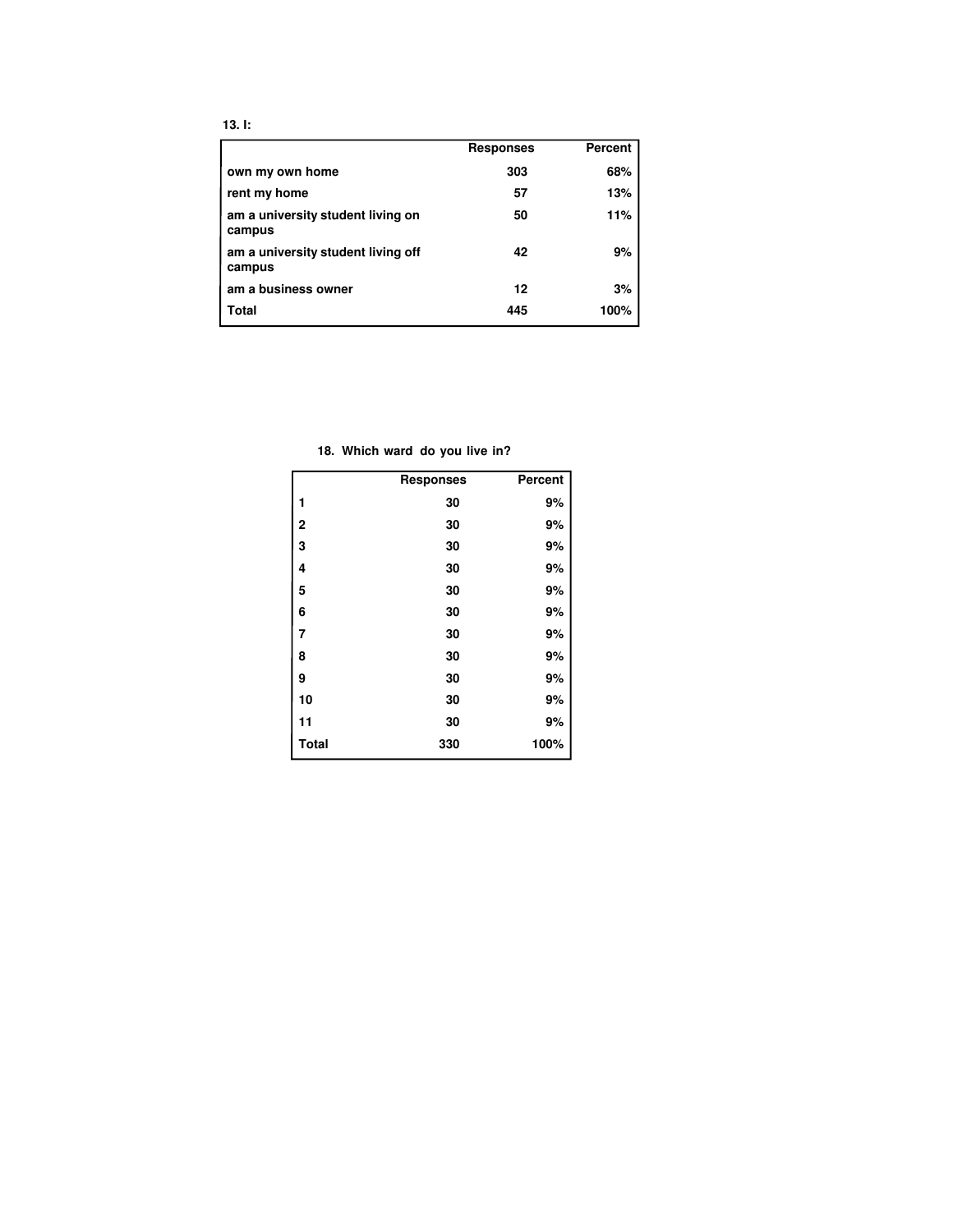|                                              | <b>Responses</b> | <b>Percent</b> |
|----------------------------------------------|------------------|----------------|
| own my own home                              | 303              | 68%            |
| rent my home                                 | 57               | 13%            |
| am a university student living on<br>campus  | 50               | 11%            |
| am a university student living off<br>campus | 42               | 9%             |
| am a business owner                          | 12               | 3%             |
| Total                                        | 445              | 100%           |

**18. Which ward do you live in?**

|              | <b>Responses</b> | <b>Percent</b> |
|--------------|------------------|----------------|
| 1            | 30               | 9%             |
| 2            | 30               | 9%             |
| 3            | 30               | 9%             |
| 4            | 30               | 9%             |
| 5            | 30               | 9%             |
| 6            | 30               | 9%             |
| 7            | 30               | 9%             |
| 8            | 30               | 9%             |
| 9            | 30               | 9%             |
| 10           | 30               | 9%             |
| 11           | 30               | 9%             |
| <b>Total</b> | 330              | 100%           |

**13. I:**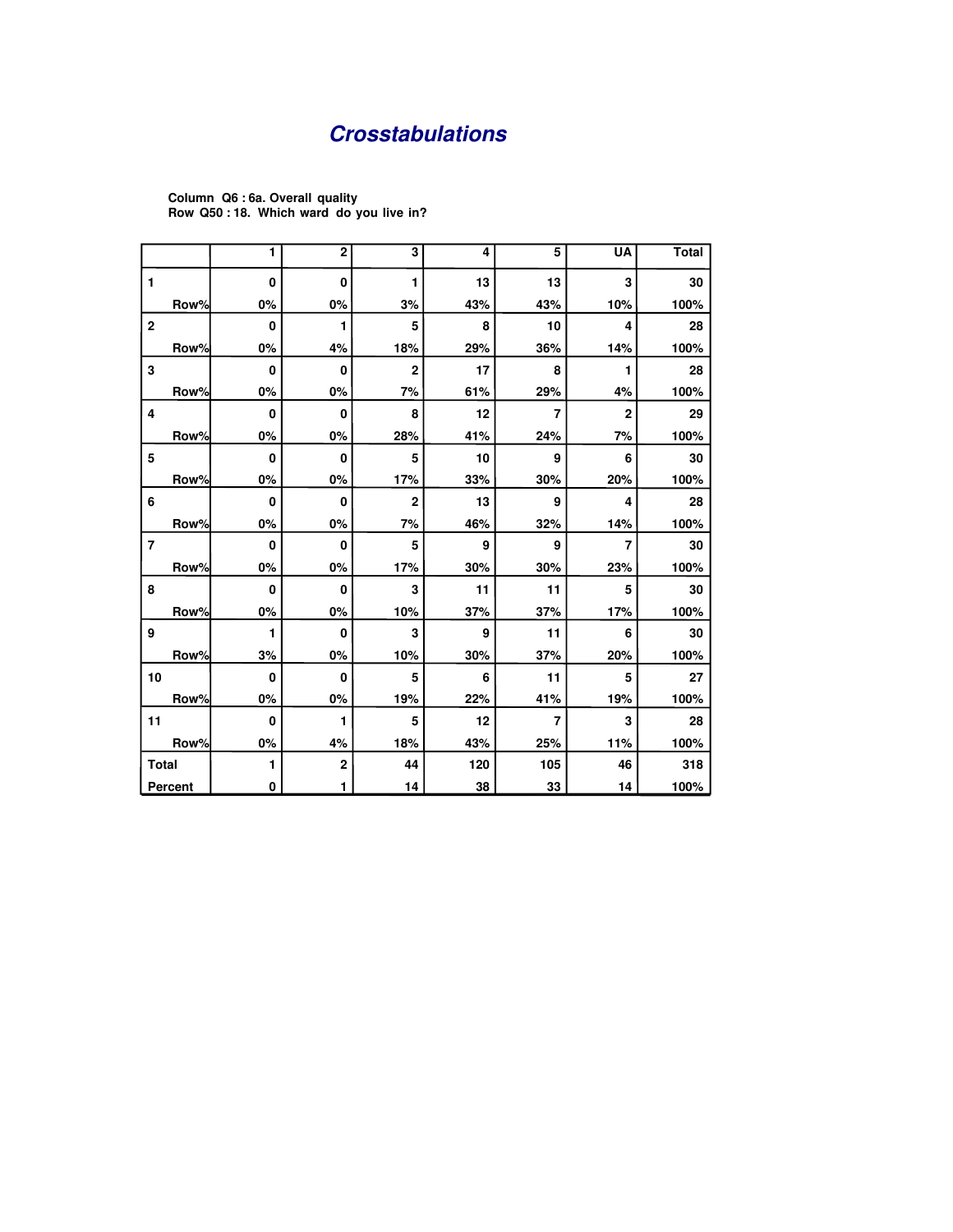# **Crosstabulations**

|                |         | 1        | $\overline{2}$ | 3              | 4   | 5   | <b>UA</b>               | <b>Total</b> |
|----------------|---------|----------|----------------|----------------|-----|-----|-------------------------|--------------|
| 1              |         | 0        | $\mathbf{0}$   | 1              | 13  | 13  | 3                       | 30           |
|                | Row%    | 0%       | 0%             | 3%             | 43% | 43% | 10%                     | 100%         |
| $\bf 2$        |         | 0        | 1              | 5              | 8   | 10  | $\overline{\mathbf{4}}$ | 28           |
|                | Row%    | 0%       | 4%             | 18%            | 29% | 36% | 14%                     | 100%         |
| 3              |         | 0        | $\mathbf{0}$   | $\overline{2}$ | 17  | 8   | 1                       | 28           |
|                | Row%    | 0%       | 0%             | 7%             | 61% | 29% | 4%                      | 100%         |
| 4              |         | 0        | $\Omega$       | 8              | 12  | 7   | $\overline{2}$          | 29           |
|                | Row%    | 0%       | 0%             | 28%            | 41% | 24% | 7%                      | 100%         |
| 5              |         | 0        | $\mathbf{0}$   | 5              | 10  | 9   | 6                       | 30           |
|                | Row%    | 0%       | 0%             | 17%            | 33% | 30% | 20%                     | 100%         |
| 6              |         | 0        | $\mathbf{0}$   | $\overline{2}$ | 13  | 9   | $\overline{\mathbf{4}}$ | 28           |
|                | Row%    | 0%       | 0%             | 7%             | 46% | 32% | 14%                     | 100%         |
| $\overline{7}$ |         | 0        | $\mathbf{0}$   | 5              | 9   | 9   | 7                       | 30           |
|                | Row%    | 0%       | 0%             | 17%            | 30% | 30% | 23%                     | 100%         |
| 8              |         | 0        | $\mathbf{0}$   | 3              | 11  | 11  | 5                       | 30           |
|                | Row%    | 0%       | 0%             | 10%            | 37% | 37% | 17%                     | 100%         |
| 9              |         | 1        | 0              | 3              | 9   | 11  | 6                       | 30           |
|                | Row%    | 3%       | 0%             | 10%            | 30% | 37% | 20%                     | 100%         |
| 10             |         | $\bf{0}$ | $\mathbf{0}$   | 5              | 6   | 11  | 5                       | 27           |
|                | Row%    | 0%       | 0%             | 19%            | 22% | 41% | 19%                     | 100%         |
| 11             |         | 0        | 1              | 5              | 12  | 7   | 3                       | 28           |
|                | Row%    | 0%       | 4%             | 18%            | 43% | 25% | 11%                     | 100%         |
| <b>Total</b>   |         | 1        | $\mathbf 2$    | 44             | 120 | 105 | 46                      | 318          |
|                | Percent | 0        | 1              | 14             | 38  | 33  | 14                      | 100%         |

**Column Q6 : 6a. Overall quality Row Q50 : 18. Which ward do you live in?**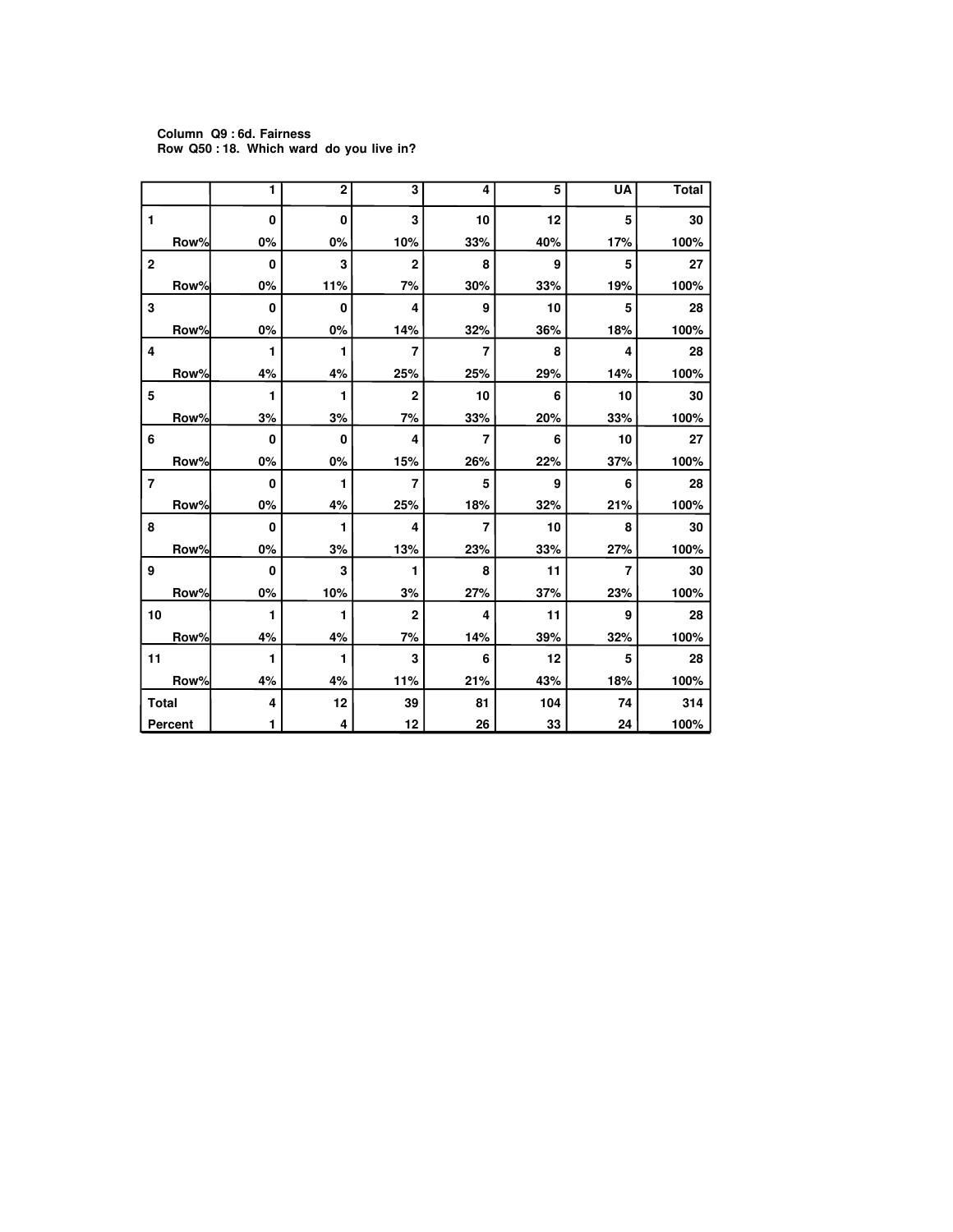#### **Column Q9 : 6d. Fairness Row Q50 : 18. Which ward do you live in?**

|                |                | 1        | $\overline{2}$ | $\overline{\mathbf{3}}$ | 4              | 5   | <b>UA</b>               | <b>Total</b> |
|----------------|----------------|----------|----------------|-------------------------|----------------|-----|-------------------------|--------------|
| 1              |                | $\bf{0}$ | 0              | 3                       | 10             | 12  | 5                       | 30           |
|                | Row%           | 0%       | 0%             | 10%                     | 33%            | 40% | 17%                     | 100%         |
| $\bf 2$        |                | 0        | 3              | $\overline{2}$          | 8              | 9   | 5                       | 27           |
|                | Row%           | 0%       | 11%            | 7%                      | 30%            | 33% | 19%                     | 100%         |
| 3              |                | 0        | 0              | 4                       | 9              | 10  | 5                       | 28           |
|                | Row%           | 0%       | 0%             | 14%                     | 32%            | 36% | 18%                     | 100%         |
| 4              |                | 1        | 1              | 7                       | 7              | 8   | $\overline{\mathbf{4}}$ | 28           |
|                | Row%           | 4%       | 4%             | 25%                     | 25%            | 29% | 14%                     | 100%         |
| 5              |                | 1        | 1              | $\mathbf 2$             | 10             | 6   | 10                      | 30           |
|                | Row%           | 3%       | 3%             | 7%                      | 33%            | 20% | 33%                     | 100%         |
| 6              |                | 0        | 0              | 4                       | 7              | 6   | 10                      | 27           |
|                | Row%           | 0%       | 0%             | 15%                     | 26%            | 22% | 37%                     | 100%         |
| $\overline{7}$ |                | 0        | 1              | $\overline{7}$          | 5              | 9   | 6                       | 28           |
|                | Row%           | 0%       | 4%             | 25%                     | 18%            | 32% | 21%                     | 100%         |
| 8              |                | $\bf{0}$ | 1              | 4                       | $\overline{7}$ | 10  | 8                       | 30           |
|                | Row%           | 0%       | 3%             | 13%                     | 23%            | 33% | 27%                     | 100%         |
| 9              |                | 0        | 3              | 1                       | 8              | 11  | 7                       | 30           |
|                | Row%           | 0%       | 10%            | 3%                      | 27%            | 37% | 23%                     | 100%         |
| 10             |                | 1        | 1              | $\overline{2}$          | 4              | 11  | 9                       | 28           |
|                | Row%           | 4%       | 4%             | 7%                      | 14%            | 39% | 32%                     | 100%         |
| 11             |                | 1        | 1              | 3                       | 6              | 12  | 5                       | 28           |
|                | Row%           | 4%       | 4%             | 11%                     | 21%            | 43% | 18%                     | 100%         |
| <b>Total</b>   |                | 4        | 12             | 39                      | 81             | 104 | 74                      | 314          |
|                | <b>Percent</b> | 1        | 4              | 12                      | 26             | 33  | 24                      | 100%         |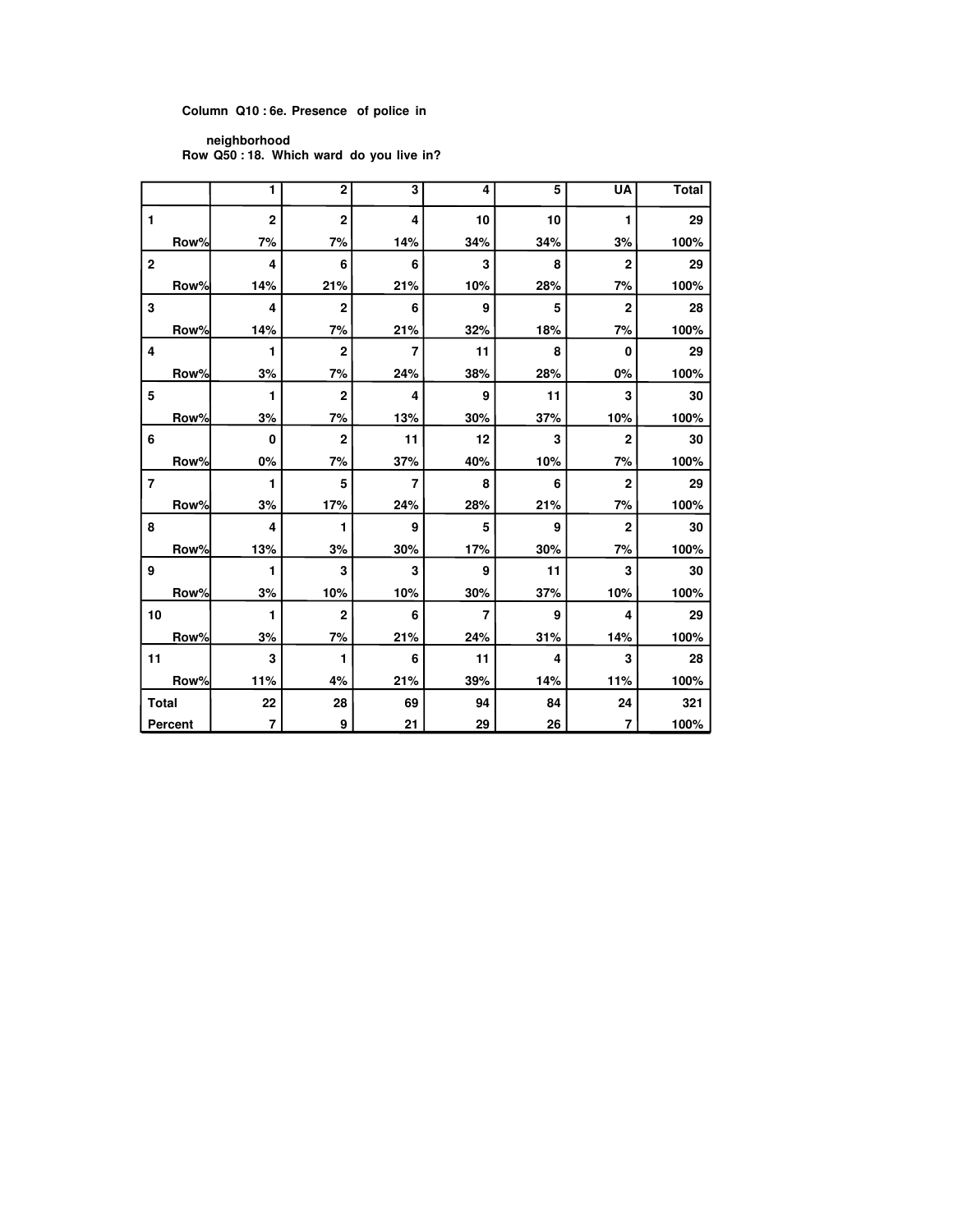## **Column Q10 : 6e. Presence of police in**

**neighborhood Row Q50 : 18. Which ward do you live in?**

|                |         | 1              | $\overline{2}$ | 3              | 4   | 5   | <b>UA</b>      | <b>Total</b> |
|----------------|---------|----------------|----------------|----------------|-----|-----|----------------|--------------|
| 1              |         | $\overline{2}$ | $\overline{2}$ | 4              | 10  | 10  | 1              | 29           |
|                | Row%    | 7%             | 7%             | 14%            | 34% | 34% | 3%             | 100%         |
| $\mathbf{2}$   |         | 4              | 6              | 6              | 3   | 8   | $\overline{2}$ | 29           |
|                | Row%    | 14%            | 21%            | 21%            | 10% | 28% | 7%             | 100%         |
| 3              |         | 4              | $\overline{2}$ | 6              | 9   | 5   | $\overline{2}$ | 28           |
|                | Row%    | 14%            | 7%             | 21%            | 32% | 18% | 7%             | 100%         |
| 4              |         | 1              | $\overline{2}$ | 7              | 11  | 8   | 0              | 29           |
|                | Row%    | 3%             | 7%             | 24%            | 38% | 28% | 0%             | 100%         |
| 5              |         | 1              | $\overline{2}$ | 4              | 9   | 11  | 3              | 30           |
|                | Row%    | 3%             | 7%             | 13%            | 30% | 37% | 10%            | 100%         |
| 6              |         | 0              | $\overline{2}$ | 11             | 12  | 3   | $\overline{2}$ | 30           |
|                | Row%    | 0%             | 7%             | 37%            | 40% | 10% | 7%             | 100%         |
| $\overline{7}$ |         | 1              | 5              | $\overline{7}$ | 8   | 6   | $\overline{2}$ | 29           |
|                | Row%    | 3%             | 17%            | 24%            | 28% | 21% | 7%             | 100%         |
| 8              |         | 4              | 1              | 9              | 5   | 9   | $\overline{2}$ | 30           |
|                | Row%    | 13%            | 3%             | 30%            | 17% | 30% | 7%             | 100%         |
| 9              |         | 1              | 3              | 3              | 9   | 11  | 3              | 30           |
|                | Row%    | 3%             | 10%            | 10%            | 30% | 37% | 10%            | 100%         |
| 10             |         | 1              | $\overline{2}$ | 6              | 7   | 9   | 4              | 29           |
|                | Row%    | 3%             | 7%             | 21%            | 24% | 31% | 14%            | 100%         |
| 11             |         | 3              | 1              | 6              | 11  | 4   | 3              | 28           |
|                | Row%    | 11%            | 4%             | 21%            | 39% | 14% | 11%            | 100%         |
| <b>Total</b>   |         | 22             | 28             | 69             | 94  | 84  | 24             | 321          |
|                | Percent | $\overline{7}$ | 9              | 21             | 29  | 26  | $\overline{7}$ | 100%         |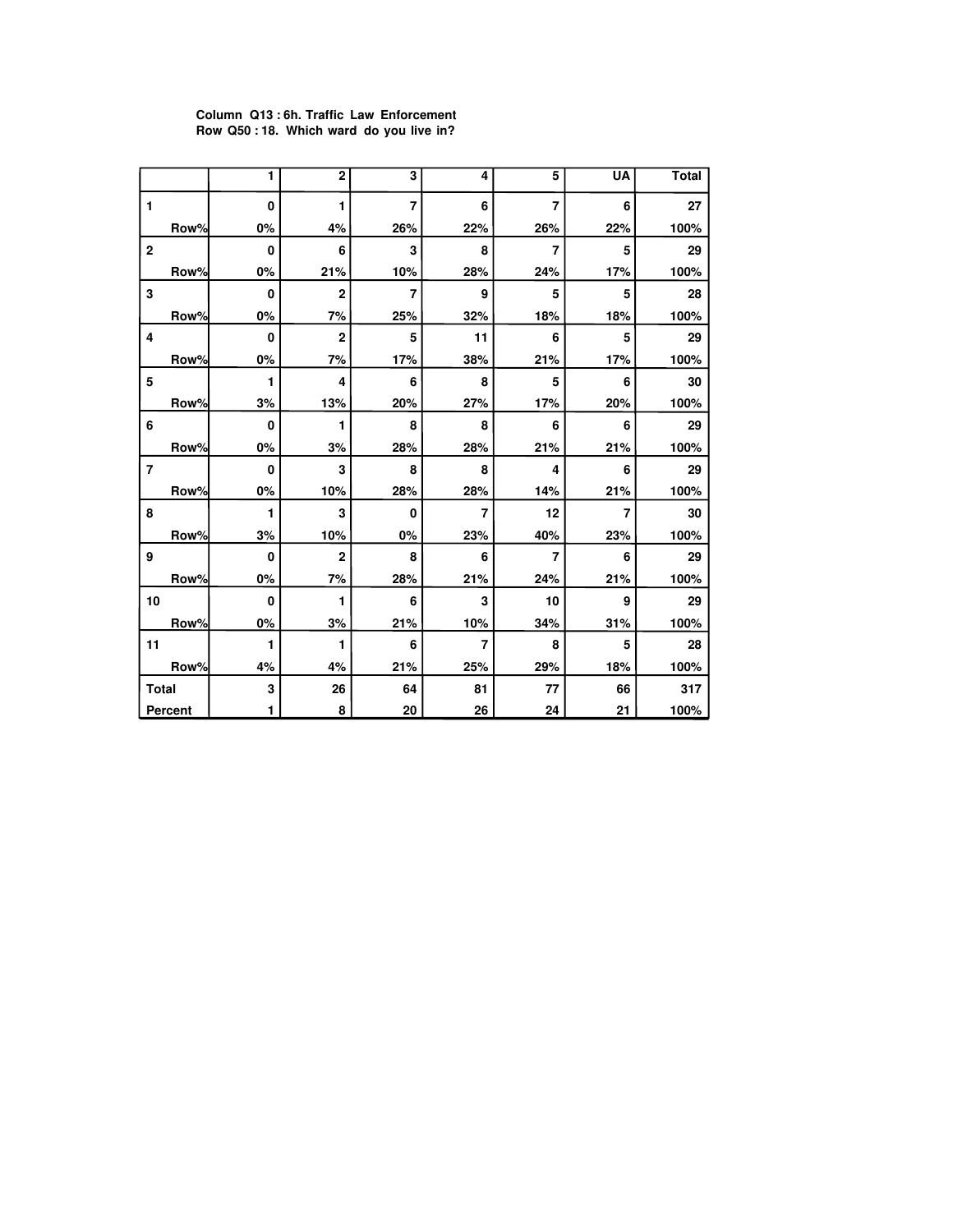#### **Column Q13 : 6h. Traffic Law Enforcement Row Q50 : 18. Which ward do you live in?**

|                |                | 1        | $\overline{2}$ | $\overline{\mathbf{3}}$ | 4              | 5              | UA  | <b>Total</b> |
|----------------|----------------|----------|----------------|-------------------------|----------------|----------------|-----|--------------|
| 1              |                | $\bf{0}$ | 1              | $\overline{7}$          | 6              | $\overline{7}$ | 6   | 27           |
|                | Row%           | 0%       | 4%             | 26%                     | 22%            | 26%            | 22% | 100%         |
| $\mathbf 2$    |                | $\bf{0}$ | 6              | 3                       | 8              | $\overline{7}$ | 5   | 29           |
|                | Row%           | $0\%$    | 21%            | 10%                     | 28%            | 24%            | 17% | 100%         |
| 3              |                | $\bf{0}$ | $\overline{2}$ | $\overline{7}$          | 9              | 5              | 5   | 28           |
|                | Row%           | 0%       | 7%             | 25%                     | 32%            | 18%            | 18% | 100%         |
| 4              |                | 0        | $\overline{2}$ | 5                       | 11             | 6              | 5   | 29           |
|                | Row%           | 0%       | 7%             | 17%                     | 38%            | 21%            | 17% | 100%         |
| 5              |                | 1        | 4              | 6                       | 8              | 5              | 6   | 30           |
|                | Row%           | 3%       | 13%            | 20%                     | 27%            | 17%            | 20% | 100%         |
| 6              |                | $\bf{0}$ | 1              | 8                       | 8              | 6              | 6   | 29           |
|                | Row%           | 0%       | 3%             | 28%                     | 28%            | 21%            | 21% | 100%         |
| $\overline{7}$ |                | $\bf{0}$ | 3              | 8                       | 8              | 4              | 6   | 29           |
|                | Row%           | 0%       | 10%            | 28%                     | 28%            | 14%            | 21% | 100%         |
| 8              |                | 1        | 3              | $\bf{0}$                | 7              | 12             | 7   | 30           |
|                | Row%           | 3%       | 10%            | 0%                      | 23%            | 40%            | 23% | 100%         |
| 9              |                | $\bf{0}$ | $\overline{2}$ | 8                       | 6              | 7              | 6   | 29           |
|                | Row%           | 0%       | 7%             | 28%                     | 21%            | 24%            | 21% | 100%         |
| 10             |                | 0        | 1              | 6                       | 3              | 10             | 9   | 29           |
|                | Row%           | $0\%$    | 3%             | 21%                     | 10%            | 34%            | 31% | 100%         |
| 11             |                | 1        | 1              | 6                       | $\overline{7}$ | 8              | 5   | 28           |
|                | Row%           | 4%       | 4%             | 21%                     | 25%            | 29%            | 18% | 100%         |
| <b>Total</b>   |                | 3        | 26             | 64                      | 81             | 77             | 66  | 317          |
|                | <b>Percent</b> | 1        | 8              | 20                      | 26             | 24             | 21  | 100%         |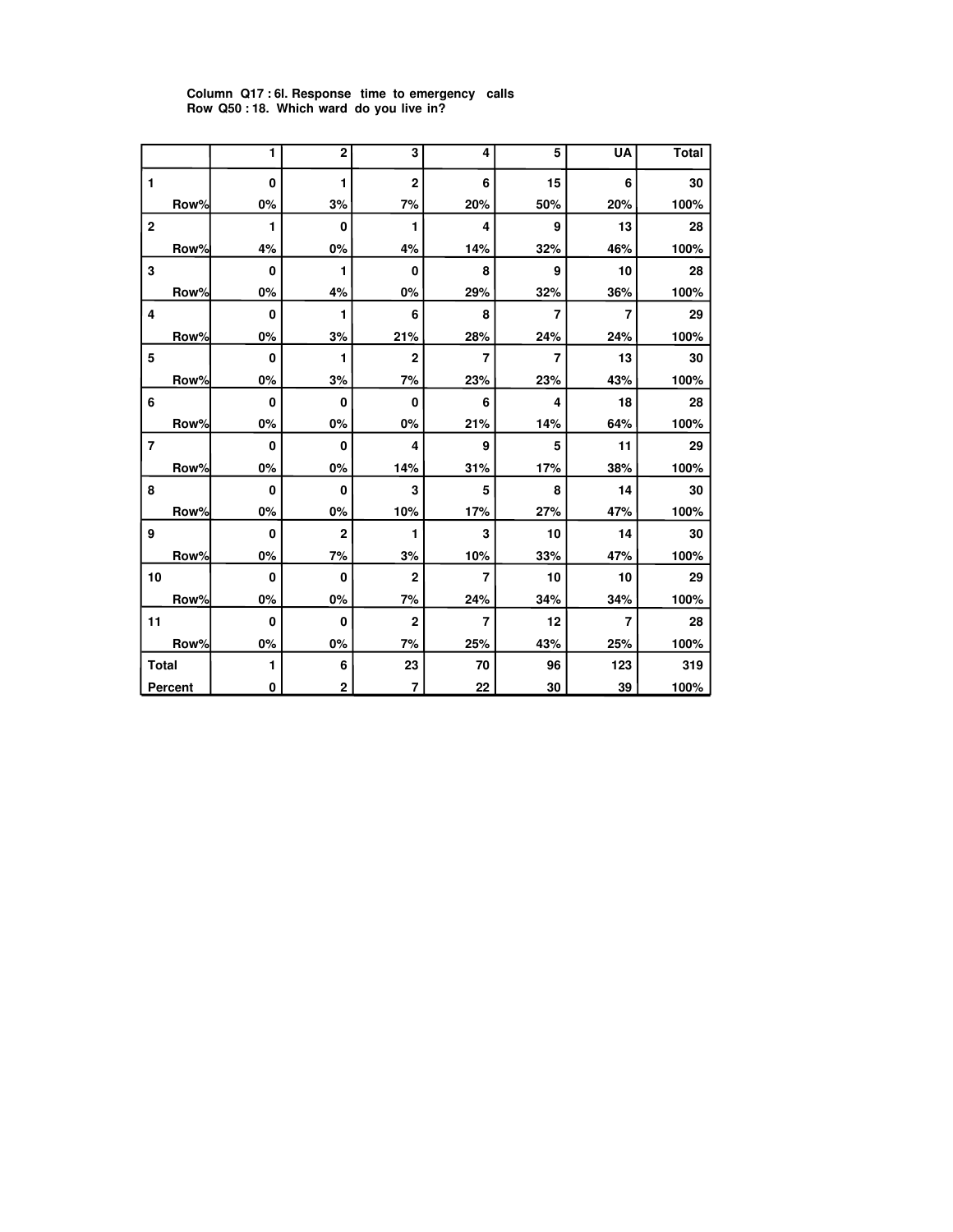|                |      | 1            | $\overline{2}$ | 3              | 4              | 5   | <b>UA</b> | <b>Total</b> |
|----------------|------|--------------|----------------|----------------|----------------|-----|-----------|--------------|
| 1              |      | $\bf{0}$     | 1              | $\overline{2}$ | 6              | 15  | 6         | 30           |
|                | Row% | 0%           | 3%             | 7%             | 20%            | 50% | 20%       | 100%         |
| $\mathbf 2$    |      | 1            | 0              | 1              | 4              | 9   | 13        | 28           |
|                | Row% | 4%           | 0%             | 4%             | 14%            | 32% | 46%       | 100%         |
| 3              |      | 0            | 1              | 0              | 8              | 9   | 10        | 28           |
|                | Row% | 0%           | 4%             | 0%             | 29%            | 32% | 36%       | 100%         |
| 4              |      | $\bf{0}$     | 1              | 6              | 8              | 7   | 7         | 29           |
|                | Row% | 0%           | 3%             | 21%            | 28%            | 24% | 24%       | 100%         |
| 5              |      | 0            | 1              | $\mathbf 2$    | 7              | 7   | 13        | 30           |
|                | Row% | 0%           | 3%             | 7%             | 23%            | 23% | 43%       | 100%         |
| 6              |      | 0            | 0              | $\mathbf 0$    | 6              | 4   | 18        | 28           |
|                | Row% | 0%           | 0%             | 0%             | 21%            | 14% | 64%       | 100%         |
| $\overline{7}$ |      | $\mathbf{0}$ | 0              | 4              | 9              | 5   | 11        | 29           |
|                | Row% | 0%           | 0%             | 14%            | 31%            | 17% | 38%       | 100%         |
| 8              |      | 0            | 0              | 3              | 5              | 8   | 14        | 30           |
|                | Row% | 0%           | 0%             | 10%            | 17%            | 27% | 47%       | 100%         |
| 9              |      | $\bf{0}$     | $\overline{2}$ | 1              | 3              | 10  | 14        | 30           |
|                | Row% | 0%           | 7%             | 3%             | 10%            | 33% | 47%       | 100%         |
| 10             |      | $\mathbf{0}$ | $\bf{0}$       | $\overline{2}$ | $\overline{7}$ | 10  | 10        | 29           |
|                | Row% | 0%           | 0%             | 7%             | 24%            | 34% | 34%       | 100%         |
| 11             |      | 0            | 0              | $\overline{2}$ | $\overline{7}$ | 12  | 7         | 28           |
|                | Row% | 0%           | 0%             | 7%             | 25%            | 43% | 25%       | 100%         |
| <b>Total</b>   |      | 1            | 6              | 23             | 70             | 96  | 123       | 319          |
| <b>Percent</b> |      | 0            | $\overline{2}$ | $\overline{7}$ | 22             | 30  | 39        | 100%         |

## **Column Q17 : 6l. Response time to emergency calls Row Q50 : 18. Which ward do you live in?**